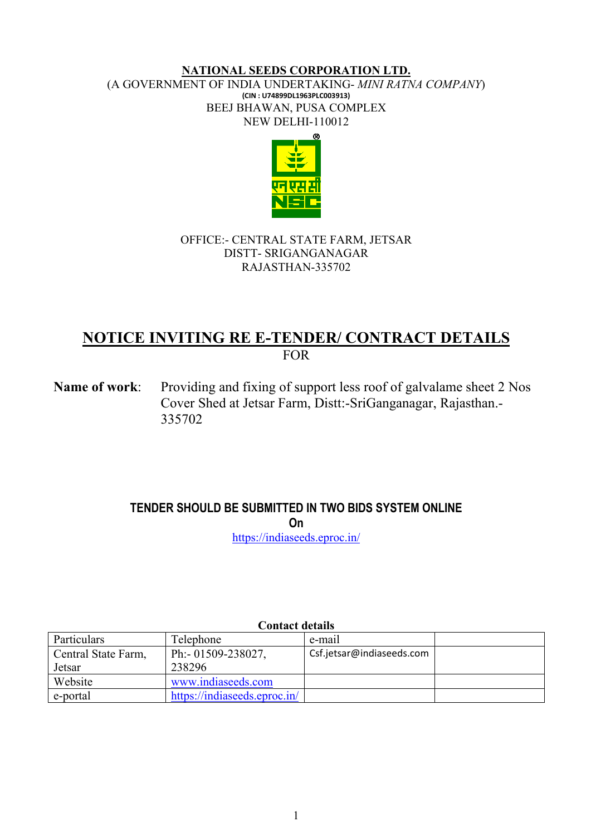#### **NATIONAL SEEDS CORPORATION LTD.** (A GOVERNMENT OF INDIA UNDERTAKING- *MINI RATNA COMPANY*) **(CIN : U74899DL1963PLC003913)** BEEJ BHAWAN, PUSA COMPLEX NEW DELHI-110012



## OFFICE:- CENTRAL STATE FARM, JETSAR DISTT- SRIGANGANAGAR RAJASTHAN-335702

# **NOTICE INVITING RE E-TENDER/ CONTRACT DETAILS**  FOR

**Name of work:** Providing and fixing of support less roof of galvalame sheet 2 Nos Cover Shed at Jetsar Farm, Distt:-SriGanganagar, Rajasthan.- 335702

# **TENDER SHOULD BE SUBMITTED IN TWO BIDS SYSTEM ONLINE**

**On** 

<https://indiaseeds.eproc.in/>

| Contact actams      |                              |                           |  |  |
|---------------------|------------------------------|---------------------------|--|--|
| Particulars         | <b>Telephone</b>             | e-mail                    |  |  |
| Central State Farm, | Ph:- 01509-238027,           | Csf.jetsar@indiaseeds.com |  |  |
| Jetsar              | 238296                       |                           |  |  |
| Website             | www.indiaseeds.com           |                           |  |  |
| e-portal            | https://indiaseeds.eproc.in/ |                           |  |  |

# **Contact details**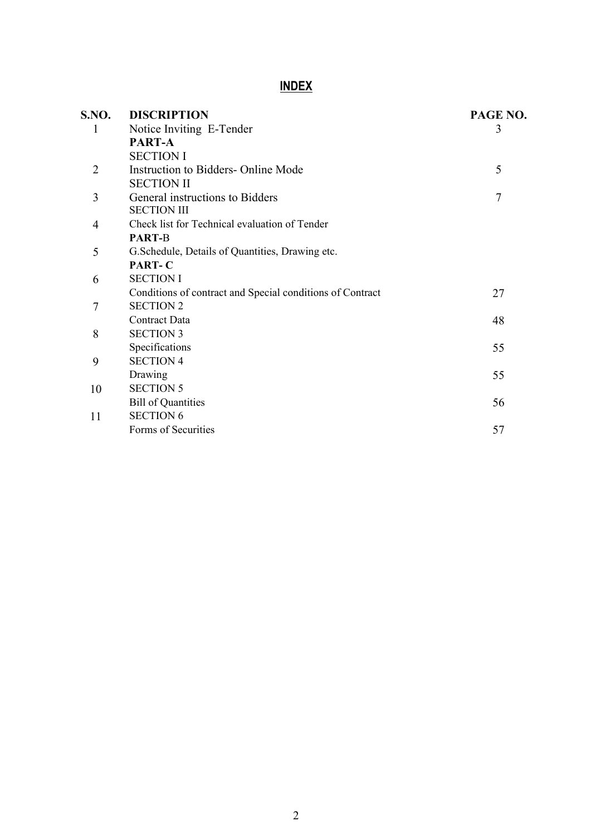# **INDEX**

| S.NO.          | <b>DISCRIPTION</b>                                        | PAGE NO. |
|----------------|-----------------------------------------------------------|----------|
| 1              | Notice Inviting E-Tender                                  | 3        |
|                | PART-A                                                    |          |
|                | <b>SECTION I</b>                                          |          |
| $\overline{2}$ | Instruction to Bidders- Online Mode                       | 5        |
|                | <b>SECTION II</b>                                         |          |
| 3              | General instructions to Bidders                           | 7        |
|                | <b>SECTION III</b>                                        |          |
| 4              | Check list for Technical evaluation of Tender             |          |
|                | <b>PART-B</b>                                             |          |
| 5              | G.Schedule, Details of Quantities, Drawing etc.           |          |
|                | PART-C                                                    |          |
| 6              | <b>SECTION I</b>                                          |          |
|                | Conditions of contract and Special conditions of Contract | 27       |
| 7              | <b>SECTION 2</b>                                          |          |
|                | Contract Data                                             | 48       |
| 8              | <b>SECTION 3</b>                                          |          |
|                | Specifications                                            | 55       |
| 9              | <b>SECTION 4</b>                                          |          |
|                | Drawing                                                   | 55       |
| 10             | <b>SECTION 5</b>                                          |          |
|                | <b>Bill of Quantities</b>                                 | 56       |
| 11             | <b>SECTION 6</b>                                          |          |
|                | Forms of Securities                                       | 57       |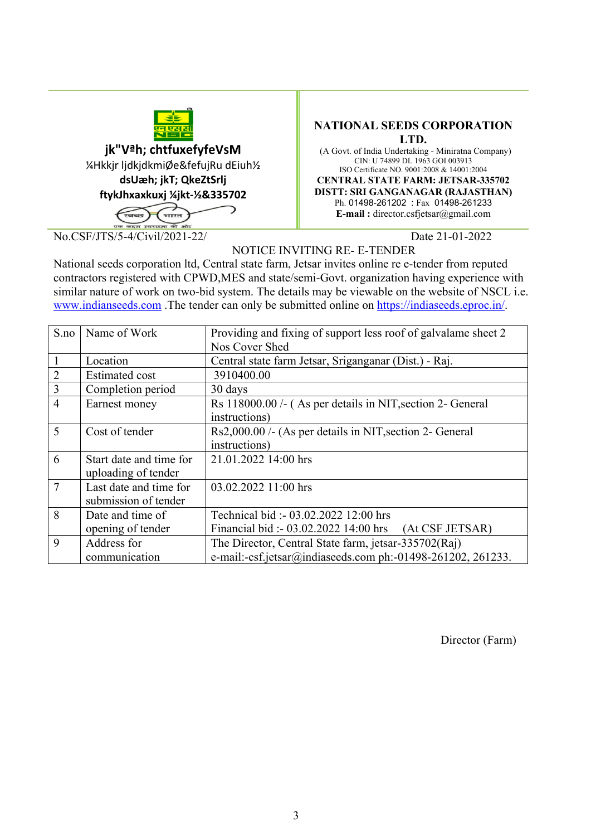

**jk"Vªh; chtfuxefyfeVsM** ¼Hkkjr ljdkjdkmiØe&fefujRu dEiuh½ **dsUæh; jkT; QkeZtSrlj ftykJhxaxkuxj ¼jkt-½&335702**

.<br>अमेर

No.CSF/JTS/5-4/Civil/2021-22/ Date 21-01-2022

#### **NATIONAL SEEDS CORPORATION LTD.**

 (A Govt. of India Undertaking - Miniratna Company) CIN: U 74899 DL 1963 GOI 003913 ISO Certificate NO. 9001:2008 & 14001:2004 **CENTRAL STATE FARM: JETSAR-335702 DISTT: SRI GANGANAGAR (RAJASTHAN)** Ph. 01498-261202 : Fax 01498-261233 **E-mail :** director.csfjetsar@gmail.com

NOTICE INVITING RE- E-TENDER

National seeds corporation ltd, Central state farm, Jetsar invites online re e-tender from reputed contractors registered with CPWD,MES and state/semi-Govt. organization having experience with similar nature of work on two-bid system. The details may be viewable on the website of NSCL i.e. [www.indianseeds.com](http://www.indianseeds.com/) .The tender can only be submitted online on [https://indiaseeds.eproc.in/.](https://indiaseeds.eproc.in/)

| S.no           | Name of Work                                   | Providing and fixing of support less roof of galvalame sheet 2                                                      |
|----------------|------------------------------------------------|---------------------------------------------------------------------------------------------------------------------|
|                |                                                | Nos Cover Shed                                                                                                      |
|                | Location                                       | Central state farm Jetsar, Sriganganar (Dist.) - Raj.                                                               |
| $\overline{2}$ | <b>Estimated cost</b>                          | 3910400.00                                                                                                          |
| 3              | Completion period                              | 30 days                                                                                                             |
| $\overline{4}$ | Earnest money                                  | Rs 118000.00 /- (As per details in NIT, section 2- General<br>instructions)                                         |
| 5              | Cost of tender                                 | Rs2,000.00 /- (As per details in NIT, section 2- General<br>instructions)                                           |
| 6              | Start date and time for<br>uploading of tender | 21.01.2022 14:00 hrs                                                                                                |
| $\overline{7}$ | Last date and time for<br>submission of tender | 03.02.2022 11:00 hrs                                                                                                |
| 8              | Date and time of                               | Technical bid: - 03.02.2022 12:00 hrs                                                                               |
|                | opening of tender                              | Financial bid: - 03.02.2022 14:00 hrs (At CSF JETSAR)                                                               |
| 9              | Address for<br>communication                   | The Director, Central State farm, jetsar-335702(Raj)<br>e-mail:-csf.jetsar@indiaseeds.com ph:-01498-261202, 261233. |

Director (Farm)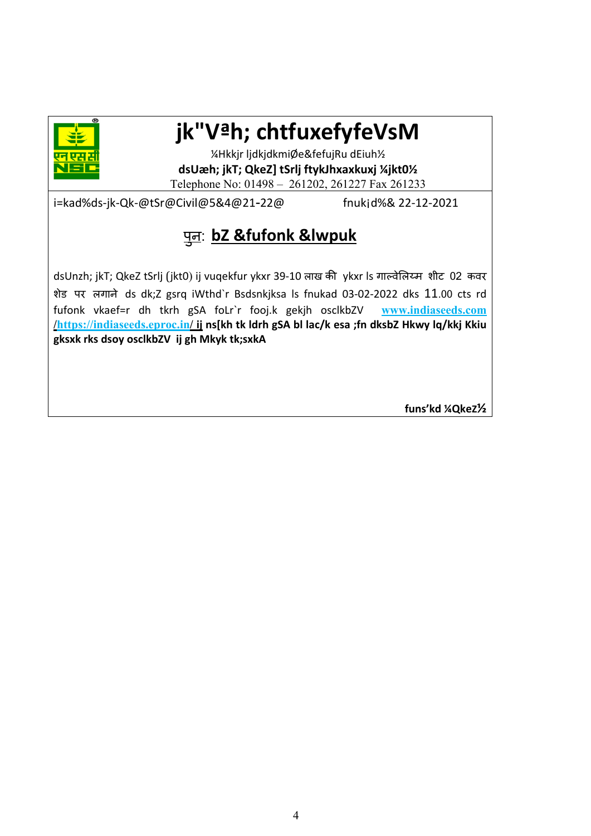

# **jk"Vªh; chtfuxefyfeVsM**

¼Hkkjr ljdkjdkmiØe&fefujRu dEiuh½ **dsUæh; jkT; QkeZ] tSrlj ftykJhxaxkuxj ¼jkt0½** Telephone No: 01498 – 261202, 261227 Fax 261233

i=kad%ds-jk-Qk-@tSr@Civil@5&4@21-22@ fnuk¡d%& 22-12-2021

#### प न: **bZ &fufonk &lwpuk** ु

dsUnzh; jkT; QkeZ tSrlj (jkt0) ij vuqekfur ykxr 39-10 लाख की ykxr ls गाल्वेलिय्म शीट 02 कवर शेड पर लगाने ds dk;Z gsrq iWthd`r Bsdsnkjksa ls fnukad 03-02-2022 dks 11.00 cts rd fufonk vkaef=r dh tkrh gSA foLr`r fooj.k gekjh osclkbZV **[www.indiaseeds.com](http://www.indiaseeds.com/) /https://indiaseeds.eproc.in/ ij ns[kh tk ldrh gSA bl lac/k esa ;fn dksbZ Hkwy lq/kkj Kkiu gksxk rks dsoy osclkbZV ij gh Mkyk tk;sxkA** 

**funs'kd ¼QkeZ½**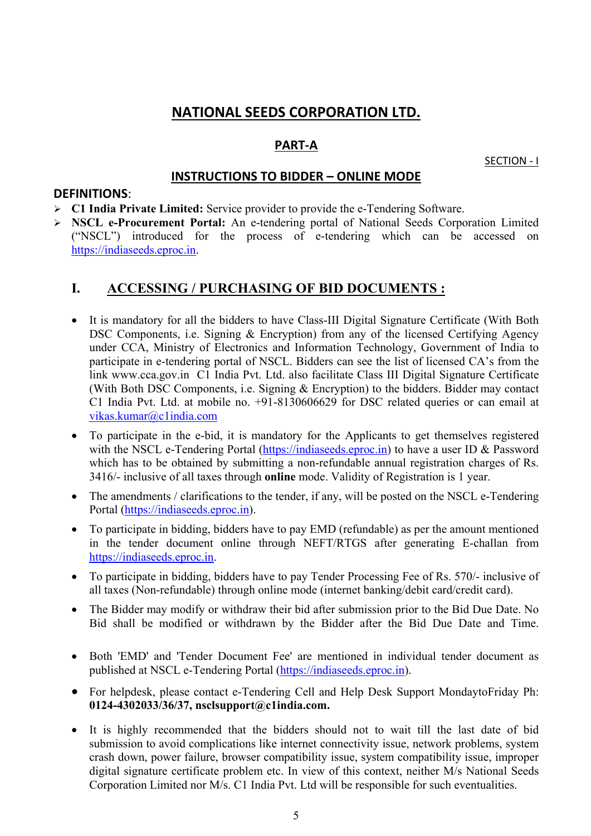# **NATIONAL SEEDS CORPORATION LTD.**

# **PART-A**

SECTION - I

# **INSTRUCTIONS TO BIDDER – ONLINE MODE**

#### **DEFINITIONS**:

- **C1 India Private Limited:** Service provider to provide the e-Tendering Software.
- **NSCL e-Procurement Portal:** An e-tendering portal of National Seeds Corporation Limited ("NSCL") introduced for the process of e-tendering which can be accessed on [https://indiaseeds.eproc.in.](https://indiaseeds.eproc.in/)

# **I. ACCESSING / PURCHASING OF BID DOCUMENTS :**

- It is mandatory for all the bidders to have Class-III Digital Signature Certificate (With Both DSC Components, i.e. Signing & Encryption) from any of the licensed Certifying Agency under CCA, Ministry of Electronics and Information Technology, Government of India to participate in e-tendering portal of NSCL. Bidders can see the list of licensed CA's from the link www.cca.gov.in C1 India Pvt. Ltd. also facilitate Class III Digital Signature Certificate (With Both DSC Components, i.e. Signing & Encryption) to the bidders. Bidder may contact C1 India Pvt. Ltd. at mobile no. +91-8130606629 for DSC related queries or can email at vikas.kumar@c1india.com
- To participate in the e-bid, it is mandatory for the Applicants to get themselves registered with the NSCL e-Tendering Portal [\(https://indiaseeds.eproc.in\)](https://indiaseeds.eproc.in/) to have a user ID & Password which has to be obtained by submitting a non-refundable annual registration charges of Rs. 3416/- inclusive of all taxes through **online** mode. Validity of Registration is 1 year.
- The amendments / clarifications to the tender, if any, will be posted on the NSCL e-Tendering Portal [\(https://indiaseeds.eproc.in\)](https://indiaseeds.eproc.in/).
- To participate in bidding, bidders have to pay EMD (refundable) as per the amount mentioned in the tender document online through NEFT/RTGS after generating E-challan from [https://indiaseeds.eproc.in.](https://indiaseeds.eproc.in/)
- To participate in bidding, bidders have to pay Tender Processing Fee of Rs. 570/- inclusive of all taxes (Non-refundable) through online mode (internet banking/debit card/credit card).
- The Bidder may modify or withdraw their bid after submission prior to the Bid Due Date. No Bid shall be modified or withdrawn by the Bidder after the Bid Due Date and Time.
- Both 'EMD' and 'Tender Document Fee' are mentioned in individual tender document as published at NSCL e-Tendering Portal [\(https://indiaseeds.eproc.in\)](https://indiaseeds.eproc.in/).
- For helpdesk, please contact e-Tendering Cell and Help Desk Support MondaytoFriday Ph: **0124-4302033/36/37, nsclsupport@c1india.com.**
- It is highly recommended that the bidders should not to wait till the last date of bid submission to avoid complications like internet connectivity issue, network problems, system crash down, power failure, browser compatibility issue, system compatibility issue, improper digital signature certificate problem etc. In view of this context, neither M/s National Seeds Corporation Limited nor M/s. C1 India Pvt. Ltd will be responsible for such eventualities.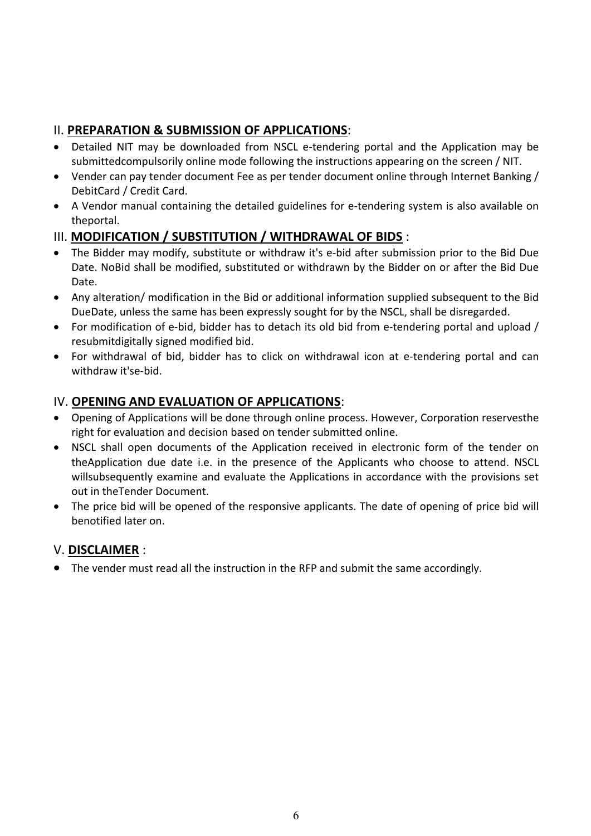# II. **PREPARATION & SUBMISSION OF APPLICATIONS**:

- Detailed NIT may be downloaded from NSCL e-tendering portal and the Application may be submittedcompulsorily online mode following the instructions appearing on the screen / NIT.
- Vender can pay tender document Fee as per tender document online through Internet Banking / DebitCard / Credit Card.
- A Vendor manual containing the detailed guidelines for e-tendering system is also available on theportal.

# III. **MODIFICATION / SUBSTITUTION / WITHDRAWAL OF BIDS** :

- The Bidder may modify, substitute or withdraw it's e-bid after submission prior to the Bid Due Date. NoBid shall be modified, substituted or withdrawn by the Bidder on or after the Bid Due Date.
- Any alteration/ modification in the Bid or additional information supplied subsequent to the Bid DueDate, unless the same has been expressly sought for by the NSCL, shall be disregarded.
- For modification of e-bid, bidder has to detach its old bid from e-tendering portal and upload / resubmitdigitally signed modified bid.
- For withdrawal of bid, bidder has to click on withdrawal icon at e-tendering portal and can withdraw it'se-bid.

# IV. **OPENING AND EVALUATION OF APPLICATIONS**:

- Opening of Applications will be done through online process. However, Corporation reservesthe right for evaluation and decision based on tender submitted online.
- NSCL shall open documents of the Application received in electronic form of the tender on theApplication due date i.e. in the presence of the Applicants who choose to attend. NSCL willsubsequently examine and evaluate the Applications in accordance with the provisions set out in theTender Document.
- The price bid will be opened of the responsive applicants. The date of opening of price bid will benotified later on.

# V. **DISCLAIMER** :

• The vender must read all the instruction in the RFP and submit the same accordingly.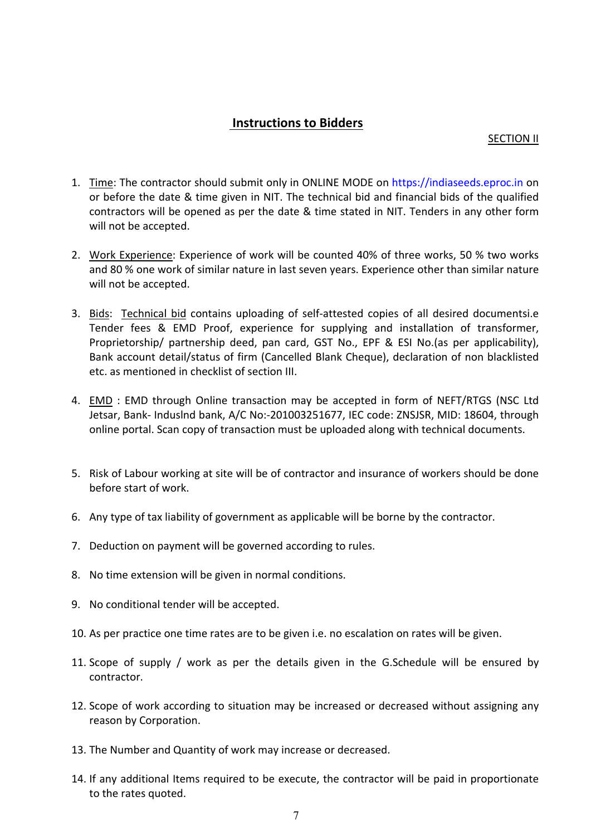# **Instructions to Bidders**

#### SECTION II

- 1. Time: The contractor should submit only in ONLINE MODE on https://indiaseeds.eproc.in on or before the date & time given in NIT. The technical bid and financial bids of the qualified contractors will be opened as per the date & time stated in NIT. Tenders in any other form will not be accepted.
- 2. Work Experience: Experience of work will be counted 40% of three works, 50 % two works and 80 % one work of similar nature in last seven years. Experience other than similar nature will not be accepted.
- 3. Bids: Technical bid contains uploading of self-attested copies of all desired documentsi.e Tender fees & EMD Proof, experience for supplying and installation of transformer, Proprietorship/ partnership deed, pan card, GST No., EPF & ESI No.(as per applicability), Bank account detail/status of firm (Cancelled Blank Cheque), declaration of non blacklisted etc. as mentioned in checklist of section III.
- 4. EMD : EMD through Online transaction may be accepted in form of NEFT/RTGS (NSC Ltd Jetsar, Bank- Induslnd bank, A/C No:-201003251677, IEC code: ZNSJSR, MID: 18604, through online portal. Scan copy of transaction must be uploaded along with technical documents.
- 5. Risk of Labour working at site will be of contractor and insurance of workers should be done before start of work.
- 6. Any type of tax liability of government as applicable will be borne by the contractor.
- 7. Deduction on payment will be governed according to rules.
- 8. No time extension will be given in normal conditions.
- 9. No conditional tender will be accepted.
- 10. As per practice one time rates are to be given i.e. no escalation on rates will be given.
- 11. Scope of supply / work as per the details given in the G.Schedule will be ensured by contractor.
- 12. Scope of work according to situation may be increased or decreased without assigning any reason by Corporation.
- 13. The Number and Quantity of work may increase or decreased.
- 14. If any additional Items required to be execute, the contractor will be paid in proportionate to the rates quoted.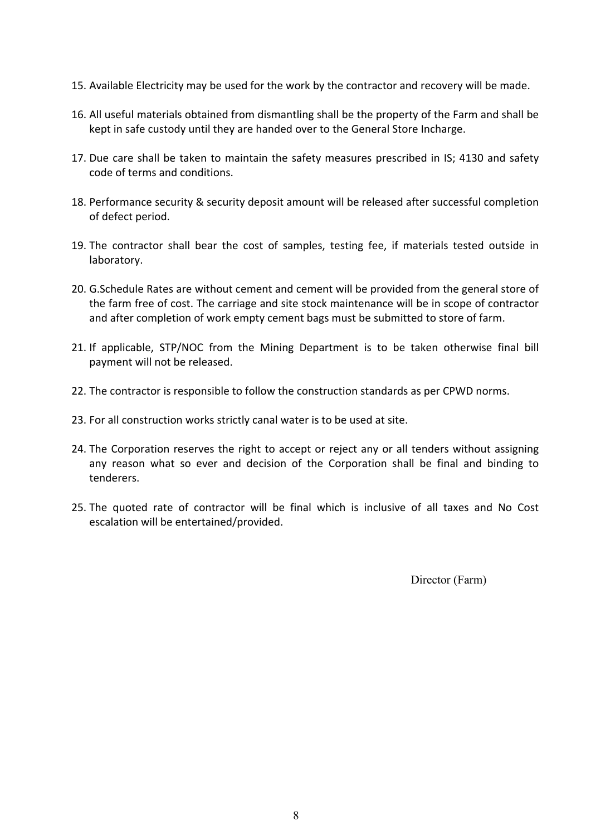- 15. Available Electricity may be used for the work by the contractor and recovery will be made.
- 16. All useful materials obtained from dismantling shall be the property of the Farm and shall be kept in safe custody until they are handed over to the General Store Incharge.
- 17. Due care shall be taken to maintain the safety measures prescribed in IS; 4130 and safety code of terms and conditions.
- 18. Performance security & security deposit amount will be released after successful completion of defect period.
- 19. The contractor shall bear the cost of samples, testing fee, if materials tested outside in laboratory.
- 20. G.Schedule Rates are without cement and cement will be provided from the general store of the farm free of cost. The carriage and site stock maintenance will be in scope of contractor and after completion of work empty cement bags must be submitted to store of farm.
- 21. If applicable, STP/NOC from the Mining Department is to be taken otherwise final bill payment will not be released.
- 22. The contractor is responsible to follow the construction standards as per CPWD norms.
- 23. For all construction works strictly canal water is to be used at site.
- 24. The Corporation reserves the right to accept or reject any or all tenders without assigning any reason what so ever and decision of the Corporation shall be final and binding to tenderers.
- 25. The quoted rate of contractor will be final which is inclusive of all taxes and No Cost escalation will be entertained/provided.

Director (Farm)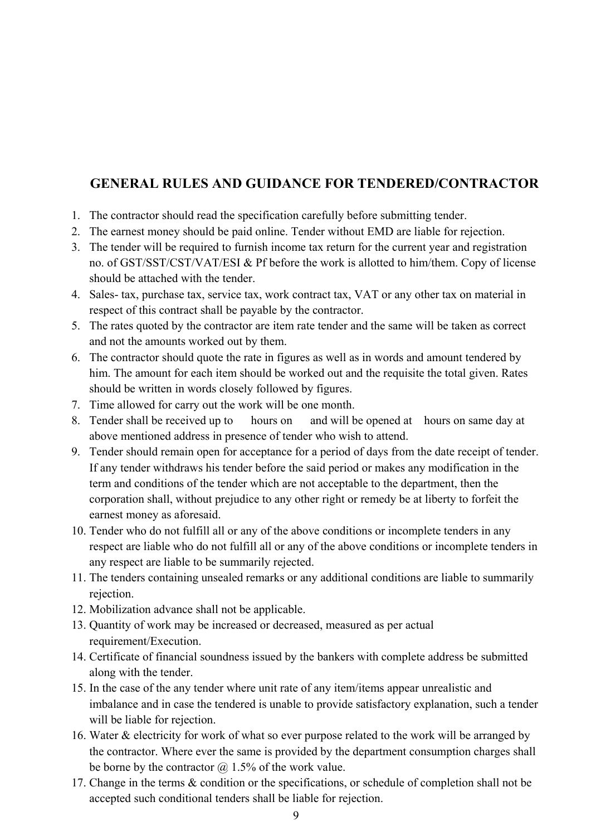# **GENERAL RULES AND GUIDANCE FOR TENDERED/CONTRACTOR**

- 1. The contractor should read the specification carefully before submitting tender.
- 2. The earnest money should be paid online. Tender without EMD are liable for rejection.
- 3. The tender will be required to furnish income tax return for the current year and registration no. of GST/SST/CST/VAT/ESI & Pf before the work is allotted to him/them. Copy of license should be attached with the tender.
- 4. Sales- tax, purchase tax, service tax, work contract tax, VAT or any other tax on material in respect of this contract shall be payable by the contractor.
- 5. The rates quoted by the contractor are item rate tender and the same will be taken as correct and not the amounts worked out by them.
- 6. The contractor should quote the rate in figures as well as in words and amount tendered by him. The amount for each item should be worked out and the requisite the total given. Rates should be written in words closely followed by figures.
- 7. Time allowed for carry out the work will be one month.
- 8. Tender shall be received up to hours on and will be opened at hours on same day at above mentioned address in presence of tender who wish to attend.
- 9. Tender should remain open for acceptance for a period of days from the date receipt of tender. If any tender withdraws his tender before the said period or makes any modification in the term and conditions of the tender which are not acceptable to the department, then the corporation shall, without prejudice to any other right or remedy be at liberty to forfeit the earnest money as aforesaid.
- 10. Tender who do not fulfill all or any of the above conditions or incomplete tenders in any respect are liable who do not fulfill all or any of the above conditions or incomplete tenders in any respect are liable to be summarily rejected.
- 11. The tenders containing unsealed remarks or any additional conditions are liable to summarily rejection.
- 12. Mobilization advance shall not be applicable.
- 13. Quantity of work may be increased or decreased, measured as per actual requirement/Execution.
- 14. Certificate of financial soundness issued by the bankers with complete address be submitted along with the tender.
- 15. In the case of the any tender where unit rate of any item/items appear unrealistic and imbalance and in case the tendered is unable to provide satisfactory explanation, such a tender will be liable for rejection.
- 16. Water & electricity for work of what so ever purpose related to the work will be arranged by the contractor. Where ever the same is provided by the department consumption charges shall be borne by the contractor  $\omega$  1.5% of the work value.
- 17. Change in the terms & condition or the specifications, or schedule of completion shall not be accepted such conditional tenders shall be liable for rejection.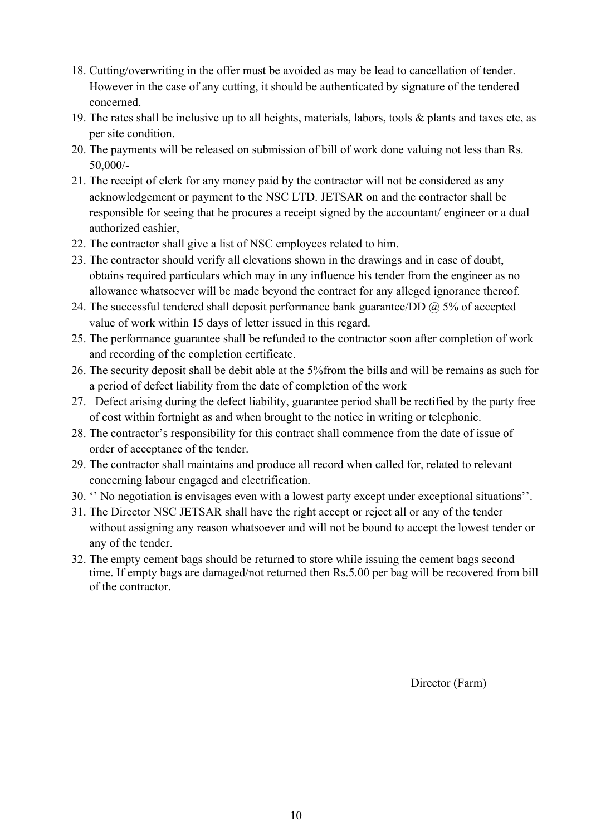- 18. Cutting/overwriting in the offer must be avoided as may be lead to cancellation of tender. However in the case of any cutting, it should be authenticated by signature of the tendered concerned.
- 19. The rates shall be inclusive up to all heights, materials, labors, tools & plants and taxes etc, as per site condition.
- 20. The payments will be released on submission of bill of work done valuing not less than Rs. 50,000/-
- 21. The receipt of clerk for any money paid by the contractor will not be considered as any acknowledgement or payment to the NSC LTD. JETSAR on and the contractor shall be responsible for seeing that he procures a receipt signed by the accountant/ engineer or a dual authorized cashier,
- 22. The contractor shall give a list of NSC employees related to him.
- 23. The contractor should verify all elevations shown in the drawings and in case of doubt, obtains required particulars which may in any influence his tender from the engineer as no allowance whatsoever will be made beyond the contract for any alleged ignorance thereof.
- 24. The successful tendered shall deposit performance bank guarantee/DD  $@$  5% of accepted value of work within 15 days of letter issued in this regard.
- 25. The performance guarantee shall be refunded to the contractor soon after completion of work and recording of the completion certificate.
- 26. The security deposit shall be debit able at the 5%from the bills and will be remains as such for a period of defect liability from the date of completion of the work
- 27. Defect arising during the defect liability, guarantee period shall be rectified by the party free of cost within fortnight as and when brought to the notice in writing or telephonic.
- 28. The contractor's responsibility for this contract shall commence from the date of issue of order of acceptance of the tender.
- 29. The contractor shall maintains and produce all record when called for, related to relevant concerning labour engaged and electrification.
- 30. '' No negotiation is envisages even with a lowest party except under exceptional situations''.
- 31. The Director NSC JETSAR shall have the right accept or reject all or any of the tender without assigning any reason whatsoever and will not be bound to accept the lowest tender or any of the tender.
- 32. The empty cement bags should be returned to store while issuing the cement bags second time. If empty bags are damaged/not returned then Rs.5.00 per bag will be recovered from bill of the contractor.

Director (Farm)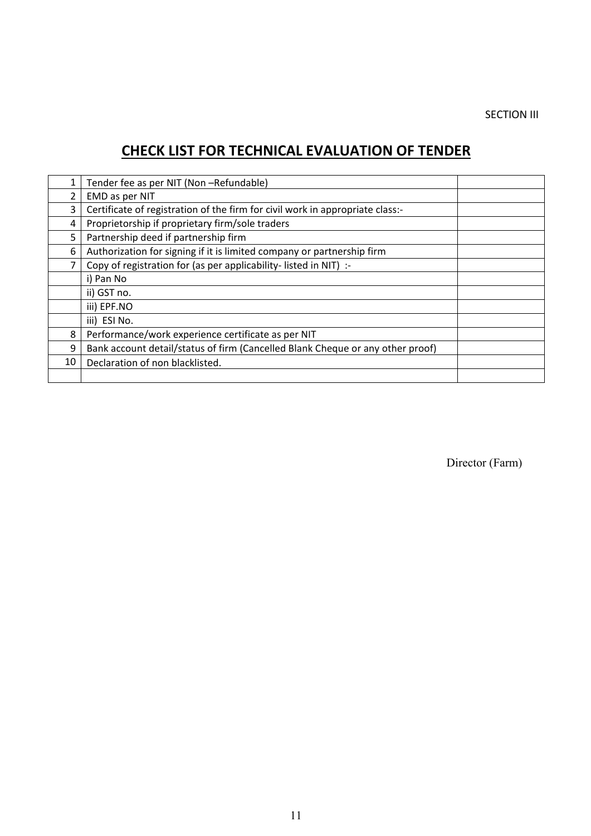## SECTION III

# **CHECK LIST FOR TECHNICAL EVALUATION OF TENDER**

|                | Tender fee as per NIT (Non-Refundable)                                         |  |
|----------------|--------------------------------------------------------------------------------|--|
| $\overline{2}$ | EMD as per NIT                                                                 |  |
| 3              | Certificate of registration of the firm for civil work in appropriate class:-  |  |
| 4              | Proprietorship if proprietary firm/sole traders                                |  |
| 5              | Partnership deed if partnership firm                                           |  |
| 6              | Authorization for signing if it is limited company or partnership firm         |  |
| 7              | Copy of registration for (as per applicability-listed in NIT) :-               |  |
|                | i) Pan No                                                                      |  |
|                | ii) GST no.                                                                    |  |
|                | iii) EPF.NO                                                                    |  |
|                | iii) ESI No.                                                                   |  |
| 8              | Performance/work experience certificate as per NIT                             |  |
| 9              | Bank account detail/status of firm (Cancelled Blank Cheque or any other proof) |  |
| 10             | Declaration of non blacklisted.                                                |  |
|                |                                                                                |  |

Director (Farm)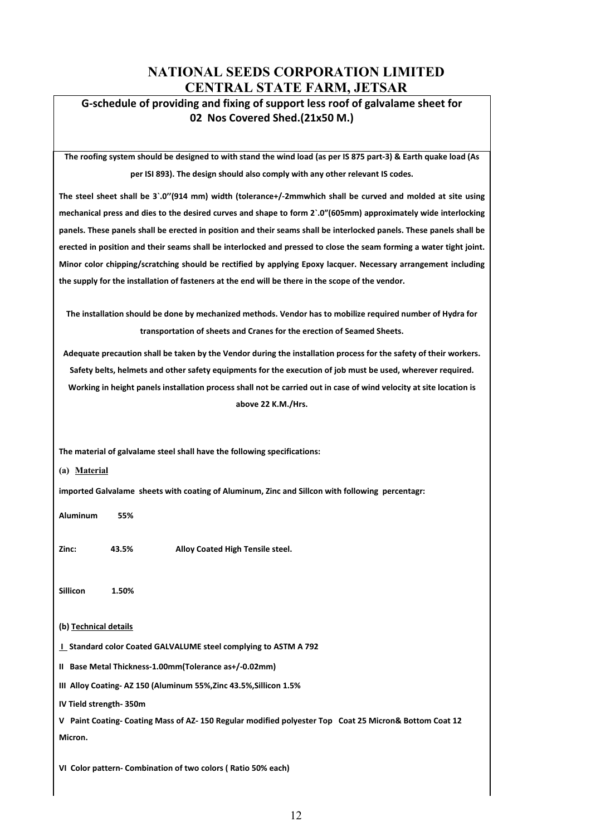# **NATIONAL SEEDS CORPORATION LIMITED CENTRAL STATE FARM, JETSAR**

## **G-schedule of providing and fixing of support less roof of galvalame sheet for 02 Nos Covered Shed.(21x50 M.)**

**The roofing system should be designed to with stand the wind load (as per IS 875 part-3) & Earth quake load (As per ISI 893). The design should also comply with any other relevant IS codes.**

**The steel sheet shall be 3`.0''(914 mm) width (tolerance+/-2mmwhich shall be curved and molded at site using mechanical press and dies to the desired curves and shape to form 2`.0"(605mm) approximately wide interlocking panels. These panels shall be erected in position and their seams shall be interlocked panels. These panels shall be erected in position and their seams shall be interlocked and pressed to close the seam forming a water tight joint. Minor color chipping/scratching should be rectified by applying Epoxy lacquer. Necessary arrangement including the supply for the installation of fasteners at the end will be there in the scope of the vendor.**

**The installation should be done by mechanized methods. Vendor has to mobilize required number of Hydra for transportation of sheets and Cranes for the erection of Seamed Sheets.**

**Adequate precaution shall be taken by the Vendor during the installation process for the safety of their workers. Safety belts, helmets and other safety equipments for the execution of job must be used, wherever required. Working in height panels installation process shall not be carried out in case of wind velocity at site location is above 22 K.M./Hrs.**

**The material of galvalame steel shall have the following specifications:** 

**(a) Material**

**imported Galvalame sheets with coating of Aluminum, Zinc and Sillcon with following percentagr:**

**Aluminum 55%** 

**Zinc: 43.5% Alloy Coated High Tensile steel.**

**Sillicon 1.50%**

#### **(b) Technical details**

**I Standard color Coated GALVALUME steel complying to ASTM A 792**

**II Base Metal Thickness-1.00mm(Tolerance as+/-0.02mm)**

**III Alloy Coating- AZ 150 (Aluminum 55%,Zinc 43.5%,Sillicon 1.5%**

**IV Tield strength- 350m**

**V Paint Coating- Coating Mass of AZ- 150 Regular modified polyester Top Coat 25 Micron& Bottom Coat 12 Micron.**

**VI Color pattern- Combination of two colors ( Ratio 50% each)**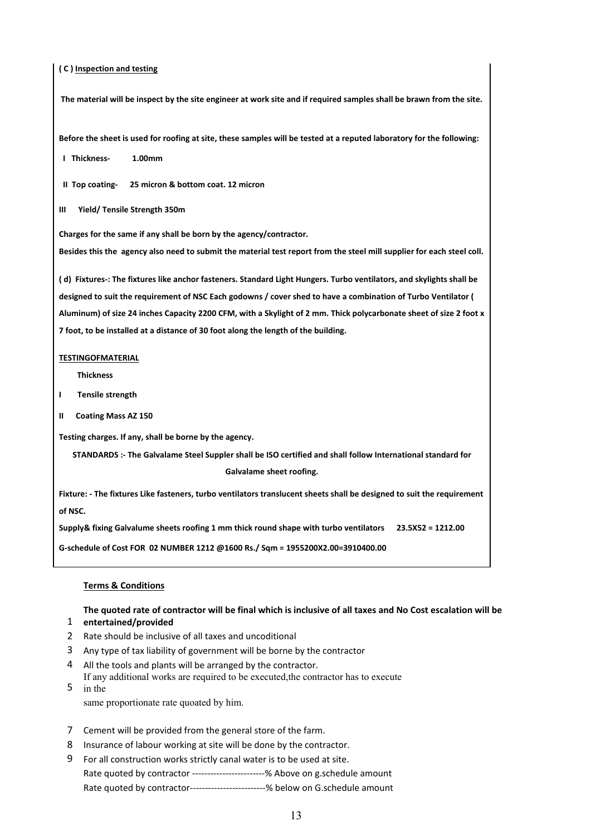#### **( C ) Inspection and testing**

**The material will be inspect by the site engineer at work site and if required samples shall be brawn from the site.**

**Before the sheet is used for roofing at site, these samples will be tested at a reputed laboratory for the following:**

 **I Thickness- 1.00mm**

 **II Top coating- 25 micron & bottom coat. 12 micron**

**III Yield/ Tensile Strength 350m**

**Charges for the same if any shall be born by the agency/contractor.**

**Besides this the agency also need to submit the material test report from the steel mill supplier for each steel coll.**

**( d) Fixtures-: The fixtures like anchor fasteners. Standard Light Hungers. Turbo ventilators, and skylights shall be designed to suit the requirement of NSC Each godowns / cover shed to have a combination of Turbo Ventilator ( Aluminum) of size 24 inches Capacity 2200 CFM, with a Skylight of 2 mm. Thick polycarbonate sheet of size 2 foot x 7 foot, to be installed at a distance of 30 foot along the length of the building.**

#### **TESTINGOFMATERIAL**

 **Thickness**

- **I Tensile strength**
- **II Coating Mass AZ 150**

**Testing charges. If any, shall be borne by the agency.**

**STANDARDS :- The Galvalame Steel Suppler shall be ISO certified and shall follow International standard for Galvalame sheet roofing.**

**Fixture: - The fixtures Like fasteners, turbo ventilators translucent sheets shall be designed to suit the requirement of NSC.**

**Supply& fixing Galvalume sheets roofing 1 mm thick round shape with turbo ventilators 23.5X52 = 1212.00**

**G-schedule of Cost FOR 02 NUMBER 1212 @1600 Rs./ Sqm = 1955200X2.00=3910400.00**

#### **Terms & Conditions**

1 **entertained/provided The quoted rate of contractor will be final which is inclusive of all taxes and No Cost escalation will be** 

- 2 Rate should be inclusive of all taxes and uncoditional
- 3 Any type of tax liability of government will be borne by the contractor
- 4 All the tools and plants will be arranged by the contractor.
- 5 in the If any additional works are required to be executed,the contractor has to execute

same proportionate rate quoated by him.

- 7 Cement will be provided from the general store of the farm.
- 8 Insurance of labour working at site will be done by the contractor.
- 9 For all construction works strictly canal water is to be used at site. Rate quoted by contractor ------------------------% Above on g.schedule amount Rate quoted by contractor-------------------------% below on G.schedule amount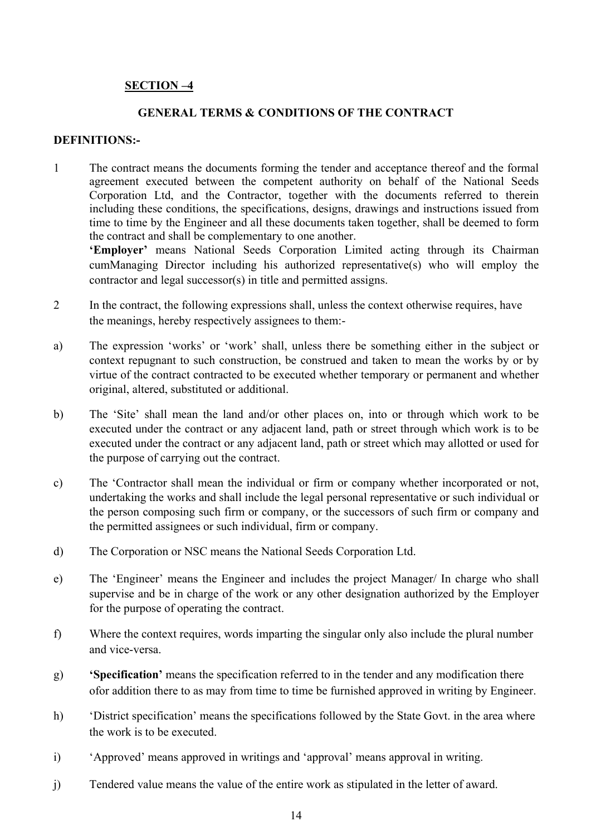## **SECTION –4**

# **GENERAL TERMS & CONDITIONS OF THE CONTRACT**

#### **DEFINITIONS:-**

1 The contract means the documents forming the tender and acceptance thereof and the formal agreement executed between the competent authority on behalf of the National Seeds Corporation Ltd, and the Contractor, together with the documents referred to therein including these conditions, the specifications, designs, drawings and instructions issued from time to time by the Engineer and all these documents taken together, shall be deemed to form the contract and shall be complementary to one another.

**'Employer'** means National Seeds Corporation Limited acting through its Chairman cumManaging Director including his authorized representative(s) who will employ the contractor and legal successor(s) in title and permitted assigns.

- 2 In the contract, the following expressions shall, unless the context otherwise requires, have the meanings, hereby respectively assignees to them:-
- a) The expression 'works' or 'work' shall, unless there be something either in the subject or context repugnant to such construction, be construed and taken to mean the works by or by virtue of the contract contracted to be executed whether temporary or permanent and whether original, altered, substituted or additional.
- b) The 'Site' shall mean the land and/or other places on, into or through which work to be executed under the contract or any adjacent land, path or street through which work is to be executed under the contract or any adjacent land, path or street which may allotted or used for the purpose of carrying out the contract.
- c) The 'Contractor shall mean the individual or firm or company whether incorporated or not, undertaking the works and shall include the legal personal representative or such individual or the person composing such firm or company, or the successors of such firm or company and the permitted assignees or such individual, firm or company.
- d) The Corporation or NSC means the National Seeds Corporation Ltd.
- e) The 'Engineer' means the Engineer and includes the project Manager/ In charge who shall supervise and be in charge of the work or any other designation authorized by the Employer for the purpose of operating the contract.
- f) Where the context requires, words imparting the singular only also include the plural number and vice-versa.
- g) **'Specification'** means the specification referred to in the tender and any modification there ofor addition there to as may from time to time be furnished approved in writing by Engineer.
- h) 'District specification' means the specifications followed by the State Govt. in the area where the work is to be executed.
- i) 'Approved' means approved in writings and 'approval' means approval in writing.
- j) Tendered value means the value of the entire work as stipulated in the letter of award.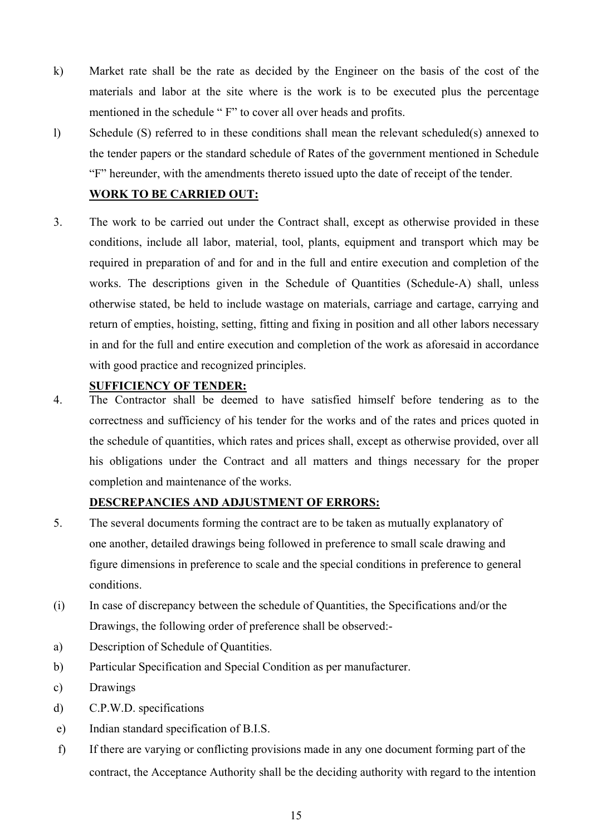- k) Market rate shall be the rate as decided by the Engineer on the basis of the cost of the materials and labor at the site where is the work is to be executed plus the percentage mentioned in the schedule " F" to cover all over heads and profits.
- l) Schedule (S) referred to in these conditions shall mean the relevant scheduled(s) annexed to the tender papers or the standard schedule of Rates of the government mentioned in Schedule "F" hereunder, with the amendments thereto issued upto the date of receipt of the tender.

## **WORK TO BE CARRIED OUT:**

3. The work to be carried out under the Contract shall, except as otherwise provided in these conditions, include all labor, material, tool, plants, equipment and transport which may be required in preparation of and for and in the full and entire execution and completion of the works. The descriptions given in the Schedule of Quantities (Schedule-A) shall, unless otherwise stated, be held to include wastage on materials, carriage and cartage, carrying and return of empties, hoisting, setting, fitting and fixing in position and all other labors necessary in and for the full and entire execution and completion of the work as aforesaid in accordance with good practice and recognized principles.

#### **SUFFICIENCY OF TENDER:**

4. The Contractor shall be deemed to have satisfied himself before tendering as to the correctness and sufficiency of his tender for the works and of the rates and prices quoted in the schedule of quantities, which rates and prices shall, except as otherwise provided, over all his obligations under the Contract and all matters and things necessary for the proper completion and maintenance of the works.

#### **DESCREPANCIES AND ADJUSTMENT OF ERRORS:**

- 5. The several documents forming the contract are to be taken as mutually explanatory of one another, detailed drawings being followed in preference to small scale drawing and figure dimensions in preference to scale and the special conditions in preference to general conditions.
- (i) In case of discrepancy between the schedule of Quantities, the Specifications and/or the Drawings, the following order of preference shall be observed:-
- a) Description of Schedule of Quantities.
- b) Particular Specification and Special Condition as per manufacturer.
- c) Drawings
- d) C.P.W.D. specifications
- e) Indian standard specification of B.I.S.
- f) If there are varying or conflicting provisions made in any one document forming part of the contract, the Acceptance Authority shall be the deciding authority with regard to the intention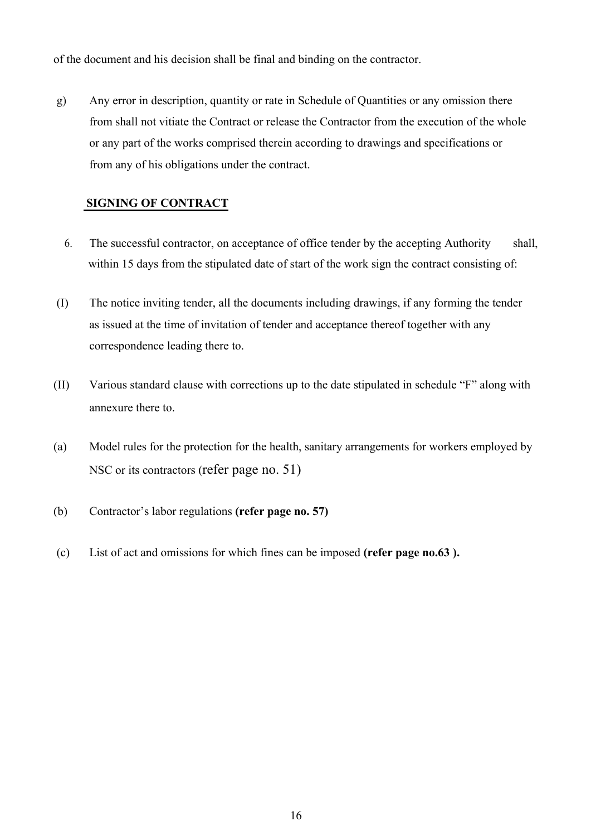of the document and his decision shall be final and binding on the contractor.

g) Any error in description, quantity or rate in Schedule of Quantities or any omission there from shall not vitiate the Contract or release the Contractor from the execution of the whole or any part of the works comprised therein according to drawings and specifications or from any of his obligations under the contract.

#### **SIGNING OF CONTRACT**

- 6. The successful contractor, on acceptance of office tender by the accepting Authority shall, within 15 days from the stipulated date of start of the work sign the contract consisting of:
- (I) The notice inviting tender, all the documents including drawings, if any forming the tender as issued at the time of invitation of tender and acceptance thereof together with any correspondence leading there to.
- (II) Various standard clause with corrections up to the date stipulated in schedule "F" along with annexure there to.
- (a) Model rules for the protection for the health, sanitary arrangements for workers employed by NSC or its contractors (refer page no. 51)
- (b) Contractor's labor regulations **(refer page no. 57)**
- (c) List of act and omissions for which fines can be imposed **(refer page no.63 ).**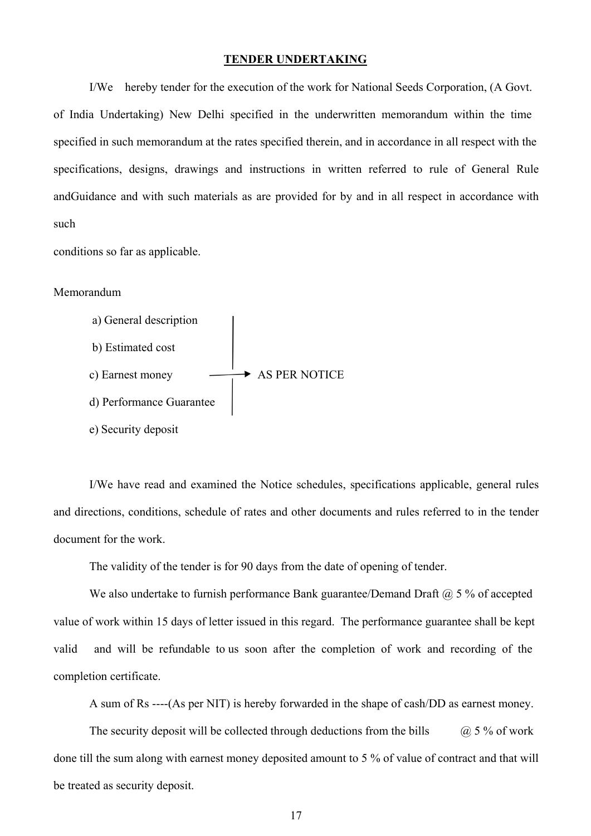#### **TENDER UNDERTAKING**

I/We hereby tender for the execution of the work for National Seeds Corporation, (A Govt. of India Undertaking) New Delhi specified in the underwritten memorandum within the time specified in such memorandum at the rates specified therein, and in accordance in all respect with the specifications, designs, drawings and instructions in written referred to rule of General Rule andGuidance and with such materials as are provided for by and in all respect in accordance with such

conditions so far as applicable.

#### Memorandum



I/We have read and examined the Notice schedules, specifications applicable, general rules and directions, conditions, schedule of rates and other documents and rules referred to in the tender document for the work.

The validity of the tender is for 90 days from the date of opening of tender.

We also undertake to furnish performance Bank guarantee/Demand Draft  $@$  5 % of accepted value of work within 15 days of letter issued in this regard. The performance guarantee shall be kept valid and will be refundable to us soon after the completion of work and recording of the completion certificate.

A sum of Rs ----(As per NIT) is hereby forwarded in the shape of cash/DD as earnest money.

The security deposit will be collected through deductions from the bills  $\qquad$   $\qquad$   $\qquad$  5 % of work done till the sum along with earnest money deposited amount to 5 % of value of contract and that will be treated as security deposit.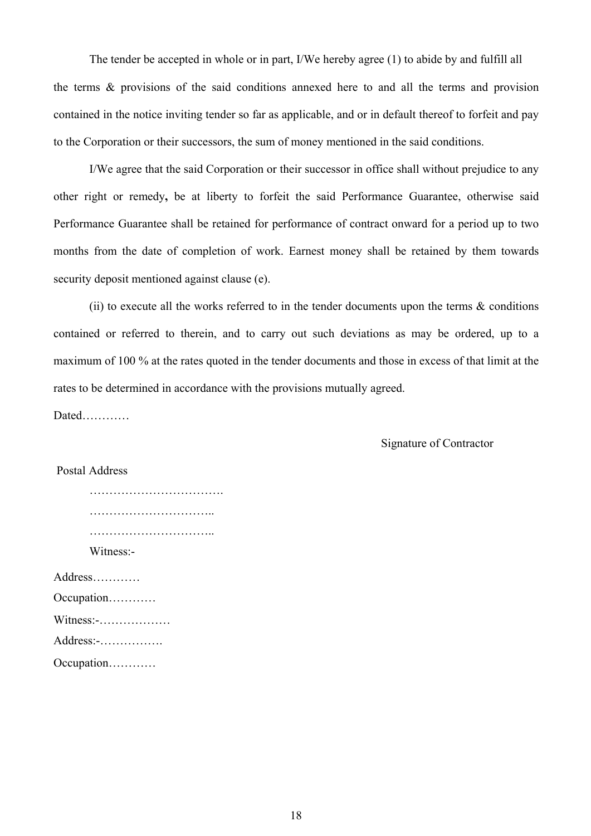The tender be accepted in whole or in part, I/We hereby agree (1) to abide by and fulfill all the terms & provisions of the said conditions annexed here to and all the terms and provision contained in the notice inviting tender so far as applicable, and or in default thereof to forfeit and pay to the Corporation or their successors, the sum of money mentioned in the said conditions.

I/We agree that the said Corporation or their successor in office shall without prejudice to any other right or remedy**,** be at liberty to forfeit the said Performance Guarantee, otherwise said Performance Guarantee shall be retained for performance of contract onward for a period up to two months from the date of completion of work. Earnest money shall be retained by them towards security deposit mentioned against clause (e).

(ii) to execute all the works referred to in the tender documents upon the terms  $\&$  conditions contained or referred to therein, and to carry out such deviations as may be ordered, up to a maximum of 100 % at the rates quoted in the tender documents and those in excess of that limit at the rates to be determined in accordance with the provisions mutually agreed.

Dated…………

Signature of Contractor

#### Postal Address

| Witness:-                          |  |
|------------------------------------|--|
| Address                            |  |
| Occupation                         |  |
| Witness:-                          |  |
| $Address: \dots \dots \dots \dots$ |  |
|                                    |  |

Occupation…………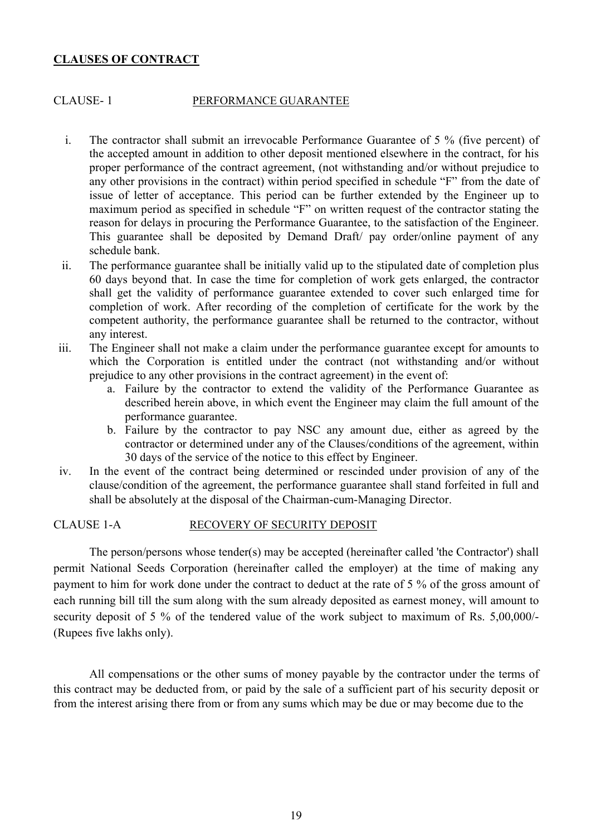#### **CLAUSES OF CONTRACT**

#### CLAUSE- 1 PERFORMANCE GUARANTEE

- i. The contractor shall submit an irrevocable Performance Guarantee of 5 % (five percent) of the accepted amount in addition to other deposit mentioned elsewhere in the contract, for his proper performance of the contract agreement, (not withstanding and/or without prejudice to any other provisions in the contract) within period specified in schedule "F" from the date of issue of letter of acceptance. This period can be further extended by the Engineer up to maximum period as specified in schedule "F" on written request of the contractor stating the reason for delays in procuring the Performance Guarantee, to the satisfaction of the Engineer. This guarantee shall be deposited by Demand Draft/ pay order/online payment of any schedule bank.
- ii. The performance guarantee shall be initially valid up to the stipulated date of completion plus 60 days beyond that. In case the time for completion of work gets enlarged, the contractor shall get the validity of performance guarantee extended to cover such enlarged time for completion of work. After recording of the completion of certificate for the work by the competent authority, the performance guarantee shall be returned to the contractor, without any interest.
- iii. The Engineer shall not make a claim under the performance guarantee except for amounts to which the Corporation is entitled under the contract (not withstanding and/or without prejudice to any other provisions in the contract agreement) in the event of:
	- a. Failure by the contractor to extend the validity of the Performance Guarantee as described herein above, in which event the Engineer may claim the full amount of the performance guarantee.
	- b. Failure by the contractor to pay NSC any amount due, either as agreed by the contractor or determined under any of the Clauses/conditions of the agreement, within 30 days of the service of the notice to this effect by Engineer.
- iv. In the event of the contract being determined or rescinded under provision of any of the clause/condition of the agreement, the performance guarantee shall stand forfeited in full and shall be absolutely at the disposal of the Chairman-cum-Managing Director.

#### CLAUSE 1-A RECOVERY OF SECURITY DEPOSIT

The person/persons whose tender(s) may be accepted (hereinafter called 'the Contractor') shall permit National Seeds Corporation (hereinafter called the employer) at the time of making any payment to him for work done under the contract to deduct at the rate of 5 % of the gross amount of each running bill till the sum along with the sum already deposited as earnest money, will amount to security deposit of 5 % of the tendered value of the work subject to maximum of Rs. 5,00,000/-(Rupees five lakhs only).

All compensations or the other sums of money payable by the contractor under the terms of this contract may be deducted from, or paid by the sale of a sufficient part of his security deposit or from the interest arising there from or from any sums which may be due or may become due to the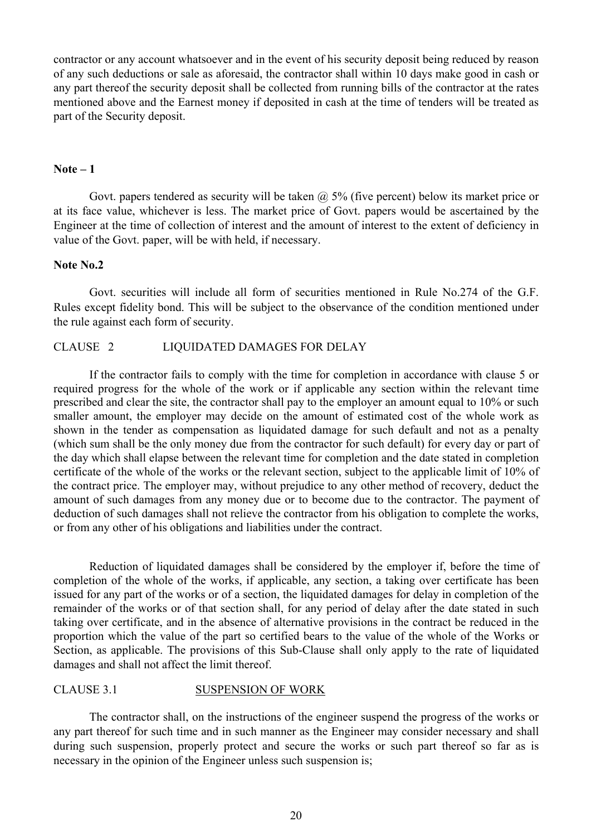contractor or any account whatsoever and in the event of his security deposit being reduced by reason of any such deductions or sale as aforesaid, the contractor shall within 10 days make good in cash or any part thereof the security deposit shall be collected from running bills of the contractor at the rates mentioned above and the Earnest money if deposited in cash at the time of tenders will be treated as part of the Security deposit.

## **Note – 1**

Govt. papers tendered as security will be taken  $\omega$  5% (five percent) below its market price or at its face value, whichever is less. The market price of Govt. papers would be ascertained by the Engineer at the time of collection of interest and the amount of interest to the extent of deficiency in value of the Govt. paper, will be with held, if necessary.

#### **Note No.2**

Govt. securities will include all form of securities mentioned in Rule No.274 of the G.F. Rules except fidelity bond. This will be subject to the observance of the condition mentioned under the rule against each form of security.

#### CLAUSE 2 LIQUIDATED DAMAGES FOR DELAY

If the contractor fails to comply with the time for completion in accordance with clause 5 or required progress for the whole of the work or if applicable any section within the relevant time prescribed and clear the site, the contractor shall pay to the employer an amount equal to 10% or such smaller amount, the employer may decide on the amount of estimated cost of the whole work as shown in the tender as compensation as liquidated damage for such default and not as a penalty (which sum shall be the only money due from the contractor for such default) for every day or part of the day which shall elapse between the relevant time for completion and the date stated in completion certificate of the whole of the works or the relevant section, subject to the applicable limit of 10% of the contract price. The employer may, without prejudice to any other method of recovery, deduct the amount of such damages from any money due or to become due to the contractor. The payment of deduction of such damages shall not relieve the contractor from his obligation to complete the works, or from any other of his obligations and liabilities under the contract.

Reduction of liquidated damages shall be considered by the employer if, before the time of completion of the whole of the works, if applicable, any section, a taking over certificate has been issued for any part of the works or of a section, the liquidated damages for delay in completion of the remainder of the works or of that section shall, for any period of delay after the date stated in such taking over certificate, and in the absence of alternative provisions in the contract be reduced in the proportion which the value of the part so certified bears to the value of the whole of the Works or Section, as applicable. The provisions of this Sub-Clause shall only apply to the rate of liquidated damages and shall not affect the limit thereof.

#### CLAUSE 3.1 SUSPENSION OF WORK

The contractor shall, on the instructions of the engineer suspend the progress of the works or any part thereof for such time and in such manner as the Engineer may consider necessary and shall during such suspension, properly protect and secure the works or such part thereof so far as is necessary in the opinion of the Engineer unless such suspension is;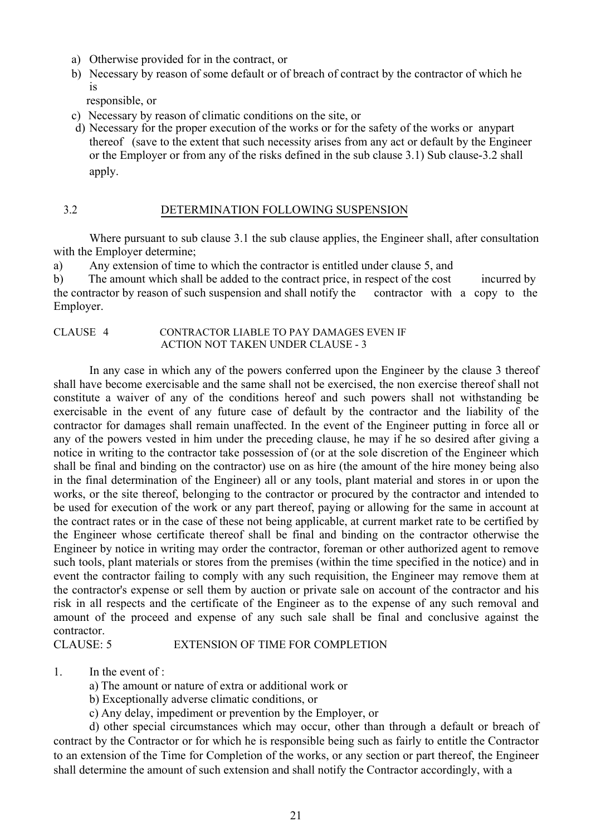- a) Otherwise provided for in the contract, or
- b) Necessary by reason of some default or of breach of contract by the contractor of which he is

responsible, or

- c) Necessary by reason of climatic conditions on the site, or
- d) Necessary for the proper execution of the works or for the safety of the works or anypart thereof (save to the extent that such necessity arises from any act or default by the Engineer or the Employer or from any of the risks defined in the sub clause 3.1) Sub clause-3.2 shall apply.

#### 3.2 DETERMINATION FOLLOWING SUSPENSION

Where pursuant to sub clause 3.1 the sub clause applies, the Engineer shall, after consultation with the Employer determine;

a) Any extension of time to which the contractor is entitled under clause 5, and

b) The amount which shall be added to the contract price, in respect of the cost incurred by the contractor by reason of such suspension and shall notify the contractor with a copy to the Employer.

#### CLAUSE 4 CONTRACTOR LIABLE TO PAY DAMAGES EVEN IF ACTION NOT TAKEN UNDER CLAUSE - 3

In any case in which any of the powers conferred upon the Engineer by the clause 3 thereof shall have become exercisable and the same shall not be exercised, the non exercise thereof shall not constitute a waiver of any of the conditions hereof and such powers shall not withstanding be exercisable in the event of any future case of default by the contractor and the liability of the contractor for damages shall remain unaffected. In the event of the Engineer putting in force all or any of the powers vested in him under the preceding clause, he may if he so desired after giving a notice in writing to the contractor take possession of (or at the sole discretion of the Engineer which shall be final and binding on the contractor) use on as hire (the amount of the hire money being also in the final determination of the Engineer) all or any tools, plant material and stores in or upon the works, or the site thereof, belonging to the contractor or procured by the contractor and intended to be used for execution of the work or any part thereof, paying or allowing for the same in account at the contract rates or in the case of these not being applicable, at current market rate to be certified by the Engineer whose certificate thereof shall be final and binding on the contractor otherwise the Engineer by notice in writing may order the contractor, foreman or other authorized agent to remove such tools, plant materials or stores from the premises (within the time specified in the notice) and in event the contractor failing to comply with any such requisition, the Engineer may remove them at the contractor's expense or sell them by auction or private sale on account of the contractor and his risk in all respects and the certificate of the Engineer as to the expense of any such removal and amount of the proceed and expense of any such sale shall be final and conclusive against the contractor.

#### CLAUSE: 5 EXTENSION OF TIME FOR COMPLETION

- 1. In the event of :
	- a) The amount or nature of extra or additional work or
	- b) Exceptionally adverse climatic conditions, or
	- c) Any delay, impediment or prevention by the Employer, or

d) other special circumstances which may occur, other than through a default or breach of contract by the Contractor or for which he is responsible being such as fairly to entitle the Contractor to an extension of the Time for Completion of the works, or any section or part thereof, the Engineer shall determine the amount of such extension and shall notify the Contractor accordingly, with a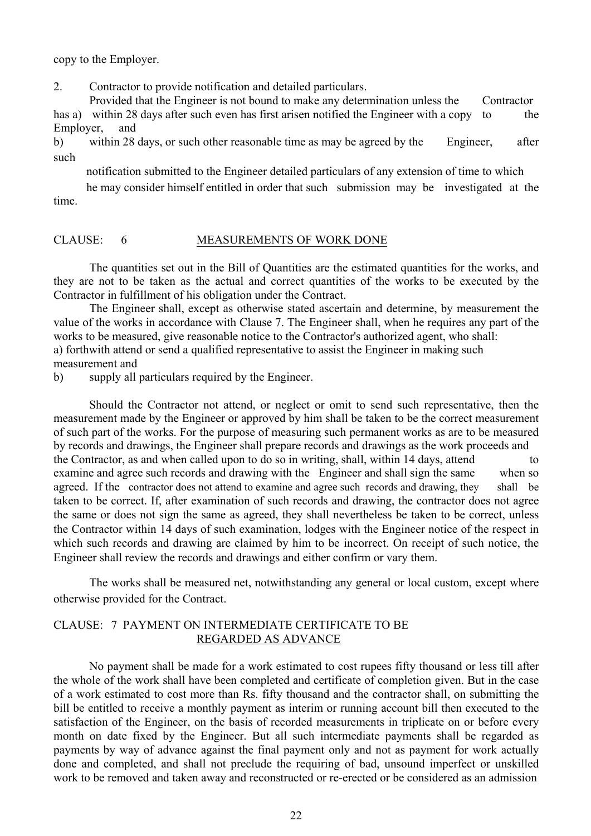copy to the Employer.

2. Contractor to provide notification and detailed particulars.

Provided that the Engineer is not bound to make any determination unless the Contractor has a) within 28 days after such even has first arisen notified the Engineer with a copy to the Employer, and

b) within 28 days, or such other reasonable time as may be agreed by the Engineer, after such

notification submitted to the Engineer detailed particulars of any extension of time to which

time. he may consider himself entitled in order that such submission may be investigated at the

#### CLAUSE: 6 MEASUREMENTS OF WORK DONE

The quantities set out in the Bill of Quantities are the estimated quantities for the works, and they are not to be taken as the actual and correct quantities of the works to be executed by the Contractor in fulfillment of his obligation under the Contract.

The Engineer shall, except as otherwise stated ascertain and determine, by measurement the value of the works in accordance with Clause 7. The Engineer shall, when he requires any part of the works to be measured, give reasonable notice to the Contractor's authorized agent, who shall: a) forthwith attend or send a qualified representative to assist the Engineer in making such

measurement and

b) supply all particulars required by the Engineer.

Should the Contractor not attend, or neglect or omit to send such representative, then the measurement made by the Engineer or approved by him shall be taken to be the correct measurement of such part of the works. For the purpose of measuring such permanent works as are to be measured by records and drawings, the Engineer shall prepare records and drawings as the work proceeds and the Contractor, as and when called upon to do so in writing, shall, within 14 days, attend to examine and agree such records and drawing with the Engineer and shall sign the same when so agreed. If the contractor does not attend to examine and agree such records and drawing, they shall be taken to be correct. If, after examination of such records and drawing, the contractor does not agree the same or does not sign the same as agreed, they shall nevertheless be taken to be correct, unless the Contractor within 14 days of such examination, lodges with the Engineer notice of the respect in which such records and drawing are claimed by him to be incorrect. On receipt of such notice, the Engineer shall review the records and drawings and either confirm or vary them.

The works shall be measured net, notwithstanding any general or local custom, except where otherwise provided for the Contract.

#### CLAUSE: 7 PAYMENT ON INTERMEDIATE CERTIFICATE TO BE REGARDED AS ADVANCE

No payment shall be made for a work estimated to cost rupees fifty thousand or less till after the whole of the work shall have been completed and certificate of completion given. But in the case of a work estimated to cost more than Rs. fifty thousand and the contractor shall, on submitting the bill be entitled to receive a monthly payment as interim or running account bill then executed to the satisfaction of the Engineer, on the basis of recorded measurements in triplicate on or before every month on date fixed by the Engineer. But all such intermediate payments shall be regarded as payments by way of advance against the final payment only and not as payment for work actually done and completed, and shall not preclude the requiring of bad, unsound imperfect or unskilled work to be removed and taken away and reconstructed or re-erected or be considered as an admission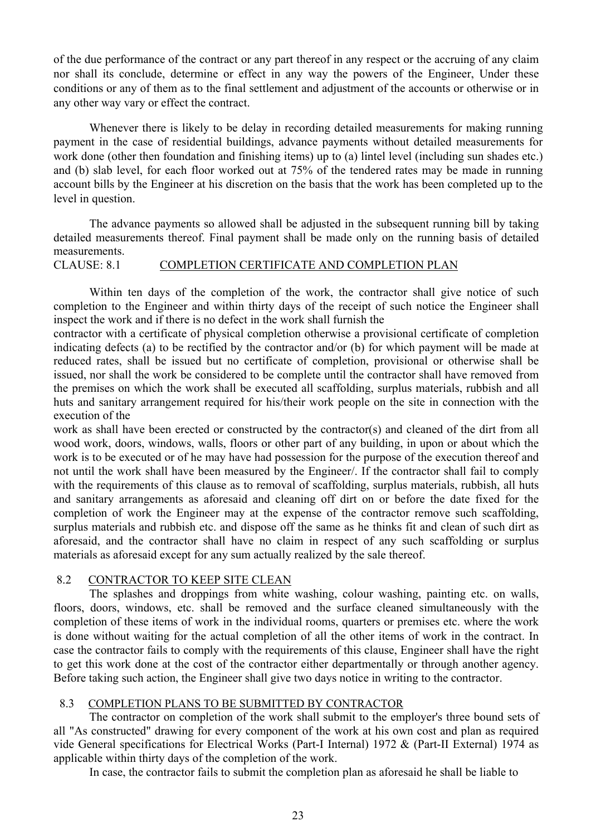of the due performance of the contract or any part thereof in any respect or the accruing of any claim nor shall its conclude, determine or effect in any way the powers of the Engineer, Under these conditions or any of them as to the final settlement and adjustment of the accounts or otherwise or in any other way vary or effect the contract.

Whenever there is likely to be delay in recording detailed measurements for making running payment in the case of residential buildings, advance payments without detailed measurements for work done (other then foundation and finishing items) up to (a) lintel level (including sun shades etc.) and (b) slab level, for each floor worked out at 75% of the tendered rates may be made in running account bills by the Engineer at his discretion on the basis that the work has been completed up to the level in question.

The advance payments so allowed shall be adjusted in the subsequent running bill by taking detailed measurements thereof. Final payment shall be made only on the running basis of detailed measurements.

#### CLAUSE: 8.1 COMPLETION CERTIFICATE AND COMPLETION PLAN

Within ten days of the completion of the work, the contractor shall give notice of such completion to the Engineer and within thirty days of the receipt of such notice the Engineer shall inspect the work and if there is no defect in the work shall furnish the

contractor with a certificate of physical completion otherwise a provisional certificate of completion indicating defects (a) to be rectified by the contractor and/or (b) for which payment will be made at reduced rates, shall be issued but no certificate of completion, provisional or otherwise shall be issued, nor shall the work be considered to be complete until the contractor shall have removed from the premises on which the work shall be executed all scaffolding, surplus materials, rubbish and all huts and sanitary arrangement required for his/their work people on the site in connection with the execution of the

work as shall have been erected or constructed by the contractor(s) and cleaned of the dirt from all wood work, doors, windows, walls, floors or other part of any building, in upon or about which the work is to be executed or of he may have had possession for the purpose of the execution thereof and not until the work shall have been measured by the Engineer/. If the contractor shall fail to comply with the requirements of this clause as to removal of scaffolding, surplus materials, rubbish, all huts and sanitary arrangements as aforesaid and cleaning off dirt on or before the date fixed for the completion of work the Engineer may at the expense of the contractor remove such scaffolding, surplus materials and rubbish etc. and dispose off the same as he thinks fit and clean of such dirt as aforesaid, and the contractor shall have no claim in respect of any such scaffolding or surplus materials as aforesaid except for any sum actually realized by the sale thereof.

#### 8.2 CONTRACTOR TO KEEP SITE CLEAN

The splashes and droppings from white washing, colour washing, painting etc. on walls, floors, doors, windows, etc. shall be removed and the surface cleaned simultaneously with the completion of these items of work in the individual rooms, quarters or premises etc. where the work is done without waiting for the actual completion of all the other items of work in the contract. In case the contractor fails to comply with the requirements of this clause, Engineer shall have the right to get this work done at the cost of the contractor either departmentally or through another agency. Before taking such action, the Engineer shall give two days notice in writing to the contractor.

#### 8.3 COMPLETION PLANS TO BE SUBMITTED BY CONTRACTOR

The contractor on completion of the work shall submit to the employer's three bound sets of all "As constructed" drawing for every component of the work at his own cost and plan as required vide General specifications for Electrical Works (Part-I Internal) 1972 & (Part-II External) 1974 as applicable within thirty days of the completion of the work.

In case, the contractor fails to submit the completion plan as aforesaid he shall be liable to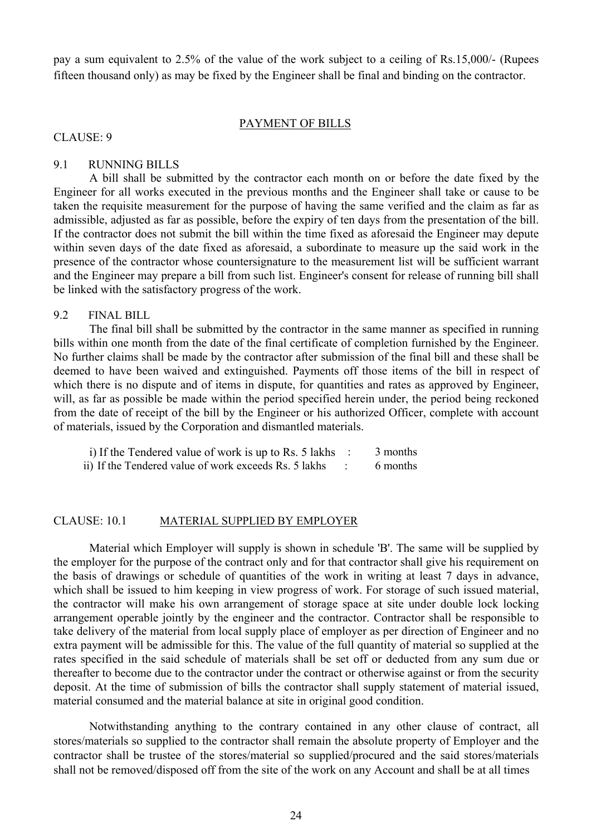pay a sum equivalent to 2.5% of the value of the work subject to a ceiling of Rs.15,000/- (Rupees fifteen thousand only) as may be fixed by the Engineer shall be final and binding on the contractor.

#### PAYMENT OF BILLS

CLAUSE: 9

#### 9.1 RUNNING BILLS

A bill shall be submitted by the contractor each month on or before the date fixed by the Engineer for all works executed in the previous months and the Engineer shall take or cause to be taken the requisite measurement for the purpose of having the same verified and the claim as far as admissible, adjusted as far as possible, before the expiry of ten days from the presentation of the bill. If the contractor does not submit the bill within the time fixed as aforesaid the Engineer may depute within seven days of the date fixed as aforesaid, a subordinate to measure up the said work in the presence of the contractor whose countersignature to the measurement list will be sufficient warrant and the Engineer may prepare a bill from such list. Engineer's consent for release of running bill shall be linked with the satisfactory progress of the work.

#### 9.2 FINAL BILL

The final bill shall be submitted by the contractor in the same manner as specified in running bills within one month from the date of the final certificate of completion furnished by the Engineer. No further claims shall be made by the contractor after submission of the final bill and these shall be deemed to have been waived and extinguished. Payments off those items of the bill in respect of which there is no dispute and of items in dispute, for quantities and rates as approved by Engineer, will, as far as possible be made within the period specified herein under, the period being reckoned from the date of receipt of the bill by the Engineer or his authorized Officer, complete with account of materials, issued by the Corporation and dismantled materials.

| i) If the Tendered value of work is up to Rs. 5 lakhs | 3 months |
|-------------------------------------------------------|----------|
| ii) If the Tendered value of work exceeds Rs. 5 lakhs | 6 months |

#### CLAUSE: 10.1 MATERIAL SUPPLIED BY EMPLOYER

Material which Employer will supply is shown in schedule 'B'. The same will be supplied by the employer for the purpose of the contract only and for that contractor shall give his requirement on the basis of drawings or schedule of quantities of the work in writing at least 7 days in advance, which shall be issued to him keeping in view progress of work. For storage of such issued material, the contractor will make his own arrangement of storage space at site under double lock locking arrangement operable jointly by the engineer and the contractor. Contractor shall be responsible to take delivery of the material from local supply place of employer as per direction of Engineer and no extra payment will be admissible for this. The value of the full quantity of material so supplied at the rates specified in the said schedule of materials shall be set off or deducted from any sum due or thereafter to become due to the contractor under the contract or otherwise against or from the security deposit. At the time of submission of bills the contractor shall supply statement of material issued, material consumed and the material balance at site in original good condition.

Notwithstanding anything to the contrary contained in any other clause of contract, all stores/materials so supplied to the contractor shall remain the absolute property of Employer and the contractor shall be trustee of the stores/material so supplied/procured and the said stores/materials shall not be removed/disposed off from the site of the work on any Account and shall be at all times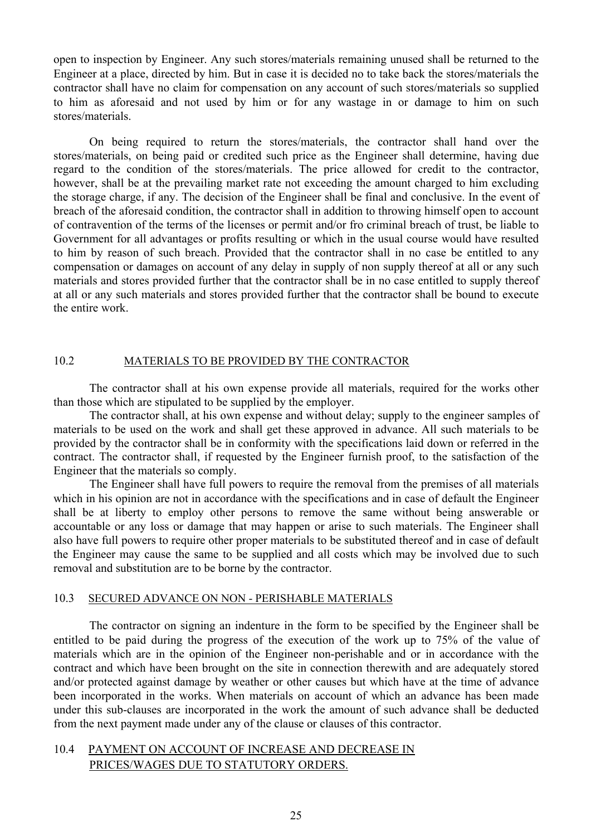open to inspection by Engineer. Any such stores/materials remaining unused shall be returned to the Engineer at a place, directed by him. But in case it is decided no to take back the stores/materials the contractor shall have no claim for compensation on any account of such stores/materials so supplied to him as aforesaid and not used by him or for any wastage in or damage to him on such stores/materials.

On being required to return the stores/materials, the contractor shall hand over the stores/materials, on being paid or credited such price as the Engineer shall determine, having due regard to the condition of the stores/materials. The price allowed for credit to the contractor, however, shall be at the prevailing market rate not exceeding the amount charged to him excluding the storage charge, if any. The decision of the Engineer shall be final and conclusive. In the event of breach of the aforesaid condition, the contractor shall in addition to throwing himself open to account of contravention of the terms of the licenses or permit and/or fro criminal breach of trust, be liable to Government for all advantages or profits resulting or which in the usual course would have resulted to him by reason of such breach. Provided that the contractor shall in no case be entitled to any compensation or damages on account of any delay in supply of non supply thereof at all or any such materials and stores provided further that the contractor shall be in no case entitled to supply thereof at all or any such materials and stores provided further that the contractor shall be bound to execute the entire work.

# 10.2 MATERIALS TO BE PROVIDED BY THE CONTRACTOR

The contractor shall at his own expense provide all materials, required for the works other than those which are stipulated to be supplied by the employer.

The contractor shall, at his own expense and without delay; supply to the engineer samples of materials to be used on the work and shall get these approved in advance. All such materials to be provided by the contractor shall be in conformity with the specifications laid down or referred in the contract. The contractor shall, if requested by the Engineer furnish proof, to the satisfaction of the Engineer that the materials so comply.

The Engineer shall have full powers to require the removal from the premises of all materials which in his opinion are not in accordance with the specifications and in case of default the Engineer shall be at liberty to employ other persons to remove the same without being answerable or accountable or any loss or damage that may happen or arise to such materials. The Engineer shall also have full powers to require other proper materials to be substituted thereof and in case of default the Engineer may cause the same to be supplied and all costs which may be involved due to such removal and substitution are to be borne by the contractor.

#### 10.3 SECURED ADVANCE ON NON - PERISHABLE MATERIALS

The contractor on signing an indenture in the form to be specified by the Engineer shall be entitled to be paid during the progress of the execution of the work up to 75% of the value of materials which are in the opinion of the Engineer non-perishable and or in accordance with the contract and which have been brought on the site in connection therewith and are adequately stored and/or protected against damage by weather or other causes but which have at the time of advance been incorporated in the works. When materials on account of which an advance has been made under this sub-clauses are incorporated in the work the amount of such advance shall be deducted from the next payment made under any of the clause or clauses of this contractor.

## 10.4 PAYMENT ON ACCOUNT OF INCREASE AND DECREASE IN PRICES/WAGES DUE TO STATUTORY ORDERS.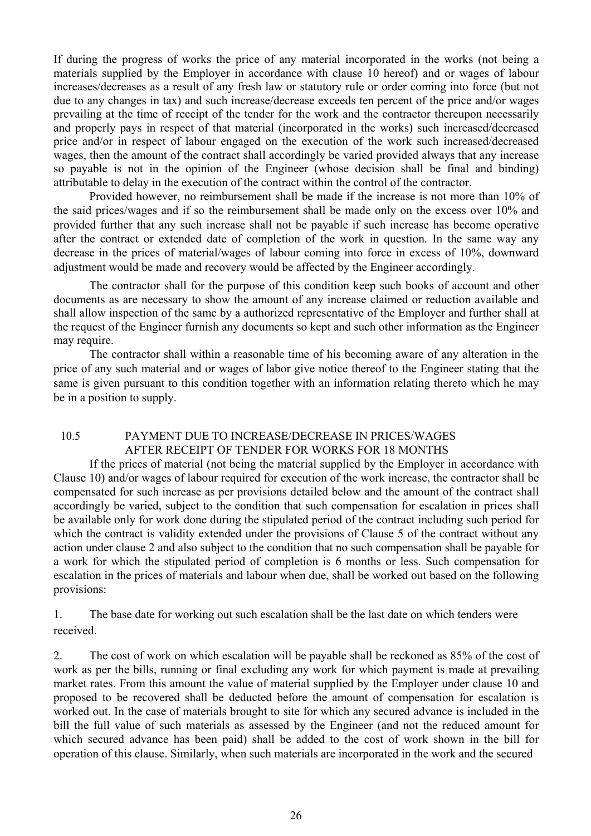If during the progress of works the price of any material incorporated in the works (not being a materials supplied by the Employer in accordance with clause 10 hereof) and or wages of labour increases/decreases as a result of any fresh law or statutory rule or order coming into force (but not due to any changes in tax) and such increase/decrease exceeds ten percent of the price and/or wages prevailing at the time of receipt of the tender for the work and the contractor thereupon necessarily and properly pays in respect of that material (incorporated in the works) such increased/decreased price and/or in respect of labour engaged on the execution of the work such increased/decreased wages, then the amount of the contract shall accordingly be varied provided always that any increase so payable is not in the opinion of the Engineer (whose decision shall be final and binding) attributable to delay in the execution of the contract within the control of the contractor.

Provided however, no reimbursement shall be made if the increase is not more than 10% of the said prices/wages and if so the reimbursement shall be made only on the excess over 10% and provided further that any such increase shall not be payable if such increase has become operative after the contract or extended date of completion of the work in question. In the same way any decrease in the prices of material/wages of labour coming into force in excess of 10%, downward adjustment would be made and recovery would be affected by the Engineer accordingly.

The contractor shall for the purpose of this condition keep such books of account and other documents as are necessary to show the amount of any increase claimed or reduction available and shall allow inspection of the same by a authorized representative of the Employer and further shall at the request of the Engineer furnish any documents so kept and such other information as the Engineer may require.

The contractor shall within a reasonable time of his becoming aware of any alteration in the price of any such material and or wages of labor give notice thereof to the Engineer stating that the same is given pursuant to this condition together with an information relating thereto which he may be in a position to supply.

## 10.5 PAYMENT DUE TO INCREASE/DECREASE IN PRICES/WAGES AFTER RECEIPT OF TENDER FOR WORKS FOR 18 MONTHS

If the prices of material (not being the material supplied by the Employer in accordance with Clause 10) and/or wages of labour required for execution of the work increase, the contractor shall be compensated for such increase as per provisions detailed below and the amount of the contract shall accordingly be varied, subject to the condition that such compensation for escalation in prices shall be available only for work done during the stipulated period of the contract including such period for which the contract is validity extended under the provisions of Clause 5 of the contract without any action under clause 2 and also subject to the condition that no such compensation shall be payable for a work for which the stipulated period of completion is 6 months or less. Such compensation for escalation in the prices of materials and labour when due, shall be worked out based on the following provisions:

1. The base date for working out such escalation shall be the last date on which tenders were received.

2. The cost of work on which escalation will be payable shall be reckoned as 85% of the cost of work as per the bills, running or final excluding any work for which payment is made at prevailing market rates. From this amount the value of material supplied by the Employer under clause 10 and proposed to be recovered shall be deducted before the amount of compensation for escalation is worked out. In the case of materials brought to site for which any secured advance is included in the bill the full value of such materials as assessed by the Engineer (and not the reduced amount for which secured advance has been paid) shall be added to the cost of work shown in the bill for operation of this clause. Similarly, when such materials are incorporated in the work and the secured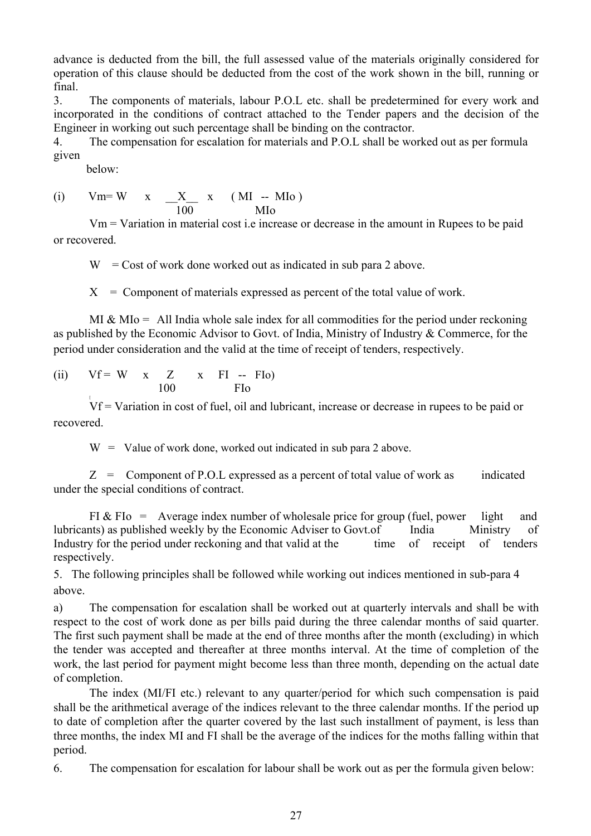advance is deducted from the bill, the full assessed value of the materials originally considered for operation of this clause should be deducted from the cost of the work shown in the bill, running or final.

3. The components of materials, labour P.O.L etc. shall be predetermined for every work and incorporated in the conditions of contract attached to the Tender papers and the decision of the Engineer in working out such percentage shall be binding on the contractor.

4. The compensation for escalation for materials and P.O.L shall be worked out as per formula given

below:

(i) 
$$
Vm = W
$$
 x  $\frac{X}{100}$  x (MI -- MIo)  
MIo

Vm = Variation in material cost i.e increase or decrease in the amount in Rupees to be paid or recovered.

 $W = \text{Cost of work}$  done worked out as indicated in sub para 2 above.

 $X =$  Component of materials expressed as percent of the total value of work.

MI & MI<sub>0</sub> = All India whole sale index for all commodities for the period under reckoning as published by the Economic Advisor to Govt. of India, Ministry of Industry & Commerce, for the period under consideration and the valid at the time of receipt of tenders, respectively.

(ii)  $Vf = W x Z x FI - FIo$ 100 FIo

[ Vf = Variation in cost of fuel, oil and lubricant, increase or decrease in rupees to be paid or recovered.

 $W =$  Value of work done, worked out indicated in sub para 2 above.

 $Z =$  Component of P.O.L expressed as a percent of total value of work as indicated under the special conditions of contract.

FI & FI<sub>o</sub> = Average index number of wholesale price for group (fuel, power light and lubricants) as published weekly by the Economic Adviser to Govt.of India Ministry of Industry for the period under reckoning and that valid at the time of receipt of tenders respectively.

5. The following principles shall be followed while working out indices mentioned in sub-para 4 above.

a) The compensation for escalation shall be worked out at quarterly intervals and shall be with respect to the cost of work done as per bills paid during the three calendar months of said quarter. The first such payment shall be made at the end of three months after the month (excluding) in which the tender was accepted and thereafter at three months interval. At the time of completion of the work, the last period for payment might become less than three month, depending on the actual date of completion.

The index (MI/FI etc.) relevant to any quarter/period for which such compensation is paid shall be the arithmetical average of the indices relevant to the three calendar months. If the period up to date of completion after the quarter covered by the last such installment of payment, is less than three months, the index MI and FI shall be the average of the indices for the moths falling within that period.

6. The compensation for escalation for labour shall be work out as per the formula given below: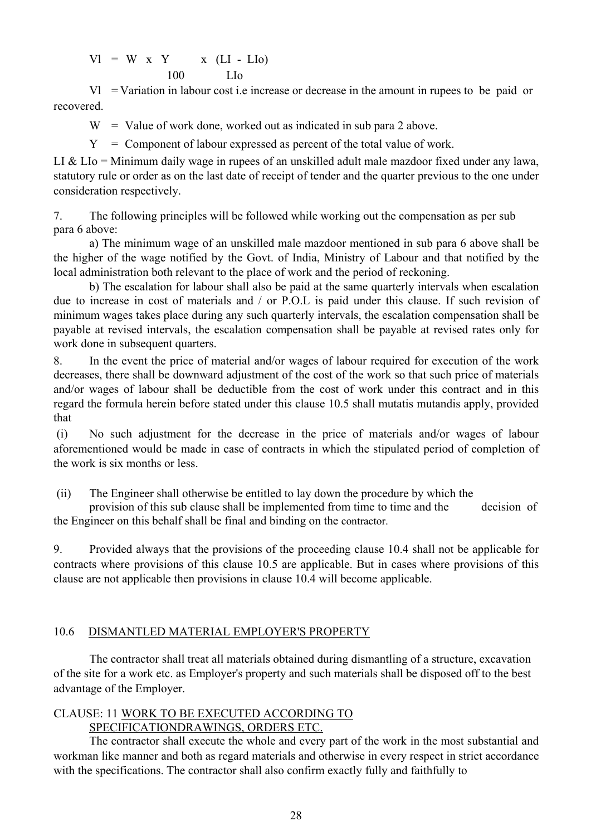$Vl = W x Y$  x (LI - LIo) 100 LIo

Vl = Variation in labour cost i.e increase or decrease in the amount in rupees to be paid or recovered.

 $W =$  Value of work done, worked out as indicated in sub para 2 above.

 $Y =$  Component of labour expressed as percent of the total value of work.

LI  $&$  LI<sub>o</sub> = Minimum daily wage in rupees of an unskilled adult male mazdoor fixed under any lawa, statutory rule or order as on the last date of receipt of tender and the quarter previous to the one under consideration respectively.

7. The following principles will be followed while working out the compensation as per sub para 6 above:

a) The minimum wage of an unskilled male mazdoor mentioned in sub para 6 above shall be the higher of the wage notified by the Govt. of India, Ministry of Labour and that notified by the local administration both relevant to the place of work and the period of reckoning.

b) The escalation for labour shall also be paid at the same quarterly intervals when escalation due to increase in cost of materials and / or P.O.L is paid under this clause. If such revision of minimum wages takes place during any such quarterly intervals, the escalation compensation shall be payable at revised intervals, the escalation compensation shall be payable at revised rates only for work done in subsequent quarters.

8. In the event the price of material and/or wages of labour required for execution of the work decreases, there shall be downward adjustment of the cost of the work so that such price of materials and/or wages of labour shall be deductible from the cost of work under this contract and in this regard the formula herein before stated under this clause 10.5 shall mutatis mutandis apply, provided that

(i) No such adjustment for the decrease in the price of materials and/or wages of labour aforementioned would be made in case of contracts in which the stipulated period of completion of the work is six months or less.

(ii) The Engineer shall otherwise be entitled to lay down the procedure by which the

provision of this sub clause shall be implemented from time to time and the decision of the Engineer on this behalf shall be final and binding on the contractor.

9. Provided always that the provisions of the proceeding clause 10.4 shall not be applicable for contracts where provisions of this clause 10.5 are applicable. But in cases where provisions of this clause are not applicable then provisions in clause 10.4 will become applicable.

## 10.6 DISMANTLED MATERIAL EMPLOYER'S PROPERTY

The contractor shall treat all materials obtained during dismantling of a structure, excavation of the site for a work etc. as Employer's property and such materials shall be disposed off to the best advantage of the Employer.

## CLAUSE: 11 WORK TO BE EXECUTED ACCORDING TO SPECIFICATIONDRAWINGS, ORDERS ETC.

The contractor shall execute the whole and every part of the work in the most substantial and workman like manner and both as regard materials and otherwise in every respect in strict accordance with the specifications. The contractor shall also confirm exactly fully and faithfully to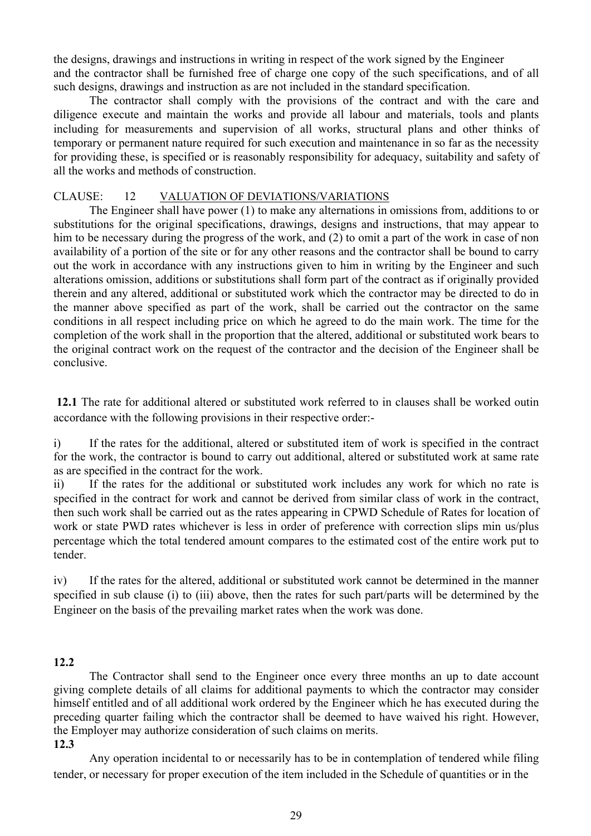the designs, drawings and instructions in writing in respect of the work signed by the Engineer and the contractor shall be furnished free of charge one copy of the such specifications, and of all such designs, drawings and instruction as are not included in the standard specification.

The contractor shall comply with the provisions of the contract and with the care and diligence execute and maintain the works and provide all labour and materials, tools and plants including for measurements and supervision of all works, structural plans and other thinks of temporary or permanent nature required for such execution and maintenance in so far as the necessity for providing these, is specified or is reasonably responsibility for adequacy, suitability and safety of all the works and methods of construction.

#### CLAUSE: 12 VALUATION OF DEVIATIONS/VARIATIONS

The Engineer shall have power (1) to make any alternations in omissions from, additions to or substitutions for the original specifications, drawings, designs and instructions, that may appear to him to be necessary during the progress of the work, and (2) to omit a part of the work in case of non availability of a portion of the site or for any other reasons and the contractor shall be bound to carry out the work in accordance with any instructions given to him in writing by the Engineer and such alterations omission, additions or substitutions shall form part of the contract as if originally provided therein and any altered, additional or substituted work which the contractor may be directed to do in the manner above specified as part of the work, shall be carried out the contractor on the same conditions in all respect including price on which he agreed to do the main work. The time for the completion of the work shall in the proportion that the altered, additional or substituted work bears to the original contract work on the request of the contractor and the decision of the Engineer shall be conclusive.

**12.1** The rate for additional altered or substituted work referred to in clauses shall be worked outin accordance with the following provisions in their respective order:-

i) If the rates for the additional, altered or substituted item of work is specified in the contract for the work, the contractor is bound to carry out additional, altered or substituted work at same rate as are specified in the contract for the work.

ii) If the rates for the additional or substituted work includes any work for which no rate is specified in the contract for work and cannot be derived from similar class of work in the contract, then such work shall be carried out as the rates appearing in CPWD Schedule of Rates for location of work or state PWD rates whichever is less in order of preference with correction slips min us/plus percentage which the total tendered amount compares to the estimated cost of the entire work put to tender.

iv) If the rates for the altered, additional or substituted work cannot be determined in the manner specified in sub clause (i) to (iii) above, then the rates for such part/parts will be determined by the Engineer on the basis of the prevailing market rates when the work was done.

## **12.2**

The Contractor shall send to the Engineer once every three months an up to date account giving complete details of all claims for additional payments to which the contractor may consider himself entitled and of all additional work ordered by the Engineer which he has executed during the preceding quarter failing which the contractor shall be deemed to have waived his right. However, the Employer may authorize consideration of such claims on merits. **12.3** 

# Any operation incidental to or necessarily has to be in contemplation of tendered while filing tender, or necessary for proper execution of the item included in the Schedule of quantities or in the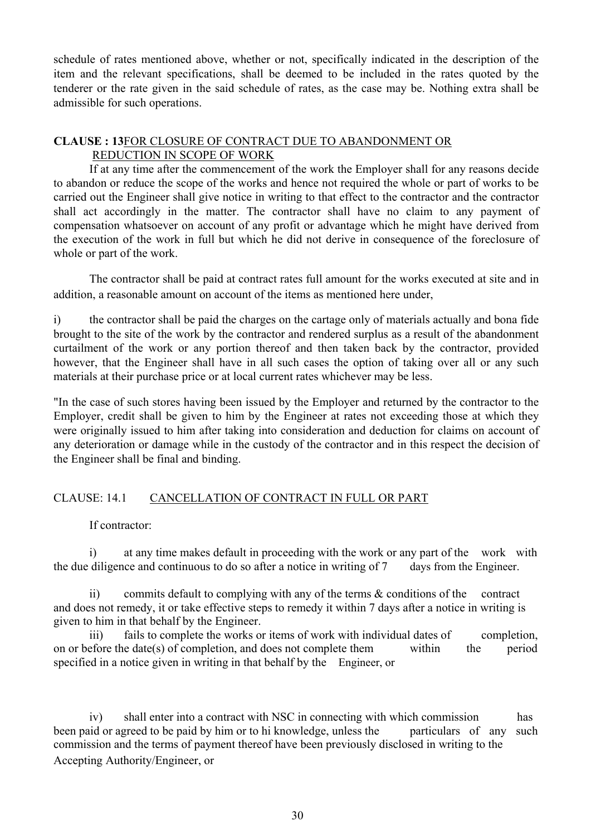schedule of rates mentioned above, whether or not, specifically indicated in the description of the item and the relevant specifications, shall be deemed to be included in the rates quoted by the tenderer or the rate given in the said schedule of rates, as the case may be. Nothing extra shall be admissible for such operations.

#### **CLAUSE : 13**FOR CLOSURE OF CONTRACT DUE TO ABANDONMENT OR REDUCTION IN SCOPE OF WORK

If at any time after the commencement of the work the Employer shall for any reasons decide to abandon or reduce the scope of the works and hence not required the whole or part of works to be carried out the Engineer shall give notice in writing to that effect to the contractor and the contractor shall act accordingly in the matter. The contractor shall have no claim to any payment of compensation whatsoever on account of any profit or advantage which he might have derived from the execution of the work in full but which he did not derive in consequence of the foreclosure of whole or part of the work.

The contractor shall be paid at contract rates full amount for the works executed at site and in addition, a reasonable amount on account of the items as mentioned here under,

i) the contractor shall be paid the charges on the cartage only of materials actually and bona fide brought to the site of the work by the contractor and rendered surplus as a result of the abandonment curtailment of the work or any portion thereof and then taken back by the contractor, provided however, that the Engineer shall have in all such cases the option of taking over all or any such materials at their purchase price or at local current rates whichever may be less.

"In the case of such stores having been issued by the Employer and returned by the contractor to the Employer, credit shall be given to him by the Engineer at rates not exceeding those at which they were originally issued to him after taking into consideration and deduction for claims on account of any deterioration or damage while in the custody of the contractor and in this respect the decision of the Engineer shall be final and binding.

## CLAUSE: 14.1 CANCELLATION OF CONTRACT IN FULL OR PART

If contractor:

i) at any time makes default in proceeding with the work or any part of the work with the due diligence and continuous to do so after a notice in writing of 7 days from the Engineer.

ii) commits default to complying with any of the terms & conditions of the contract and does not remedy, it or take effective steps to remedy it within 7 days after a notice in writing is given to him in that behalf by the Engineer.

iii) fails to complete the works or items of work with individual dates of completion, on or before the date(s) of completion, and does not complete them within the period specified in a notice given in writing in that behalf by the Engineer, or

iv) shall enter into a contract with NSC in connecting with which commission has been paid or agreed to be paid by him or to hi knowledge, unless the particulars of any such commission and the terms of payment thereof have been previously disclosed in writing to the Accepting Authority/Engineer, or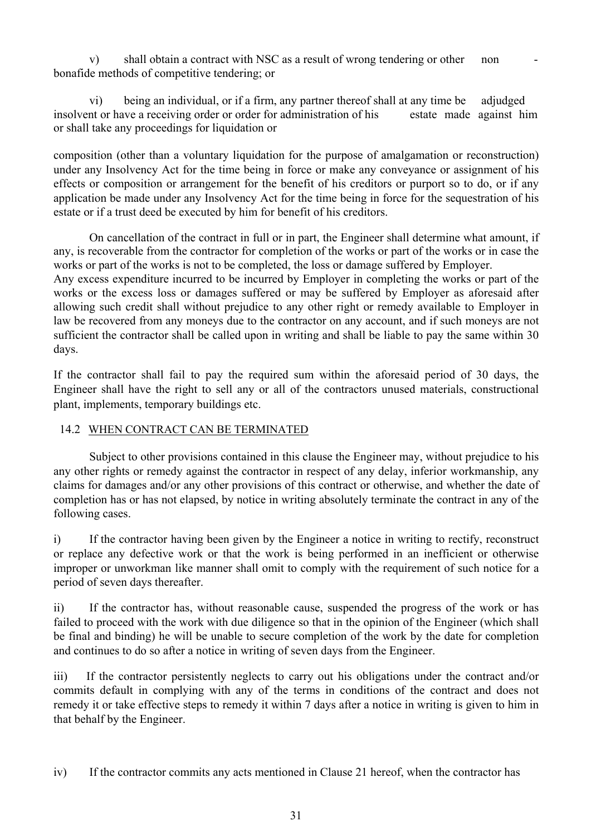v) shall obtain a contract with NSC as a result of wrong tendering or other non bonafide methods of competitive tendering; or

vi) being an individual, or if a firm, any partner thereof shall at any time be adjudged insolvent or have a receiving order or order for administration of his estate made against him or shall take any proceedings for liquidation or

composition (other than a voluntary liquidation for the purpose of amalgamation or reconstruction) under any Insolvency Act for the time being in force or make any conveyance or assignment of his effects or composition or arrangement for the benefit of his creditors or purport so to do, or if any application be made under any Insolvency Act for the time being in force for the sequestration of his estate or if a trust deed be executed by him for benefit of his creditors.

On cancellation of the contract in full or in part, the Engineer shall determine what amount, if any, is recoverable from the contractor for completion of the works or part of the works or in case the works or part of the works is not to be completed, the loss or damage suffered by Employer.

Any excess expenditure incurred to be incurred by Employer in completing the works or part of the works or the excess loss or damages suffered or may be suffered by Employer as aforesaid after allowing such credit shall without prejudice to any other right or remedy available to Employer in law be recovered from any moneys due to the contractor on any account, and if such moneys are not sufficient the contractor shall be called upon in writing and shall be liable to pay the same within 30 days.

If the contractor shall fail to pay the required sum within the aforesaid period of 30 days, the Engineer shall have the right to sell any or all of the contractors unused materials, constructional plant, implements, temporary buildings etc.

# 14.2 WHEN CONTRACT CAN BE TERMINATED

Subject to other provisions contained in this clause the Engineer may, without prejudice to his any other rights or remedy against the contractor in respect of any delay, inferior workmanship, any claims for damages and/or any other provisions of this contract or otherwise, and whether the date of completion has or has not elapsed, by notice in writing absolutely terminate the contract in any of the following cases.

i) If the contractor having been given by the Engineer a notice in writing to rectify, reconstruct or replace any defective work or that the work is being performed in an inefficient or otherwise improper or unworkman like manner shall omit to comply with the requirement of such notice for a period of seven days thereafter.

ii) If the contractor has, without reasonable cause, suspended the progress of the work or has failed to proceed with the work with due diligence so that in the opinion of the Engineer (which shall be final and binding) he will be unable to secure completion of the work by the date for completion and continues to do so after a notice in writing of seven days from the Engineer.

iii) If the contractor persistently neglects to carry out his obligations under the contract and/or commits default in complying with any of the terms in conditions of the contract and does not remedy it or take effective steps to remedy it within 7 days after a notice in writing is given to him in that behalf by the Engineer.

iv) If the contractor commits any acts mentioned in Clause 21 hereof, when the contractor has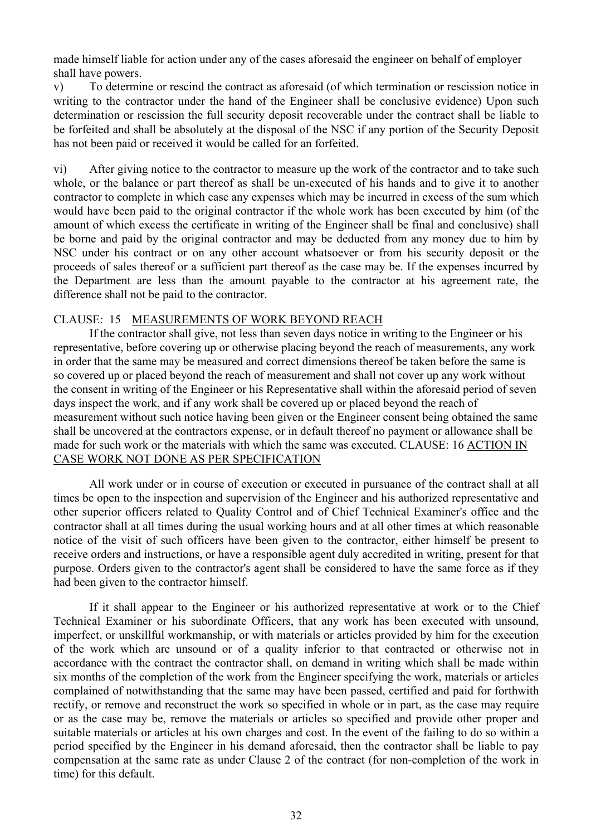made himself liable for action under any of the cases aforesaid the engineer on behalf of employer shall have powers.

v) To determine or rescind the contract as aforesaid (of which termination or rescission notice in writing to the contractor under the hand of the Engineer shall be conclusive evidence) Upon such determination or rescission the full security deposit recoverable under the contract shall be liable to be forfeited and shall be absolutely at the disposal of the NSC if any portion of the Security Deposit has not been paid or received it would be called for an forfeited.

vi) After giving notice to the contractor to measure up the work of the contractor and to take such whole, or the balance or part thereof as shall be un-executed of his hands and to give it to another contractor to complete in which case any expenses which may be incurred in excess of the sum which would have been paid to the original contractor if the whole work has been executed by him (of the amount of which excess the certificate in writing of the Engineer shall be final and conclusive) shall be borne and paid by the original contractor and may be deducted from any money due to him by NSC under his contract or on any other account whatsoever or from his security deposit or the proceeds of sales thereof or a sufficient part thereof as the case may be. If the expenses incurred by the Department are less than the amount payable to the contractor at his agreement rate, the difference shall not be paid to the contractor.

#### CLAUSE: 15 MEASUREMENTS OF WORK BEYOND REACH

If the contractor shall give, not less than seven days notice in writing to the Engineer or his representative, before covering up or otherwise placing beyond the reach of measurements, any work in order that the same may be measured and correct dimensions thereof be taken before the same is so covered up or placed beyond the reach of measurement and shall not cover up any work without the consent in writing of the Engineer or his Representative shall within the aforesaid period of seven days inspect the work, and if any work shall be covered up or placed beyond the reach of measurement without such notice having been given or the Engineer consent being obtained the same shall be uncovered at the contractors expense, or in default thereof no payment or allowance shall be made for such work or the materials with which the same was executed. CLAUSE: 16 ACTION IN CASE WORK NOT DONE AS PER SPECIFICATION

All work under or in course of execution or executed in pursuance of the contract shall at all times be open to the inspection and supervision of the Engineer and his authorized representative and other superior officers related to Quality Control and of Chief Technical Examiner's office and the contractor shall at all times during the usual working hours and at all other times at which reasonable notice of the visit of such officers have been given to the contractor, either himself be present to receive orders and instructions, or have a responsible agent duly accredited in writing, present for that purpose. Orders given to the contractor's agent shall be considered to have the same force as if they had been given to the contractor himself.

If it shall appear to the Engineer or his authorized representative at work or to the Chief Technical Examiner or his subordinate Officers, that any work has been executed with unsound, imperfect, or unskillful workmanship, or with materials or articles provided by him for the execution of the work which are unsound or of a quality inferior to that contracted or otherwise not in accordance with the contract the contractor shall, on demand in writing which shall be made within six months of the completion of the work from the Engineer specifying the work, materials or articles complained of notwithstanding that the same may have been passed, certified and paid for forthwith rectify, or remove and reconstruct the work so specified in whole or in part, as the case may require or as the case may be, remove the materials or articles so specified and provide other proper and suitable materials or articles at his own charges and cost. In the event of the failing to do so within a period specified by the Engineer in his demand aforesaid, then the contractor shall be liable to pay compensation at the same rate as under Clause 2 of the contract (for non-completion of the work in time) for this default.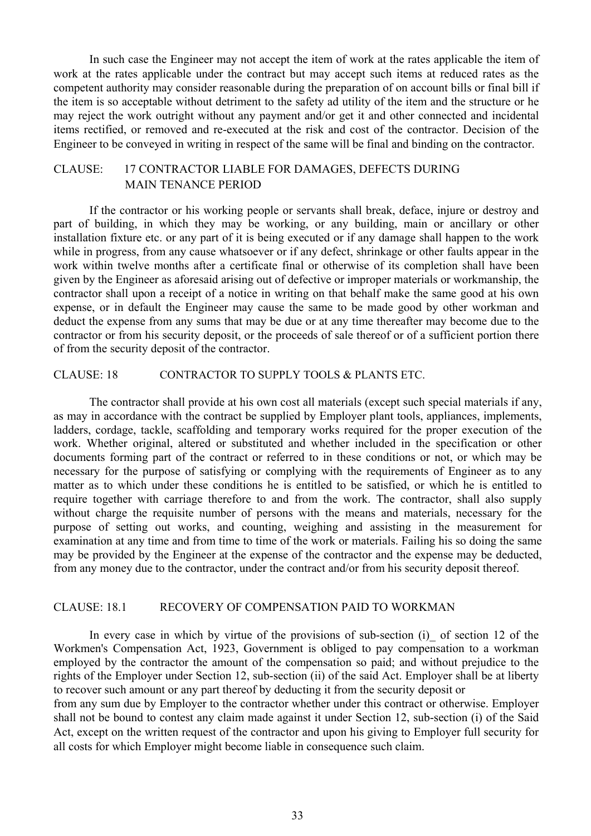In such case the Engineer may not accept the item of work at the rates applicable the item of work at the rates applicable under the contract but may accept such items at reduced rates as the competent authority may consider reasonable during the preparation of on account bills or final bill if the item is so acceptable without detriment to the safety ad utility of the item and the structure or he may reject the work outright without any payment and/or get it and other connected and incidental items rectified, or removed and re-executed at the risk and cost of the contractor. Decision of the Engineer to be conveyed in writing in respect of the same will be final and binding on the contractor.

# CLAUSE: 17 CONTRACTOR LIABLE FOR DAMAGES, DEFECTS DURING MAIN TENANCE PERIOD

If the contractor or his working people or servants shall break, deface, injure or destroy and part of building, in which they may be working, or any building, main or ancillary or other installation fixture etc. or any part of it is being executed or if any damage shall happen to the work while in progress, from any cause whatsoever or if any defect, shrinkage or other faults appear in the work within twelve months after a certificate final or otherwise of its completion shall have been given by the Engineer as aforesaid arising out of defective or improper materials or workmanship, the contractor shall upon a receipt of a notice in writing on that behalf make the same good at his own expense, or in default the Engineer may cause the same to be made good by other workman and deduct the expense from any sums that may be due or at any time thereafter may become due to the contractor or from his security deposit, or the proceeds of sale thereof or of a sufficient portion there of from the security deposit of the contractor.

#### CLAUSE: 18 CONTRACTOR TO SUPPLY TOOLS & PLANTS ETC.

The contractor shall provide at his own cost all materials (except such special materials if any, as may in accordance with the contract be supplied by Employer plant tools, appliances, implements, ladders, cordage, tackle, scaffolding and temporary works required for the proper execution of the work. Whether original, altered or substituted and whether included in the specification or other documents forming part of the contract or referred to in these conditions or not, or which may be necessary for the purpose of satisfying or complying with the requirements of Engineer as to any matter as to which under these conditions he is entitled to be satisfied, or which he is entitled to require together with carriage therefore to and from the work. The contractor, shall also supply without charge the requisite number of persons with the means and materials, necessary for the purpose of setting out works, and counting, weighing and assisting in the measurement for examination at any time and from time to time of the work or materials. Failing his so doing the same may be provided by the Engineer at the expense of the contractor and the expense may be deducted, from any money due to the contractor, under the contract and/or from his security deposit thereof.

#### CLAUSE: 18.1 RECOVERY OF COMPENSATION PAID TO WORKMAN

In every case in which by virtue of the provisions of sub-section  $(i)$  of section 12 of the Workmen's Compensation Act, 1923, Government is obliged to pay compensation to a workman employed by the contractor the amount of the compensation so paid; and without prejudice to the rights of the Employer under Section 12, sub-section (ii) of the said Act. Employer shall be at liberty to recover such amount or any part thereof by deducting it from the security deposit or

from any sum due by Employer to the contractor whether under this contract or otherwise. Employer shall not be bound to contest any claim made against it under Section 12, sub-section (i) of the Said Act, except on the written request of the contractor and upon his giving to Employer full security for all costs for which Employer might become liable in consequence such claim.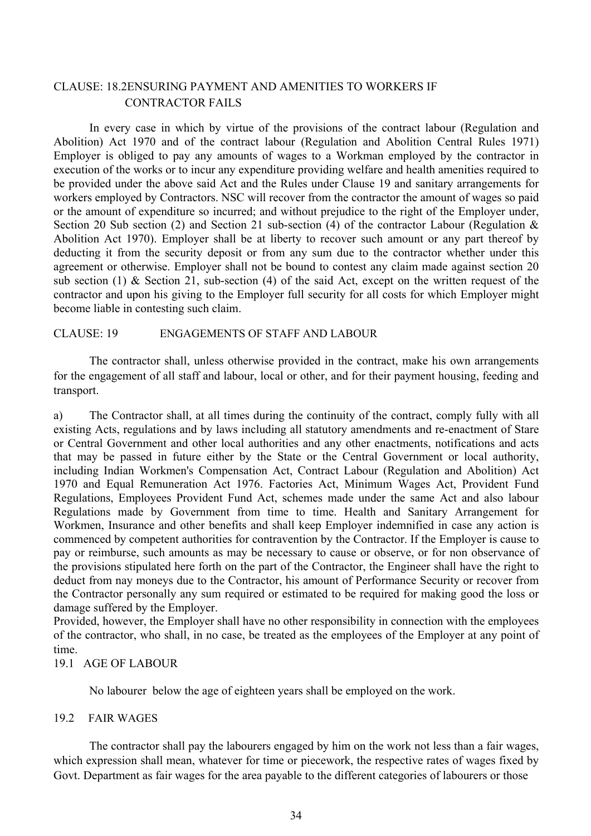## CLAUSE: 18.2ENSURING PAYMENT AND AMENITIES TO WORKERS IF CONTRACTOR FAILS

In every case in which by virtue of the provisions of the contract labour (Regulation and Abolition) Act 1970 and of the contract labour (Regulation and Abolition Central Rules 1971) Employer is obliged to pay any amounts of wages to a Workman employed by the contractor in execution of the works or to incur any expenditure providing welfare and health amenities required to be provided under the above said Act and the Rules under Clause 19 and sanitary arrangements for workers employed by Contractors. NSC will recover from the contractor the amount of wages so paid or the amount of expenditure so incurred; and without prejudice to the right of the Employer under, Section 20 Sub section (2) and Section 21 sub-section (4) of the contractor Labour (Regulation & Abolition Act 1970). Employer shall be at liberty to recover such amount or any part thereof by deducting it from the security deposit or from any sum due to the contractor whether under this agreement or otherwise. Employer shall not be bound to contest any claim made against section 20 sub section (1) & Section 21, sub-section (4) of the said Act, except on the written request of the contractor and upon his giving to the Employer full security for all costs for which Employer might become liable in contesting such claim.

#### CLAUSE: 19 ENGAGEMENTS OF STAFF AND LABOUR

The contractor shall, unless otherwise provided in the contract, make his own arrangements for the engagement of all staff and labour, local or other, and for their payment housing, feeding and transport.

a) The Contractor shall, at all times during the continuity of the contract, comply fully with all existing Acts, regulations and by laws including all statutory amendments and re-enactment of Stare or Central Government and other local authorities and any other enactments, notifications and acts that may be passed in future either by the State or the Central Government or local authority, including Indian Workmen's Compensation Act, Contract Labour (Regulation and Abolition) Act 1970 and Equal Remuneration Act 1976. Factories Act, Minimum Wages Act, Provident Fund Regulations, Employees Provident Fund Act, schemes made under the same Act and also labour Regulations made by Government from time to time. Health and Sanitary Arrangement for Workmen, Insurance and other benefits and shall keep Employer indemnified in case any action is commenced by competent authorities for contravention by the Contractor. If the Employer is cause to pay or reimburse, such amounts as may be necessary to cause or observe, or for non observance of the provisions stipulated here forth on the part of the Contractor, the Engineer shall have the right to deduct from nay moneys due to the Contractor, his amount of Performance Security or recover from the Contractor personally any sum required or estimated to be required for making good the loss or damage suffered by the Employer.

Provided, however, the Employer shall have no other responsibility in connection with the employees of the contractor, who shall, in no case, be treated as the employees of the Employer at any point of time.

## 19.1 AGE OF LABOUR

No labourer below the age of eighteen years shall be employed on the work.

#### 19.2 FAIR WAGES

The contractor shall pay the labourers engaged by him on the work not less than a fair wages, which expression shall mean, whatever for time or piecework, the respective rates of wages fixed by Govt. Department as fair wages for the area payable to the different categories of labourers or those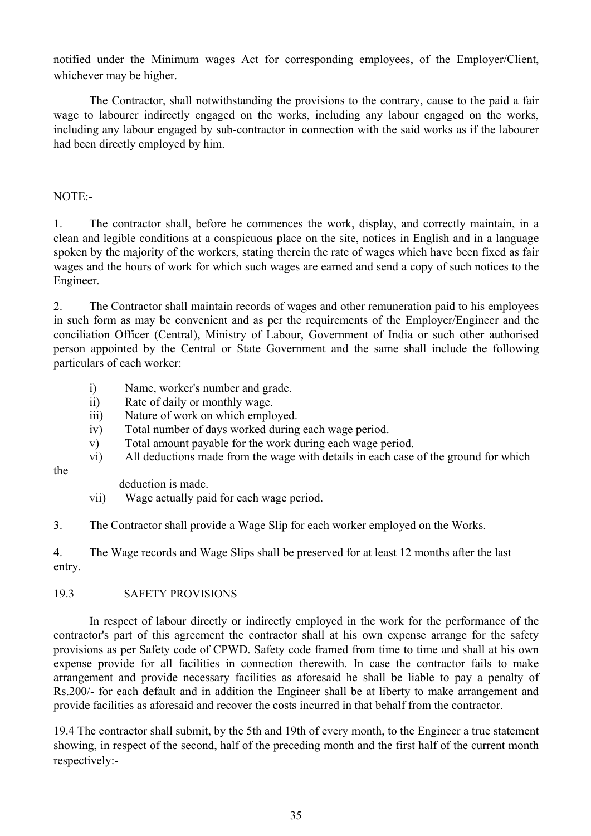notified under the Minimum wages Act for corresponding employees, of the Employer/Client, whichever may be higher.

The Contractor, shall notwithstanding the provisions to the contrary, cause to the paid a fair wage to labourer indirectly engaged on the works, including any labour engaged on the works, including any labour engaged by sub-contractor in connection with the said works as if the labourer had been directly employed by him.

## NOTE:-

the

1. The contractor shall, before he commences the work, display, and correctly maintain, in a clean and legible conditions at a conspicuous place on the site, notices in English and in a language spoken by the majority of the workers, stating therein the rate of wages which have been fixed as fair wages and the hours of work for which such wages are earned and send a copy of such notices to the Engineer.

2. The Contractor shall maintain records of wages and other remuneration paid to his employees in such form as may be convenient and as per the requirements of the Employer/Engineer and the conciliation Officer (Central), Ministry of Labour, Government of India or such other authorised person appointed by the Central or State Government and the same shall include the following particulars of each worker:

- i) Name, worker's number and grade.
- ii) Rate of daily or monthly wage.
- iii) Nature of work on which employed.
- iv) Total number of days worked during each wage period.
- v) Total amount payable for the work during each wage period.
- vi) All deductions made from the wage with details in each case of the ground for which

deduction is made.

vii) Wage actually paid for each wage period.

3. The Contractor shall provide a Wage Slip for each worker employed on the Works.

4. The Wage records and Wage Slips shall be preserved for at least 12 months after the last entry.

#### 19.3 SAFETY PROVISIONS

In respect of labour directly or indirectly employed in the work for the performance of the contractor's part of this agreement the contractor shall at his own expense arrange for the safety provisions as per Safety code of CPWD. Safety code framed from time to time and shall at his own expense provide for all facilities in connection therewith. In case the contractor fails to make arrangement and provide necessary facilities as aforesaid he shall be liable to pay a penalty of Rs.200/- for each default and in addition the Engineer shall be at liberty to make arrangement and provide facilities as aforesaid and recover the costs incurred in that behalf from the contractor.

19.4 The contractor shall submit, by the 5th and 19th of every month, to the Engineer a true statement showing, in respect of the second, half of the preceding month and the first half of the current month respectively:-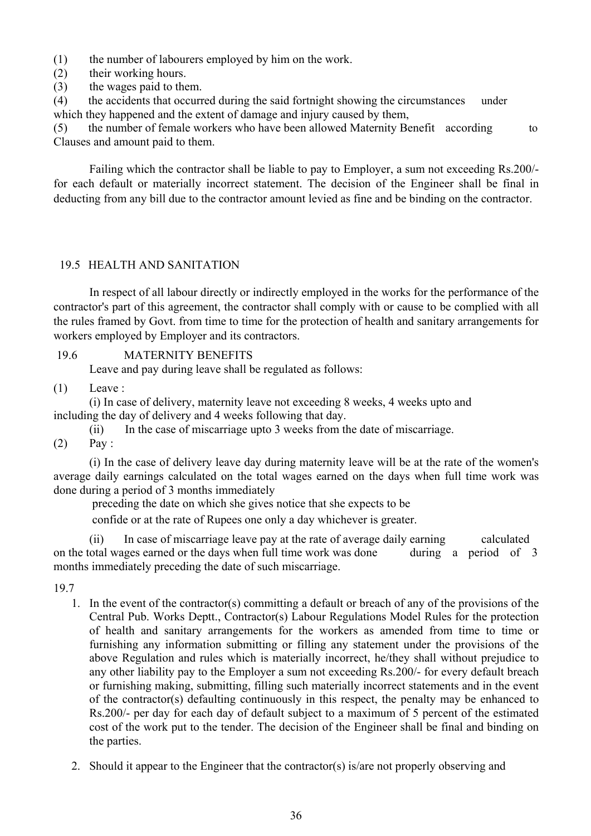(1) the number of labourers employed by him on the work.

- (2) their working hours.
- (3) the wages paid to them.

(4) the accidents that occurred during the said fortnight showing the circumstances under which they happened and the extent of damage and injury caused by them,

(5) the number of female workers who have been allowed Maternity Benefit according to Clauses and amount paid to them.

Failing which the contractor shall be liable to pay to Employer, a sum not exceeding Rs.200/ for each default or materially incorrect statement. The decision of the Engineer shall be final in deducting from any bill due to the contractor amount levied as fine and be binding on the contractor.

#### 19.5 HEALTH AND SANITATION

In respect of all labour directly or indirectly employed in the works for the performance of the contractor's part of this agreement, the contractor shall comply with or cause to be complied with all the rules framed by Govt. from time to time for the protection of health and sanitary arrangements for workers employed by Employer and its contractors.

#### 19.6 MATERNITY BENEFITS

Leave and pay during leave shall be regulated as follows:

#### (1) Leave :

(i) In case of delivery, maternity leave not exceeding 8 weeks, 4 weeks upto and including the day of delivery and 4 weeks following that day.

(ii) In the case of miscarriage upto 3 weeks from the date of miscarriage.

 $(2)$  Pay:

(i) In the case of delivery leave day during maternity leave will be at the rate of the women's average daily earnings calculated on the total wages earned on the days when full time work was done during a period of 3 months immediately

preceding the date on which she gives notice that she expects to be

confide or at the rate of Rupees one only a day whichever is greater.

(ii) In case of miscarriage leave pay at the rate of average daily earning calculated on the total wages earned or the days when full time work was done during a period of 3 months immediately preceding the date of such miscarriage.

19.7

- 1. In the event of the contractor(s) committing a default or breach of any of the provisions of the Central Pub. Works Deptt., Contractor(s) Labour Regulations Model Rules for the protection of health and sanitary arrangements for the workers as amended from time to time or furnishing any information submitting or filling any statement under the provisions of the above Regulation and rules which is materially incorrect, he/they shall without prejudice to any other liability pay to the Employer a sum not exceeding Rs.200/- for every default breach or furnishing making, submitting, filling such materially incorrect statements and in the event of the contractor(s) defaulting continuously in this respect, the penalty may be enhanced to Rs.200/- per day for each day of default subject to a maximum of 5 percent of the estimated cost of the work put to the tender. The decision of the Engineer shall be final and binding on the parties.
- 2. Should it appear to the Engineer that the contractor(s) is/are not properly observing and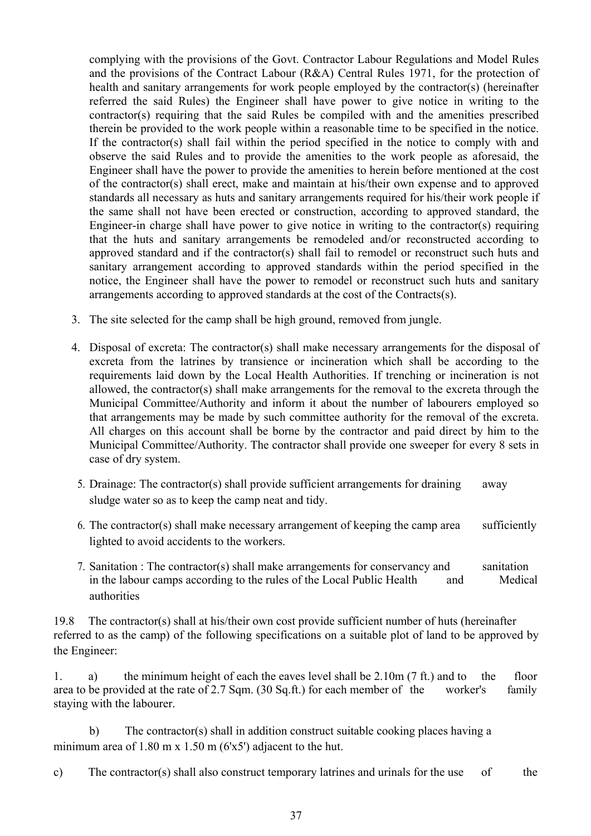complying with the provisions of the Govt. Contractor Labour Regulations and Model Rules and the provisions of the Contract Labour (R&A) Central Rules 1971, for the protection of health and sanitary arrangements for work people employed by the contractor(s) (hereinafter referred the said Rules) the Engineer shall have power to give notice in writing to the contractor(s) requiring that the said Rules be compiled with and the amenities prescribed therein be provided to the work people within a reasonable time to be specified in the notice. If the contractor(s) shall fail within the period specified in the notice to comply with and observe the said Rules and to provide the amenities to the work people as aforesaid, the Engineer shall have the power to provide the amenities to herein before mentioned at the cost of the contractor(s) shall erect, make and maintain at his/their own expense and to approved standards all necessary as huts and sanitary arrangements required for his/their work people if the same shall not have been erected or construction, according to approved standard, the Engineer-in charge shall have power to give notice in writing to the contractor(s) requiring that the huts and sanitary arrangements be remodeled and/or reconstructed according to approved standard and if the contractor(s) shall fail to remodel or reconstruct such huts and sanitary arrangement according to approved standards within the period specified in the notice, the Engineer shall have the power to remodel or reconstruct such huts and sanitary arrangements according to approved standards at the cost of the Contracts(s).

- 3. The site selected for the camp shall be high ground, removed from jungle.
- 4. Disposal of excreta: The contractor(s) shall make necessary arrangements for the disposal of excreta from the latrines by transience or incineration which shall be according to the requirements laid down by the Local Health Authorities. If trenching or incineration is not allowed, the contractor(s) shall make arrangements for the removal to the excreta through the Municipal Committee/Authority and inform it about the number of labourers employed so that arrangements may be made by such committee authority for the removal of the excreta. All charges on this account shall be borne by the contractor and paid direct by him to the Municipal Committee/Authority. The contractor shall provide one sweeper for every 8 sets in case of dry system.
	- 5. Drainage: The contractor(s) shall provide sufficient arrangements for draining away sludge water so as to keep the camp neat and tidy.
	- 6. The contractor(s) shall make necessary arrangement of keeping the camp area sufficiently lighted to avoid accidents to the workers.
	- 7. Sanitation : The contractor(s) shall make arrangements for conservancy and sanitation in the labour camps according to the rules of the Local Public Health and Medical authorities

19.8 The contractor(s) shall at his/their own cost provide sufficient number of huts (hereinafter referred to as the camp) of the following specifications on a suitable plot of land to be approved by the Engineer:

1. a) the minimum height of each the eaves level shall be 2.10m (7 ft.) and to the floor area to be provided at the rate of 2.7 Sqm. (30 Sq.ft.) for each member of the worker's family staying with the labourer.

b) The contractor(s) shall in addition construct suitable cooking places having a minimum area of  $1.80 \text{ m} \times 1.50 \text{ m}$  (6'x5') adjacent to the hut.

c) The contractor(s) shall also construct temporary latrines and urinals for the use of the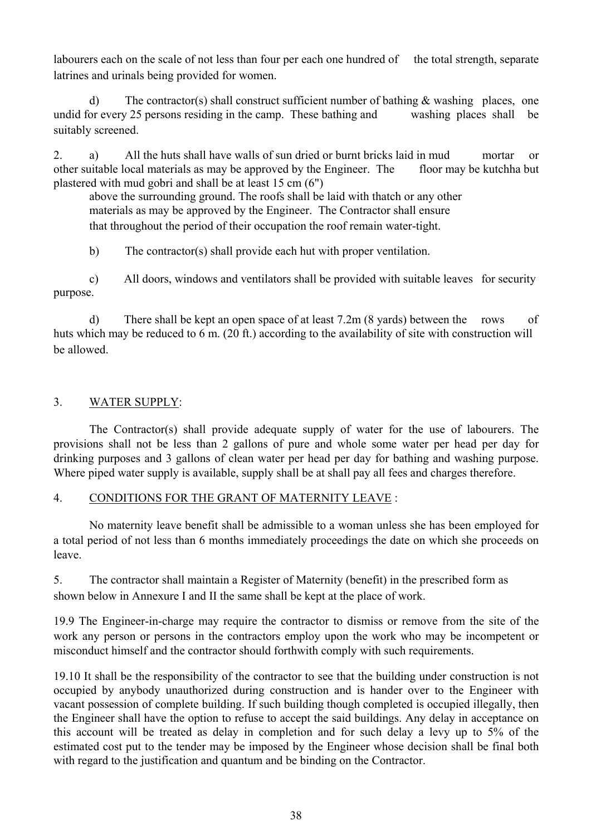labourers each on the scale of not less than four per each one hundred of the total strength, separate latrines and urinals being provided for women.

d) The contractor(s) shall construct sufficient number of bathing & washing places, one undid for every 25 persons residing in the camp. These bathing and washing places shall be suitably screened.

2. a) All the huts shall have walls of sun dried or burnt bricks laid in mud mortar or other suitable local materials as may be approved by the Engineer. The floor may be kutchha but plastered with mud gobri and shall be at least 15 cm (6")

above the surrounding ground. The roofs shall be laid with thatch or any other materials as may be approved by the Engineer. The Contractor shall ensure that throughout the period of their occupation the roof remain water-tight.

b) The contractor(s) shall provide each hut with proper ventilation.

c) All doors, windows and ventilators shall be provided with suitable leaves for security purpose.

d) There shall be kept an open space of at least 7.2m (8 yards) between the rows of huts which may be reduced to 6 m. (20 ft.) according to the availability of site with construction will be allowed.

# 3. WATER SUPPLY:

The Contractor(s) shall provide adequate supply of water for the use of labourers. The provisions shall not be less than 2 gallons of pure and whole some water per head per day for drinking purposes and 3 gallons of clean water per head per day for bathing and washing purpose. Where piped water supply is available, supply shall be at shall pay all fees and charges therefore.

## 4. CONDITIONS FOR THE GRANT OF MATERNITY LEAVE :

No maternity leave benefit shall be admissible to a woman unless she has been employed for a total period of not less than 6 months immediately proceedings the date on which she proceeds on leave.

5. The contractor shall maintain a Register of Maternity (benefit) in the prescribed form as shown below in Annexure I and II the same shall be kept at the place of work.

19.9 The Engineer-in-charge may require the contractor to dismiss or remove from the site of the work any person or persons in the contractors employ upon the work who may be incompetent or misconduct himself and the contractor should forthwith comply with such requirements.

19.10 It shall be the responsibility of the contractor to see that the building under construction is not occupied by anybody unauthorized during construction and is hander over to the Engineer with vacant possession of complete building. If such building though completed is occupied illegally, then the Engineer shall have the option to refuse to accept the said buildings. Any delay in acceptance on this account will be treated as delay in completion and for such delay a levy up to 5% of the estimated cost put to the tender may be imposed by the Engineer whose decision shall be final both with regard to the justification and quantum and be binding on the Contractor.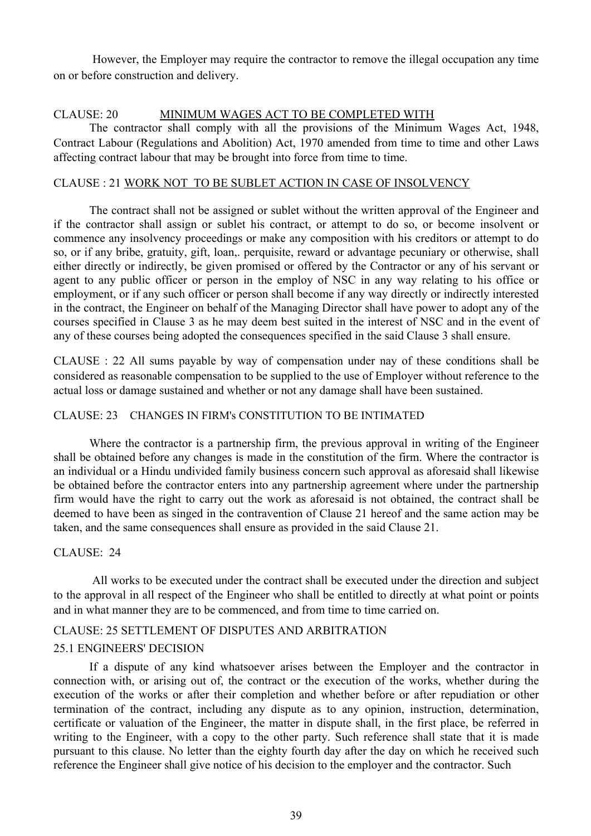However, the Employer may require the contractor to remove the illegal occupation any time on or before construction and delivery.

#### CLAUSE: 20 MINIMUM WAGES ACT TO BE COMPLETED WITH

The contractor shall comply with all the provisions of the Minimum Wages Act, 1948, Contract Labour (Regulations and Abolition) Act, 1970 amended from time to time and other Laws affecting contract labour that may be brought into force from time to time.

#### CLAUSE : 21 WORK NOT TO BE SUBLET ACTION IN CASE OF INSOLVENCY

The contract shall not be assigned or sublet without the written approval of the Engineer and if the contractor shall assign or sublet his contract, or attempt to do so, or become insolvent or commence any insolvency proceedings or make any composition with his creditors or attempt to do so, or if any bribe, gratuity, gift, loan,. perquisite, reward or advantage pecuniary or otherwise, shall either directly or indirectly, be given promised or offered by the Contractor or any of his servant or agent to any public officer or person in the employ of NSC in any way relating to his office or employment, or if any such officer or person shall become if any way directly or indirectly interested in the contract, the Engineer on behalf of the Managing Director shall have power to adopt any of the courses specified in Clause 3 as he may deem best suited in the interest of NSC and in the event of any of these courses being adopted the consequences specified in the said Clause 3 shall ensure.

CLAUSE : 22 All sums payable by way of compensation under nay of these conditions shall be considered as reasonable compensation to be supplied to the use of Employer without reference to the actual loss or damage sustained and whether or not any damage shall have been sustained.

#### CLAUSE: 23 CHANGES IN FIRM's CONSTITUTION TO BE INTIMATED

Where the contractor is a partnership firm, the previous approval in writing of the Engineer shall be obtained before any changes is made in the constitution of the firm. Where the contractor is an individual or a Hindu undivided family business concern such approval as aforesaid shall likewise be obtained before the contractor enters into any partnership agreement where under the partnership firm would have the right to carry out the work as aforesaid is not obtained, the contract shall be deemed to have been as singed in the contravention of Clause 21 hereof and the same action may be taken, and the same consequences shall ensure as provided in the said Clause 21.

#### CLAUSE: 24

All works to be executed under the contract shall be executed under the direction and subject to the approval in all respect of the Engineer who shall be entitled to directly at what point or points and in what manner they are to be commenced, and from time to time carried on.

## CLAUSE: 25 SETTLEMENT OF DISPUTES AND ARBITRATION

## 25.1 ENGINEERS' DECISION

If a dispute of any kind whatsoever arises between the Employer and the contractor in connection with, or arising out of, the contract or the execution of the works, whether during the execution of the works or after their completion and whether before or after repudiation or other termination of the contract, including any dispute as to any opinion, instruction, determination, certificate or valuation of the Engineer, the matter in dispute shall, in the first place, be referred in writing to the Engineer, with a copy to the other party. Such reference shall state that it is made pursuant to this clause. No letter than the eighty fourth day after the day on which he received such reference the Engineer shall give notice of his decision to the employer and the contractor. Such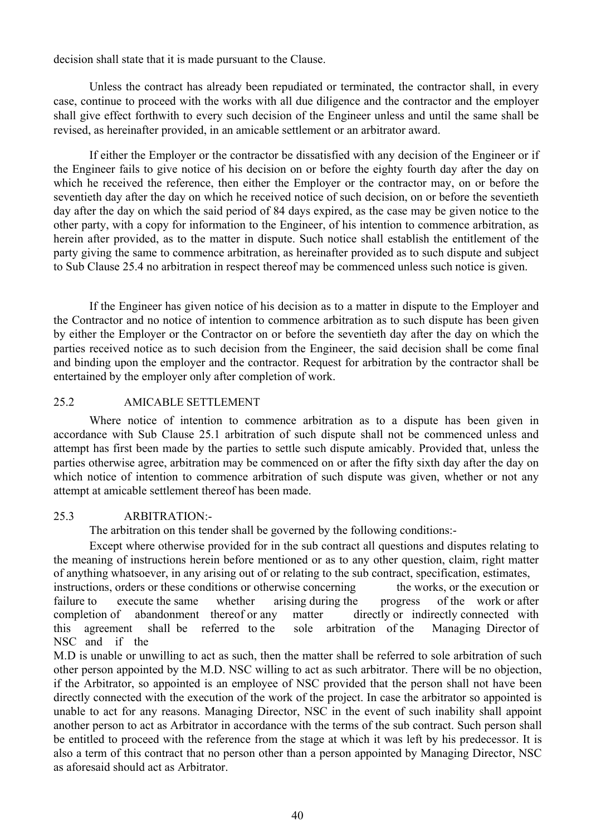decision shall state that it is made pursuant to the Clause.

Unless the contract has already been repudiated or terminated, the contractor shall, in every case, continue to proceed with the works with all due diligence and the contractor and the employer shall give effect forthwith to every such decision of the Engineer unless and until the same shall be revised, as hereinafter provided, in an amicable settlement or an arbitrator award.

If either the Employer or the contractor be dissatisfied with any decision of the Engineer or if the Engineer fails to give notice of his decision on or before the eighty fourth day after the day on which he received the reference, then either the Employer or the contractor may, on or before the seventieth day after the day on which he received notice of such decision, on or before the seventieth day after the day on which the said period of 84 days expired, as the case may be given notice to the other party, with a copy for information to the Engineer, of his intention to commence arbitration, as herein after provided, as to the matter in dispute. Such notice shall establish the entitlement of the party giving the same to commence arbitration, as hereinafter provided as to such dispute and subject to Sub Clause 25.4 no arbitration in respect thereof may be commenced unless such notice is given.

If the Engineer has given notice of his decision as to a matter in dispute to the Employer and the Contractor and no notice of intention to commence arbitration as to such dispute has been given by either the Employer or the Contractor on or before the seventieth day after the day on which the parties received notice as to such decision from the Engineer, the said decision shall be come final and binding upon the employer and the contractor. Request for arbitration by the contractor shall be entertained by the employer only after completion of work.

#### 25.2 AMICABLE SETTLEMENT

Where notice of intention to commence arbitration as to a dispute has been given in accordance with Sub Clause 25.1 arbitration of such dispute shall not be commenced unless and attempt has first been made by the parties to settle such dispute amicably. Provided that, unless the parties otherwise agree, arbitration may be commenced on or after the fifty sixth day after the day on which notice of intention to commence arbitration of such dispute was given, whether or not any attempt at amicable settlement thereof has been made.

#### 25.3 ARBITRATION:-

The arbitration on this tender shall be governed by the following conditions:-

Except where otherwise provided for in the sub contract all questions and disputes relating to the meaning of instructions herein before mentioned or as to any other question, claim, right matter of anything whatsoever, in any arising out of or relating to the sub contract, specification, estimates, instructions, orders or these conditions or otherwise concerning the works, or the execution or failure to execute the same whether arising during the progress of the work or after completion of abandonment thereof or any matter directly or indirectly connected with this agreement shall be referred to the sole arbitration of the Managing Director of NSC and if the

M.D is unable or unwilling to act as such, then the matter shall be referred to sole arbitration of such other person appointed by the M.D. NSC willing to act as such arbitrator. There will be no objection, if the Arbitrator, so appointed is an employee of NSC provided that the person shall not have been directly connected with the execution of the work of the project. In case the arbitrator so appointed is unable to act for any reasons. Managing Director, NSC in the event of such inability shall appoint another person to act as Arbitrator in accordance with the terms of the sub contract. Such person shall be entitled to proceed with the reference from the stage at which it was left by his predecessor. It is also a term of this contract that no person other than a person appointed by Managing Director, NSC as aforesaid should act as Arbitrator.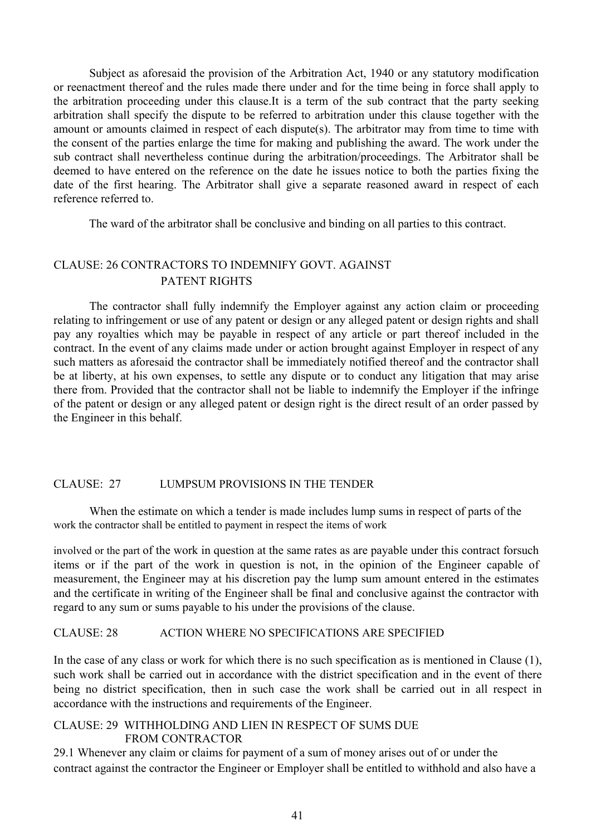Subject as aforesaid the provision of the Arbitration Act, 1940 or any statutory modification or reenactment thereof and the rules made there under and for the time being in force shall apply to the arbitration proceeding under this clause.It is a term of the sub contract that the party seeking arbitration shall specify the dispute to be referred to arbitration under this clause together with the amount or amounts claimed in respect of each dispute(s). The arbitrator may from time to time with the consent of the parties enlarge the time for making and publishing the award. The work under the sub contract shall nevertheless continue during the arbitration/proceedings. The Arbitrator shall be deemed to have entered on the reference on the date he issues notice to both the parties fixing the date of the first hearing. The Arbitrator shall give a separate reasoned award in respect of each reference referred to.

The ward of the arbitrator shall be conclusive and binding on all parties to this contract.

# CLAUSE: 26 CONTRACTORS TO INDEMNIFY GOVT. AGAINST PATENT RIGHTS

The contractor shall fully indemnify the Employer against any action claim or proceeding relating to infringement or use of any patent or design or any alleged patent or design rights and shall pay any royalties which may be payable in respect of any article or part thereof included in the contract. In the event of any claims made under or action brought against Employer in respect of any such matters as aforesaid the contractor shall be immediately notified thereof and the contractor shall be at liberty, at his own expenses, to settle any dispute or to conduct any litigation that may arise there from. Provided that the contractor shall not be liable to indemnify the Employer if the infringe of the patent or design or any alleged patent or design right is the direct result of an order passed by the Engineer in this behalf.

#### CLAUSE: 27 LUMPSUM PROVISIONS IN THE TENDER

When the estimate on which a tender is made includes lump sums in respect of parts of the work the contractor shall be entitled to payment in respect the items of work

involved or the part of the work in question at the same rates as are payable under this contract forsuch items or if the part of the work in question is not, in the opinion of the Engineer capable of measurement, the Engineer may at his discretion pay the lump sum amount entered in the estimates and the certificate in writing of the Engineer shall be final and conclusive against the contractor with regard to any sum or sums payable to his under the provisions of the clause.

#### CLAUSE: 28 ACTION WHERE NO SPECIFICATIONS ARE SPECIFIED

In the case of any class or work for which there is no such specification as is mentioned in Clause (1), such work shall be carried out in accordance with the district specification and in the event of there being no district specification, then in such case the work shall be carried out in all respect in accordance with the instructions and requirements of the Engineer.

#### CLAUSE: 29 WITHHOLDING AND LIEN IN RESPECT OF SUMS DUE FROM CONTRACTOR

29.1 Whenever any claim or claims for payment of a sum of money arises out of or under the contract against the contractor the Engineer or Employer shall be entitled to withhold and also have a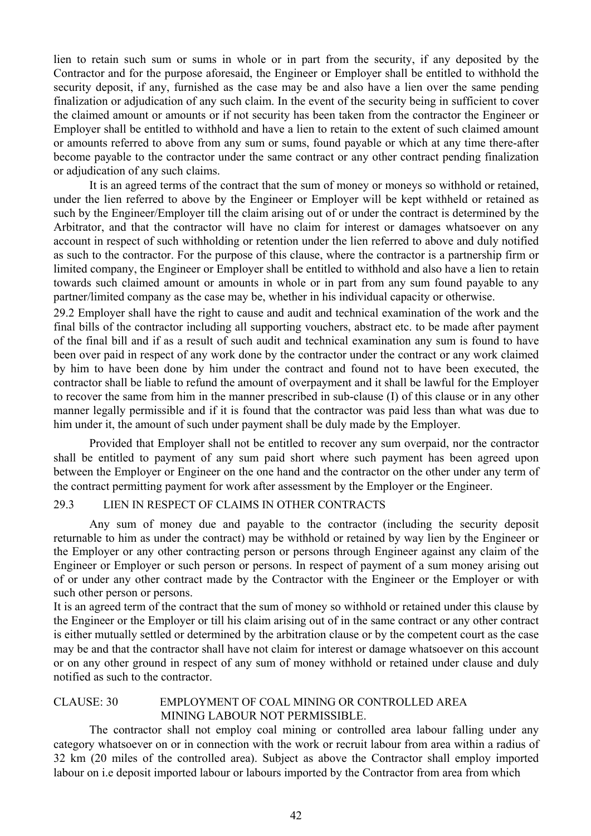lien to retain such sum or sums in whole or in part from the security, if any deposited by the Contractor and for the purpose aforesaid, the Engineer or Employer shall be entitled to withhold the security deposit, if any, furnished as the case may be and also have a lien over the same pending finalization or adjudication of any such claim. In the event of the security being in sufficient to cover the claimed amount or amounts or if not security has been taken from the contractor the Engineer or Employer shall be entitled to withhold and have a lien to retain to the extent of such claimed amount or amounts referred to above from any sum or sums, found payable or which at any time there-after become payable to the contractor under the same contract or any other contract pending finalization or adjudication of any such claims.

It is an agreed terms of the contract that the sum of money or moneys so withhold or retained, under the lien referred to above by the Engineer or Employer will be kept withheld or retained as such by the Engineer/Employer till the claim arising out of or under the contract is determined by the Arbitrator, and that the contractor will have no claim for interest or damages whatsoever on any account in respect of such withholding or retention under the lien referred to above and duly notified as such to the contractor. For the purpose of this clause, where the contractor is a partnership firm or limited company, the Engineer or Employer shall be entitled to withhold and also have a lien to retain towards such claimed amount or amounts in whole or in part from any sum found payable to any partner/limited company as the case may be, whether in his individual capacity or otherwise.

29.2 Employer shall have the right to cause and audit and technical examination of the work and the final bills of the contractor including all supporting vouchers, abstract etc. to be made after payment of the final bill and if as a result of such audit and technical examination any sum is found to have been over paid in respect of any work done by the contractor under the contract or any work claimed by him to have been done by him under the contract and found not to have been executed, the contractor shall be liable to refund the amount of overpayment and it shall be lawful for the Employer to recover the same from him in the manner prescribed in sub-clause (I) of this clause or in any other manner legally permissible and if it is found that the contractor was paid less than what was due to him under it, the amount of such under payment shall be duly made by the Employer.

Provided that Employer shall not be entitled to recover any sum overpaid, nor the contractor shall be entitled to payment of any sum paid short where such payment has been agreed upon between the Employer or Engineer on the one hand and the contractor on the other under any term of the contract permitting payment for work after assessment by the Employer or the Engineer.

#### 29.3 LIEN IN RESPECT OF CLAIMS IN OTHER CONTRACTS

Any sum of money due and payable to the contractor (including the security deposit returnable to him as under the contract) may be withhold or retained by way lien by the Engineer or the Employer or any other contracting person or persons through Engineer against any claim of the Engineer or Employer or such person or persons. In respect of payment of a sum money arising out of or under any other contract made by the Contractor with the Engineer or the Employer or with such other person or persons.

It is an agreed term of the contract that the sum of money so withhold or retained under this clause by the Engineer or the Employer or till his claim arising out of in the same contract or any other contract is either mutually settled or determined by the arbitration clause or by the competent court as the case may be and that the contractor shall have not claim for interest or damage whatsoever on this account or on any other ground in respect of any sum of money withhold or retained under clause and duly notified as such to the contractor.

#### CLAUSE: 30 EMPLOYMENT OF COAL MINING OR CONTROLLED AREA MINING LABOUR NOT PERMISSIBLE.

The contractor shall not employ coal mining or controlled area labour falling under any category whatsoever on or in connection with the work or recruit labour from area within a radius of 32 km (20 miles of the controlled area). Subject as above the Contractor shall employ imported labour on i.e deposit imported labour or labours imported by the Contractor from area from which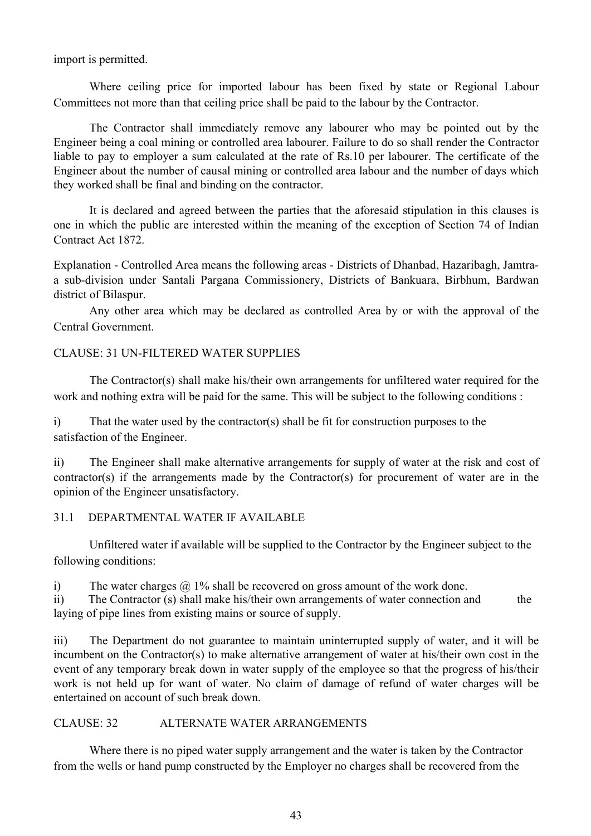import is permitted.

Where ceiling price for imported labour has been fixed by state or Regional Labour Committees not more than that ceiling price shall be paid to the labour by the Contractor.

The Contractor shall immediately remove any labourer who may be pointed out by the Engineer being a coal mining or controlled area labourer. Failure to do so shall render the Contractor liable to pay to employer a sum calculated at the rate of Rs.10 per labourer. The certificate of the Engineer about the number of causal mining or controlled area labour and the number of days which they worked shall be final and binding on the contractor.

It is declared and agreed between the parties that the aforesaid stipulation in this clauses is one in which the public are interested within the meaning of the exception of Section 74 of Indian Contract Act 1872.

Explanation - Controlled Area means the following areas - Districts of Dhanbad, Hazaribagh, Jamtraa sub-division under Santali Pargana Commissionery, Districts of Bankuara, Birbhum, Bardwan district of Bilaspur.

Any other area which may be declared as controlled Area by or with the approval of the Central Government.

#### CLAUSE: 31 UN-FILTERED WATER SUPPLIES

The Contractor(s) shall make his/their own arrangements for unfiltered water required for the work and nothing extra will be paid for the same. This will be subject to the following conditions :

i) That the water used by the contractor(s) shall be fit for construction purposes to the satisfaction of the Engineer.

ii) The Engineer shall make alternative arrangements for supply of water at the risk and cost of contractor(s) if the arrangements made by the Contractor(s) for procurement of water are in the opinion of the Engineer unsatisfactory.

## 31.1 DEPARTMENTAL WATER IF AVAILABLE

Unfiltered water if available will be supplied to the Contractor by the Engineer subject to the following conditions:

i) The water charges  $\omega$  1% shall be recovered on gross amount of the work done.

ii) The Contractor (s) shall make his/their own arrangements of water connection and the laying of pipe lines from existing mains or source of supply.

iii) The Department do not guarantee to maintain uninterrupted supply of water, and it will be incumbent on the Contractor(s) to make alternative arrangement of water at his/their own cost in the event of any temporary break down in water supply of the employee so that the progress of his/their work is not held up for want of water. No claim of damage of refund of water charges will be entertained on account of such break down.

#### CLAUSE: 32 ALTERNATE WATER ARRANGEMENTS

Where there is no piped water supply arrangement and the water is taken by the Contractor from the wells or hand pump constructed by the Employer no charges shall be recovered from the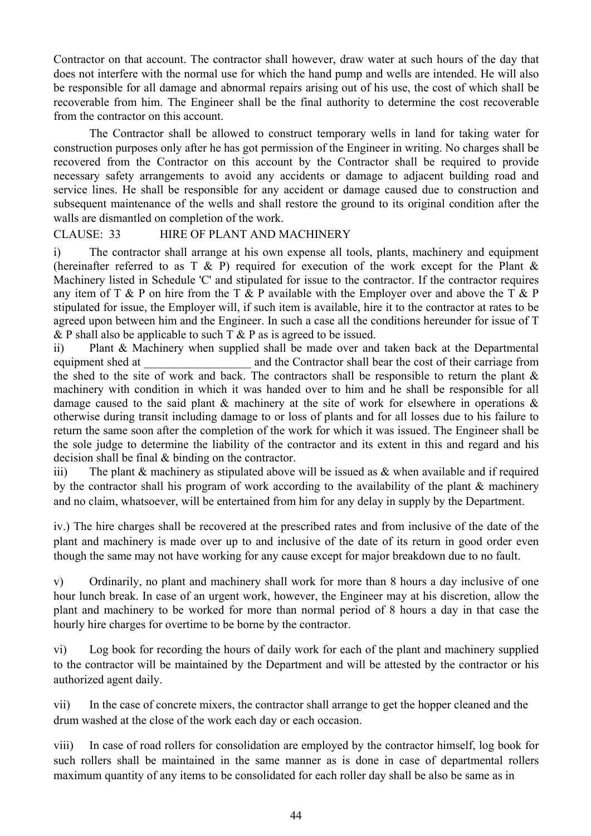Contractor on that account. The contractor shall however, draw water at such hours of the day that does not interfere with the normal use for which the hand pump and wells are intended. He will also be responsible for all damage and abnormal repairs arising out of his use, the cost of which shall be recoverable from him. The Engineer shall be the final authority to determine the cost recoverable from the contractor on this account.

The Contractor shall be allowed to construct temporary wells in land for taking water for construction purposes only after he has got permission of the Engineer in writing. No charges shall be recovered from the Contractor on this account by the Contractor shall be required to provide necessary safety arrangements to avoid any accidents or damage to adjacent building road and service lines. He shall be responsible for any accident or damage caused due to construction and subsequent maintenance of the wells and shall restore the ground to its original condition after the walls are dismantled on completion of the work.

#### CLAUSE: 33 HIRE OF PLANT AND MACHINERY

i) The contractor shall arrange at his own expense all tools, plants, machinery and equipment (hereinafter referred to as  $T \& P$ ) required for execution of the work except for the Plant  $\&$ Machinery listed in Schedule 'C' and stipulated for issue to the contractor. If the contractor requires any item of  $T \& P$  on hire from the  $T \& P$  available with the Employer over and above the  $T \& P$ stipulated for issue, the Employer will, if such item is available, hire it to the contractor at rates to be agreed upon between him and the Engineer. In such a case all the conditions hereunder for issue of T & P shall also be applicable to such  $T \& P$  as is agreed to be issued.

ii) Plant & Machinery when supplied shall be made over and taken back at the Departmental equipment shed at a metallier and the Contractor shall bear the cost of their carriage from the shed to the site of work and back. The contractors shall be responsible to return the plant & machinery with condition in which it was handed over to him and he shall be responsible for all damage caused to the said plant & machinery at the site of work for elsewhere in operations & otherwise during transit including damage to or loss of plants and for all losses due to his failure to return the same soon after the completion of the work for which it was issued. The Engineer shall be the sole judge to determine the liability of the contractor and its extent in this and regard and his decision shall be final & binding on the contractor.

iii) The plant  $&$  machinery as stipulated above will be issued as  $&$  when available and if required by the contractor shall his program of work according to the availability of the plant & machinery and no claim, whatsoever, will be entertained from him for any delay in supply by the Department.

iv.) The hire charges shall be recovered at the prescribed rates and from inclusive of the date of the plant and machinery is made over up to and inclusive of the date of its return in good order even though the same may not have working for any cause except for major breakdown due to no fault.

v) Ordinarily, no plant and machinery shall work for more than 8 hours a day inclusive of one hour lunch break. In case of an urgent work, however, the Engineer may at his discretion, allow the plant and machinery to be worked for more than normal period of 8 hours a day in that case the hourly hire charges for overtime to be borne by the contractor.

vi) Log book for recording the hours of daily work for each of the plant and machinery supplied to the contractor will be maintained by the Department and will be attested by the contractor or his authorized agent daily.

vii) In the case of concrete mixers, the contractor shall arrange to get the hopper cleaned and the drum washed at the close of the work each day or each occasion.

viii) In case of road rollers for consolidation are employed by the contractor himself, log book for such rollers shall be maintained in the same manner as is done in case of departmental rollers maximum quantity of any items to be consolidated for each roller day shall be also be same as in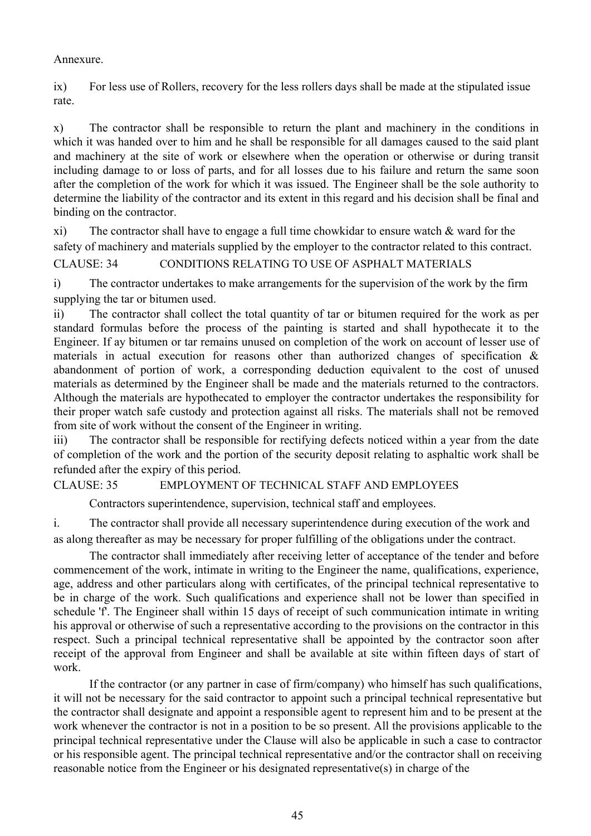#### Annexure.

ix) For less use of Rollers, recovery for the less rollers days shall be made at the stipulated issue rate.

x) The contractor shall be responsible to return the plant and machinery in the conditions in which it was handed over to him and he shall be responsible for all damages caused to the said plant and machinery at the site of work or elsewhere when the operation or otherwise or during transit including damage to or loss of parts, and for all losses due to his failure and return the same soon after the completion of the work for which it was issued. The Engineer shall be the sole authority to determine the liability of the contractor and its extent in this regard and his decision shall be final and binding on the contractor.

xi) The contractor shall have to engage a full time chowkidar to ensure watch & ward for the safety of machinery and materials supplied by the employer to the contractor related to this contract. CLAUSE: 34 CONDITIONS RELATING TO USE OF ASPHALT MATERIALS

i) The contractor undertakes to make arrangements for the supervision of the work by the firm supplying the tar or bitumen used.

ii) The contractor shall collect the total quantity of tar or bitumen required for the work as per standard formulas before the process of the painting is started and shall hypothecate it to the Engineer. If ay bitumen or tar remains unused on completion of the work on account of lesser use of materials in actual execution for reasons other than authorized changes of specification & abandonment of portion of work, a corresponding deduction equivalent to the cost of unused materials as determined by the Engineer shall be made and the materials returned to the contractors. Although the materials are hypothecated to employer the contractor undertakes the responsibility for their proper watch safe custody and protection against all risks. The materials shall not be removed from site of work without the consent of the Engineer in writing.

iii) The contractor shall be responsible for rectifying defects noticed within a year from the date of completion of the work and the portion of the security deposit relating to asphaltic work shall be refunded after the expiry of this period.

## CLAUSE: 35 EMPLOYMENT OF TECHNICAL STAFF AND EMPLOYEES

Contractors superintendence, supervision, technical staff and employees.

i. The contractor shall provide all necessary superintendence during execution of the work and as along thereafter as may be necessary for proper fulfilling of the obligations under the contract.

The contractor shall immediately after receiving letter of acceptance of the tender and before commencement of the work, intimate in writing to the Engineer the name, qualifications, experience, age, address and other particulars along with certificates, of the principal technical representative to be in charge of the work. Such qualifications and experience shall not be lower than specified in schedule 'f'. The Engineer shall within 15 days of receipt of such communication intimate in writing his approval or otherwise of such a representative according to the provisions on the contractor in this respect. Such a principal technical representative shall be appointed by the contractor soon after receipt of the approval from Engineer and shall be available at site within fifteen days of start of work.

If the contractor (or any partner in case of firm/company) who himself has such qualifications, it will not be necessary for the said contractor to appoint such a principal technical representative but the contractor shall designate and appoint a responsible agent to represent him and to be present at the work whenever the contractor is not in a position to be so present. All the provisions applicable to the principal technical representative under the Clause will also be applicable in such a case to contractor or his responsible agent. The principal technical representative and/or the contractor shall on receiving reasonable notice from the Engineer or his designated representative(s) in charge of the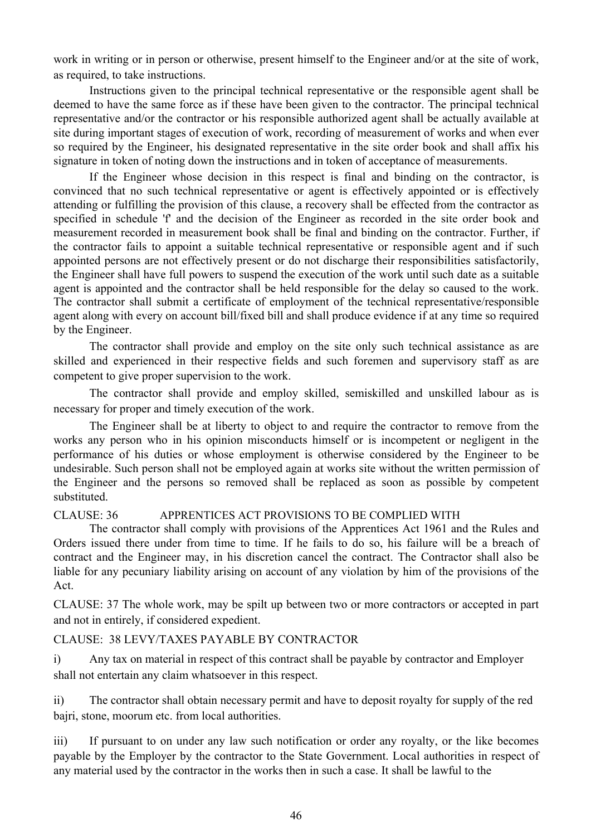work in writing or in person or otherwise, present himself to the Engineer and/or at the site of work, as required, to take instructions.

Instructions given to the principal technical representative or the responsible agent shall be deemed to have the same force as if these have been given to the contractor. The principal technical representative and/or the contractor or his responsible authorized agent shall be actually available at site during important stages of execution of work, recording of measurement of works and when ever so required by the Engineer, his designated representative in the site order book and shall affix his signature in token of noting down the instructions and in token of acceptance of measurements.

If the Engineer whose decision in this respect is final and binding on the contractor, is convinced that no such technical representative or agent is effectively appointed or is effectively attending or fulfilling the provision of this clause, a recovery shall be effected from the contractor as specified in schedule 'f' and the decision of the Engineer as recorded in the site order book and measurement recorded in measurement book shall be final and binding on the contractor. Further, if the contractor fails to appoint a suitable technical representative or responsible agent and if such appointed persons are not effectively present or do not discharge their responsibilities satisfactorily, the Engineer shall have full powers to suspend the execution of the work until such date as a suitable agent is appointed and the contractor shall be held responsible for the delay so caused to the work. The contractor shall submit a certificate of employment of the technical representative/responsible agent along with every on account bill/fixed bill and shall produce evidence if at any time so required by the Engineer.

The contractor shall provide and employ on the site only such technical assistance as are skilled and experienced in their respective fields and such foremen and supervisory staff as are competent to give proper supervision to the work.

The contractor shall provide and employ skilled, semiskilled and unskilled labour as is necessary for proper and timely execution of the work.

The Engineer shall be at liberty to object to and require the contractor to remove from the works any person who in his opinion misconducts himself or is incompetent or negligent in the performance of his duties or whose employment is otherwise considered by the Engineer to be undesirable. Such person shall not be employed again at works site without the written permission of the Engineer and the persons so removed shall be replaced as soon as possible by competent substituted.

#### CLAUSE: 36 APPRENTICES ACT PROVISIONS TO BE COMPLIED WITH

The contractor shall comply with provisions of the Apprentices Act 1961 and the Rules and Orders issued there under from time to time. If he fails to do so, his failure will be a breach of contract and the Engineer may, in his discretion cancel the contract. The Contractor shall also be liable for any pecuniary liability arising on account of any violation by him of the provisions of the Act.

CLAUSE: 37 The whole work, may be spilt up between two or more contractors or accepted in part and not in entirely, if considered expedient.

## CLAUSE: 38 LEVY/TAXES PAYABLE BY CONTRACTOR

i) Any tax on material in respect of this contract shall be payable by contractor and Employer shall not entertain any claim whatsoever in this respect.

ii) The contractor shall obtain necessary permit and have to deposit royalty for supply of the red bajri, stone, moorum etc. from local authorities.

iii) If pursuant to on under any law such notification or order any royalty, or the like becomes payable by the Employer by the contractor to the State Government. Local authorities in respect of any material used by the contractor in the works then in such a case. It shall be lawful to the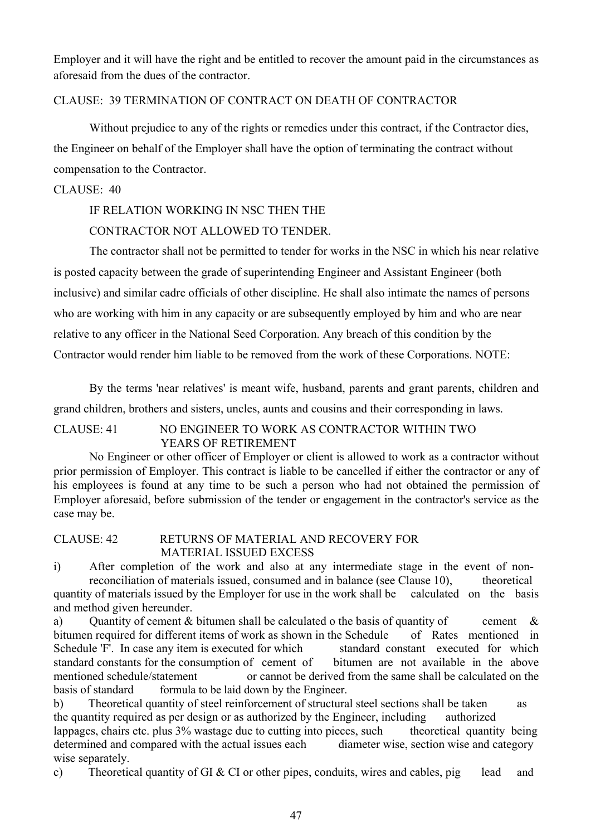Employer and it will have the right and be entitled to recover the amount paid in the circumstances as aforesaid from the dues of the contractor.

#### CLAUSE: 39 TERMINATION OF CONTRACT ON DEATH OF CONTRACTOR

Without prejudice to any of the rights or remedies under this contract, if the Contractor dies, the Engineer on behalf of the Employer shall have the option of terminating the contract without compensation to the Contractor.

## CLAUSE: 40

## IF RELATION WORKING IN NSC THEN THE

# CONTRACTOR NOT ALLOWED TO TENDER.

The contractor shall not be permitted to tender for works in the NSC in which his near relative is posted capacity between the grade of superintending Engineer and Assistant Engineer (both inclusive) and similar cadre officials of other discipline. He shall also intimate the names of persons who are working with him in any capacity or are subsequently employed by him and who are near relative to any officer in the National Seed Corporation. Any breach of this condition by the Contractor would render him liable to be removed from the work of these Corporations. NOTE:

By the terms 'near relatives' is meant wife, husband, parents and grant parents, children and grand children, brothers and sisters, uncles, aunts and cousins and their corresponding in laws.

# CLAUSE: 41 NO ENGINEER TO WORK AS CONTRACTOR WITHIN TWO YEARS OF RETIREMENT

No Engineer or other officer of Employer or client is allowed to work as a contractor without prior permission of Employer. This contract is liable to be cancelled if either the contractor or any of his employees is found at any time to be such a person who had not obtained the permission of Employer aforesaid, before submission of the tender or engagement in the contractor's service as the case may be.

# CLAUSE: 42 RETURNS OF MATERIAL AND RECOVERY FOR MATERIAL ISSUED EXCESS

i) After completion of the work and also at any intermediate stage in the event of nonreconciliation of materials issued, consumed and in balance (see Clause 10), theoretical

quantity of materials issued by the Employer for use in the work shall be calculated on the basis and method given hereunder.

a) Ouantity of cement  $\&$  bitumen shall be calculated o the basis of quantity of cement  $\&$ bitumen required for different items of work as shown in the Schedule of Rates mentioned in Schedule 'F'. In case any item is executed for which standard constant executed for which standard constants for the consumption of cement of bitumen are not available in the above mentioned schedule/statement or cannot be derived from the same shall be calculated on the basis of standard formula to be laid down by the Engineer.

b) Theoretical quantity of steel reinforcement of structural steel sections shall be taken as the quantity required as per design or as authorized by the Engineer, including authorized lappages, chairs etc. plus 3% wastage due to cutting into pieces, such theoretical quantity being determined and compared with the actual issues each diameter wise, section wise and category wise separately.

c) Theoretical quantity of GI & CI or other pipes, conduits, wires and cables, pig lead and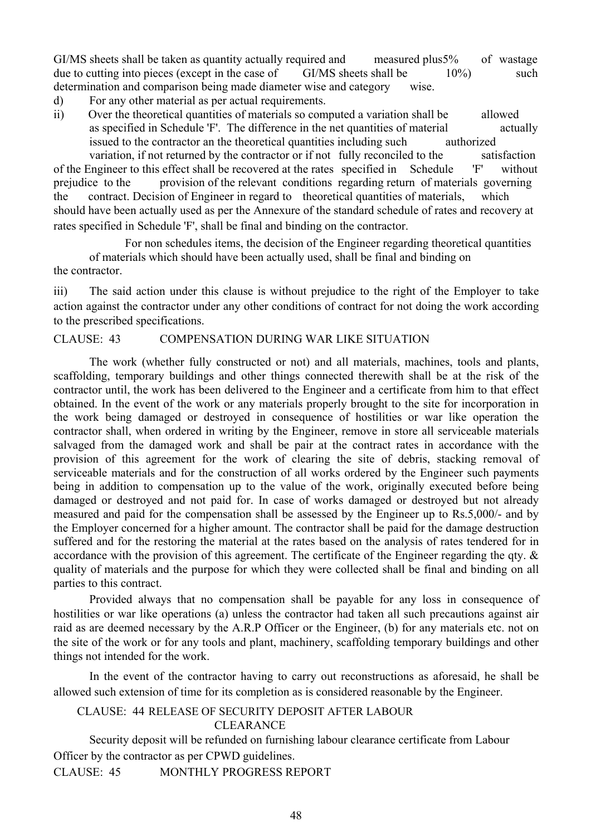GI/MS sheets shall be taken as quantity actually required and measured plus5% of wastage due to cutting into pieces (except in the case of GI/MS sheets shall be  $10\%$ ) such determination and comparison being made diameter wise and category wise.

- d) For any other material as per actual requirements.
- ii) Over the theoretical quantities of materials so computed a variation shall be allowed as specified in Schedule 'F'. The difference in the net quantities of material actually issued to the contractor an the theoretical quantities including such authorized

variation, if not returned by the contractor or if not fully reconciled to the satisfaction of the Engineer to this effect shall be recovered at the rates specified in Schedule 'F' without prejudice to the provision of the relevant conditions regarding return of materials governing the contract. Decision of Engineer in regard to theoretical quantities of materials, which should have been actually used as per the Annexure of the standard schedule of rates and recovery at rates specified in Schedule 'F', shall be final and binding on the contractor.

For non schedules items, the decision of the Engineer regarding theoretical quantities of materials which should have been actually used, shall be final and binding on the contractor.

iii) The said action under this clause is without prejudice to the right of the Employer to take action against the contractor under any other conditions of contract for not doing the work according to the prescribed specifications.

#### CLAUSE: 43 COMPENSATION DURING WAR LIKE SITUATION

The work (whether fully constructed or not) and all materials, machines, tools and plants, scaffolding, temporary buildings and other things connected therewith shall be at the risk of the contractor until, the work has been delivered to the Engineer and a certificate from him to that effect obtained. In the event of the work or any materials properly brought to the site for incorporation in the work being damaged or destroyed in consequence of hostilities or war like operation the contractor shall, when ordered in writing by the Engineer, remove in store all serviceable materials salvaged from the damaged work and shall be pair at the contract rates in accordance with the provision of this agreement for the work of clearing the site of debris, stacking removal of serviceable materials and for the construction of all works ordered by the Engineer such payments being in addition to compensation up to the value of the work, originally executed before being damaged or destroyed and not paid for. In case of works damaged or destroyed but not already measured and paid for the compensation shall be assessed by the Engineer up to Rs.5,000/- and by the Employer concerned for a higher amount. The contractor shall be paid for the damage destruction suffered and for the restoring the material at the rates based on the analysis of rates tendered for in accordance with the provision of this agreement. The certificate of the Engineer regarding the qty. & quality of materials and the purpose for which they were collected shall be final and binding on all parties to this contract.

Provided always that no compensation shall be payable for any loss in consequence of hostilities or war like operations (a) unless the contractor had taken all such precautions against air raid as are deemed necessary by the A.R.P Officer or the Engineer, (b) for any materials etc. not on the site of the work or for any tools and plant, machinery, scaffolding temporary buildings and other things not intended for the work.

In the event of the contractor having to carry out reconstructions as aforesaid, he shall be allowed such extension of time for its completion as is considered reasonable by the Engineer.

# CLAUSE: 44 RELEASE OF SECURITY DEPOSIT AFTER LABOUR

**CLEARANCE** 

Security deposit will be refunded on furnishing labour clearance certificate from Labour Officer by the contractor as per CPWD guidelines.

CLAUSE: 45 MONTHLY PROGRESS REPORT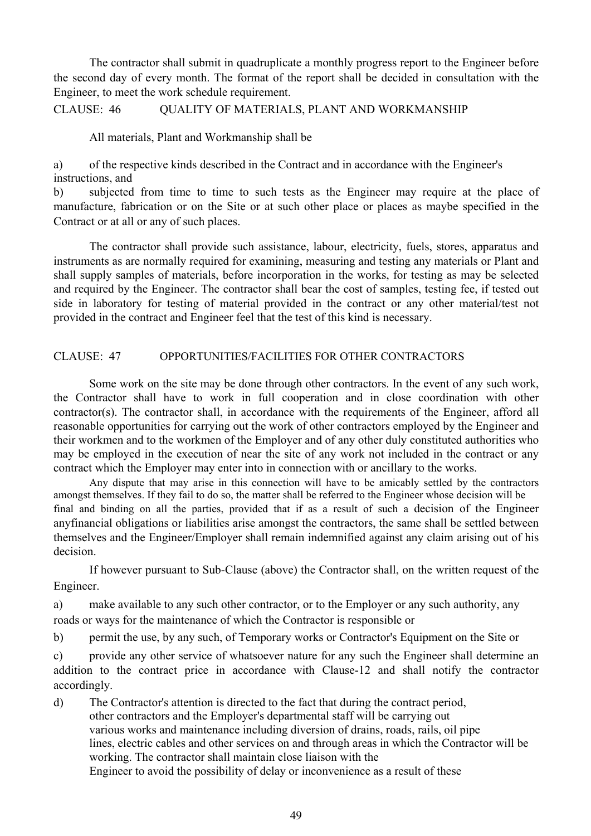The contractor shall submit in quadruplicate a monthly progress report to the Engineer before the second day of every month. The format of the report shall be decided in consultation with the Engineer, to meet the work schedule requirement.

CLAUSE: 46 QUALITY OF MATERIALS, PLANT AND WORKMANSHIP

All materials, Plant and Workmanship shall be

a) of the respective kinds described in the Contract and in accordance with the Engineer's instructions, and

b) subjected from time to time to such tests as the Engineer may require at the place of manufacture, fabrication or on the Site or at such other place or places as maybe specified in the Contract or at all or any of such places.

The contractor shall provide such assistance, labour, electricity, fuels, stores, apparatus and instruments as are normally required for examining, measuring and testing any materials or Plant and shall supply samples of materials, before incorporation in the works, for testing as may be selected and required by the Engineer. The contractor shall bear the cost of samples, testing fee, if tested out side in laboratory for testing of material provided in the contract or any other material/test not provided in the contract and Engineer feel that the test of this kind is necessary.

#### CLAUSE: 47 OPPORTUNITIES/FACILITIES FOR OTHER CONTRACTORS

Some work on the site may be done through other contractors. In the event of any such work, the Contractor shall have to work in full cooperation and in close coordination with other contractor(s). The contractor shall, in accordance with the requirements of the Engineer, afford all reasonable opportunities for carrying out the work of other contractors employed by the Engineer and their workmen and to the workmen of the Employer and of any other duly constituted authorities who may be employed in the execution of near the site of any work not included in the contract or any contract which the Employer may enter into in connection with or ancillary to the works.

Any dispute that may arise in this connection will have to be amicably settled by the contractors amongst themselves. If they fail to do so, the matter shall be referred to the Engineer whose decision will be final and binding on all the parties, provided that if as a result of such a decision of the Engineer anyfinancial obligations or liabilities arise amongst the contractors, the same shall be settled between themselves and the Engineer/Employer shall remain indemnified against any claim arising out of his decision.

If however pursuant to Sub-Clause (above) the Contractor shall, on the written request of the Engineer.

a) make available to any such other contractor, or to the Employer or any such authority, any roads or ways for the maintenance of which the Contractor is responsible or

b) permit the use, by any such, of Temporary works or Contractor's Equipment on the Site or

c) provide any other service of whatsoever nature for any such the Engineer shall determine an addition to the contract price in accordance with Clause-12 and shall notify the contractor accordingly.

d) The Contractor's attention is directed to the fact that during the contract period, other contractors and the Employer's departmental staff will be carrying out various works and maintenance including diversion of drains, roads, rails, oil pipe lines, electric cables and other services on and through areas in which the Contractor will be working. The contractor shall maintain close liaison with the Engineer to avoid the possibility of delay or inconvenience as a result of these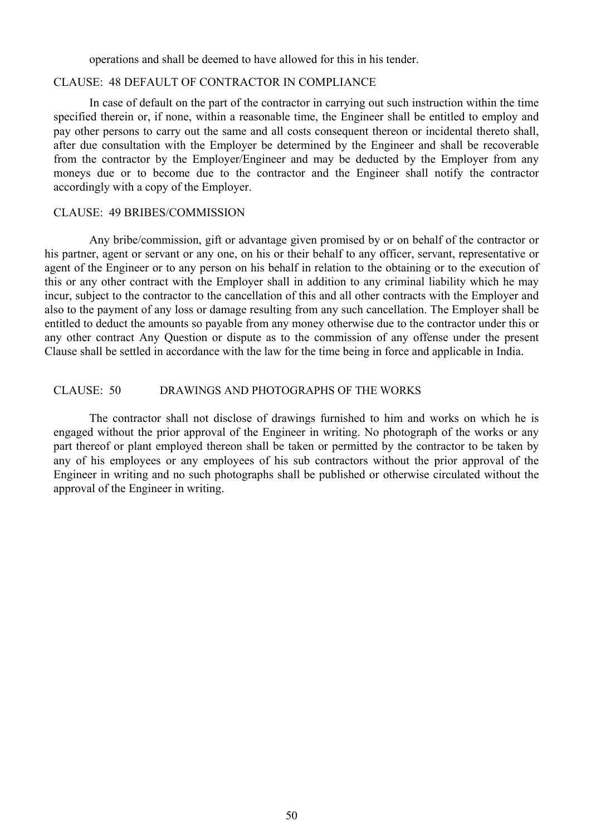operations and shall be deemed to have allowed for this in his tender.

#### CLAUSE: 48 DEFAULT OF CONTRACTOR IN COMPLIANCE

In case of default on the part of the contractor in carrying out such instruction within the time specified therein or, if none, within a reasonable time, the Engineer shall be entitled to employ and pay other persons to carry out the same and all costs consequent thereon or incidental thereto shall, after due consultation with the Employer be determined by the Engineer and shall be recoverable from the contractor by the Employer/Engineer and may be deducted by the Employer from any moneys due or to become due to the contractor and the Engineer shall notify the contractor accordingly with a copy of the Employer.

#### CLAUSE: 49 BRIBES/COMMISSION

Any bribe/commission, gift or advantage given promised by or on behalf of the contractor or his partner, agent or servant or any one, on his or their behalf to any officer, servant, representative or agent of the Engineer or to any person on his behalf in relation to the obtaining or to the execution of this or any other contract with the Employer shall in addition to any criminal liability which he may incur, subject to the contractor to the cancellation of this and all other contracts with the Employer and also to the payment of any loss or damage resulting from any such cancellation. The Employer shall be entitled to deduct the amounts so payable from any money otherwise due to the contractor under this or any other contract Any Question or dispute as to the commission of any offense under the present Clause shall be settled in accordance with the law for the time being in force and applicable in India.

#### CLAUSE: 50 DRAWINGS AND PHOTOGRAPHS OF THE WORKS

The contractor shall not disclose of drawings furnished to him and works on which he is engaged without the prior approval of the Engineer in writing. No photograph of the works or any part thereof or plant employed thereon shall be taken or permitted by the contractor to be taken by any of his employees or any employees of his sub contractors without the prior approval of the Engineer in writing and no such photographs shall be published or otherwise circulated without the approval of the Engineer in writing.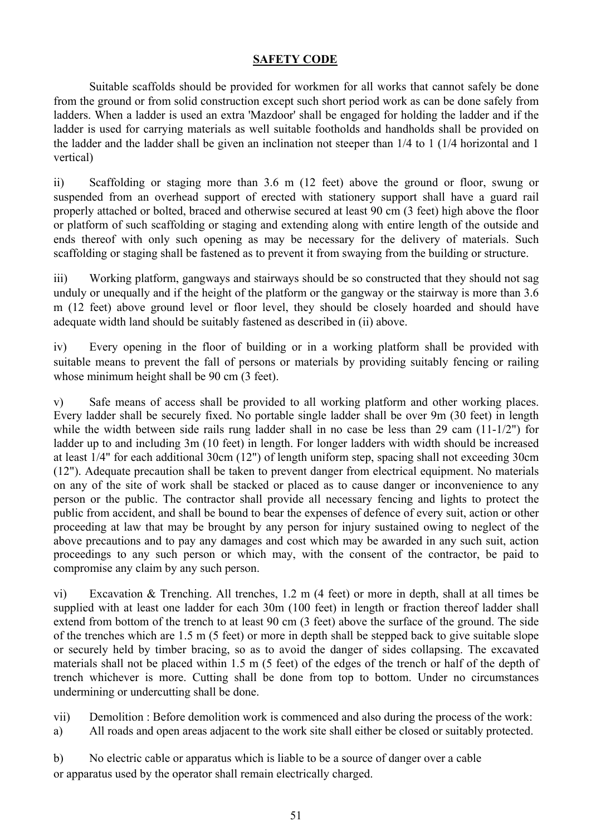# **SAFETY CODE**

Suitable scaffolds should be provided for workmen for all works that cannot safely be done from the ground or from solid construction except such short period work as can be done safely from ladders. When a ladder is used an extra 'Mazdoor' shall be engaged for holding the ladder and if the ladder is used for carrying materials as well suitable footholds and handholds shall be provided on the ladder and the ladder shall be given an inclination not steeper than 1/4 to 1 (1/4 horizontal and 1 vertical)

ii) Scaffolding or staging more than 3.6 m (12 feet) above the ground or floor, swung or suspended from an overhead support of erected with stationery support shall have a guard rail properly attached or bolted, braced and otherwise secured at least 90 cm (3 feet) high above the floor or platform of such scaffolding or staging and extending along with entire length of the outside and ends thereof with only such opening as may be necessary for the delivery of materials. Such scaffolding or staging shall be fastened as to prevent it from swaying from the building or structure.

iii) Working platform, gangways and stairways should be so constructed that they should not sag unduly or unequally and if the height of the platform or the gangway or the stairway is more than 3.6 m (12 feet) above ground level or floor level, they should be closely hoarded and should have adequate width land should be suitably fastened as described in (ii) above.

iv) Every opening in the floor of building or in a working platform shall be provided with suitable means to prevent the fall of persons or materials by providing suitably fencing or railing whose minimum height shall be 90 cm (3 feet).

v) Safe means of access shall be provided to all working platform and other working places. Every ladder shall be securely fixed. No portable single ladder shall be over 9m (30 feet) in length while the width between side rails rung ladder shall in no case be less than 29 cam (11-1/2") for ladder up to and including 3m (10 feet) in length. For longer ladders with width should be increased at least 1/4" for each additional 30cm (12") of length uniform step, spacing shall not exceeding 30cm (12"). Adequate precaution shall be taken to prevent danger from electrical equipment. No materials on any of the site of work shall be stacked or placed as to cause danger or inconvenience to any person or the public. The contractor shall provide all necessary fencing and lights to protect the public from accident, and shall be bound to bear the expenses of defence of every suit, action or other proceeding at law that may be brought by any person for injury sustained owing to neglect of the above precautions and to pay any damages and cost which may be awarded in any such suit, action proceedings to any such person or which may, with the consent of the contractor, be paid to compromise any claim by any such person.

vi) Excavation & Trenching. All trenches, 1.2 m (4 feet) or more in depth, shall at all times be supplied with at least one ladder for each 30m (100 feet) in length or fraction thereof ladder shall extend from bottom of the trench to at least 90 cm (3 feet) above the surface of the ground. The side of the trenches which are 1.5 m (5 feet) or more in depth shall be stepped back to give suitable slope or securely held by timber bracing, so as to avoid the danger of sides collapsing. The excavated materials shall not be placed within 1.5 m (5 feet) of the edges of the trench or half of the depth of trench whichever is more. Cutting shall be done from top to bottom. Under no circumstances undermining or undercutting shall be done.

vii) Demolition : Before demolition work is commenced and also during the process of the work:

a) All roads and open areas adjacent to the work site shall either be closed or suitably protected.

b) No electric cable or apparatus which is liable to be a source of danger over a cable or apparatus used by the operator shall remain electrically charged.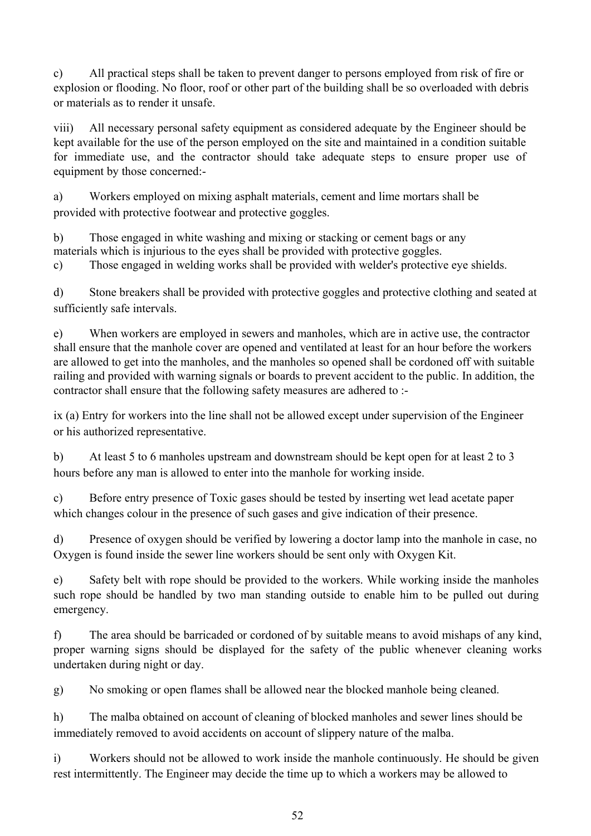c) All practical steps shall be taken to prevent danger to persons employed from risk of fire or explosion or flooding. No floor, roof or other part of the building shall be so overloaded with debris or materials as to render it unsafe.

viii) All necessary personal safety equipment as considered adequate by the Engineer should be kept available for the use of the person employed on the site and maintained in a condition suitable for immediate use, and the contractor should take adequate steps to ensure proper use of equipment by those concerned:-

a) Workers employed on mixing asphalt materials, cement and lime mortars shall be provided with protective footwear and protective goggles.

b) Those engaged in white washing and mixing or stacking or cement bags or any materials which is injurious to the eyes shall be provided with protective goggles.

c) Those engaged in welding works shall be provided with welder's protective eye shields.

d) Stone breakers shall be provided with protective goggles and protective clothing and seated at sufficiently safe intervals.

e) When workers are employed in sewers and manholes, which are in active use, the contractor shall ensure that the manhole cover are opened and ventilated at least for an hour before the workers are allowed to get into the manholes, and the manholes so opened shall be cordoned off with suitable railing and provided with warning signals or boards to prevent accident to the public. In addition, the contractor shall ensure that the following safety measures are adhered to :-

ix (a) Entry for workers into the line shall not be allowed except under supervision of the Engineer or his authorized representative.

b) At least 5 to 6 manholes upstream and downstream should be kept open for at least 2 to 3 hours before any man is allowed to enter into the manhole for working inside.

c) Before entry presence of Toxic gases should be tested by inserting wet lead acetate paper which changes colour in the presence of such gases and give indication of their presence.

d) Presence of oxygen should be verified by lowering a doctor lamp into the manhole in case, no Oxygen is found inside the sewer line workers should be sent only with Oxygen Kit.

e) Safety belt with rope should be provided to the workers. While working inside the manholes such rope should be handled by two man standing outside to enable him to be pulled out during emergency.

f) The area should be barricaded or cordoned of by suitable means to avoid mishaps of any kind, proper warning signs should be displayed for the safety of the public whenever cleaning works undertaken during night or day.

g) No smoking or open flames shall be allowed near the blocked manhole being cleaned.

h) The malba obtained on account of cleaning of blocked manholes and sewer lines should be immediately removed to avoid accidents on account of slippery nature of the malba.

i) Workers should not be allowed to work inside the manhole continuously. He should be given rest intermittently. The Engineer may decide the time up to which a workers may be allowed to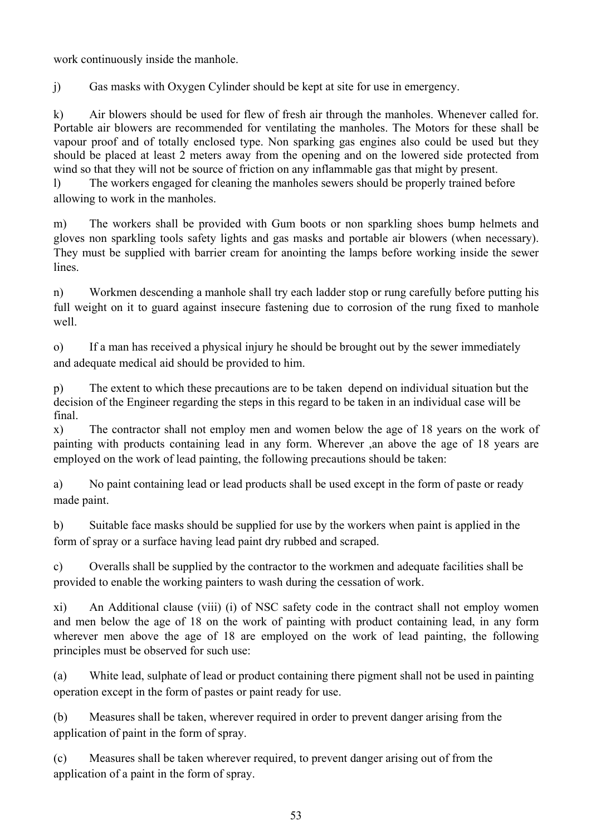work continuously inside the manhole.

j) Gas masks with Oxygen Cylinder should be kept at site for use in emergency.

k) Air blowers should be used for flew of fresh air through the manholes. Whenever called for. Portable air blowers are recommended for ventilating the manholes. The Motors for these shall be vapour proof and of totally enclosed type. Non sparking gas engines also could be used but they should be placed at least 2 meters away from the opening and on the lowered side protected from wind so that they will not be source of friction on any inflammable gas that might by present.

l) The workers engaged for cleaning the manholes sewers should be properly trained before allowing to work in the manholes.

m) The workers shall be provided with Gum boots or non sparkling shoes bump helmets and gloves non sparkling tools safety lights and gas masks and portable air blowers (when necessary). They must be supplied with barrier cream for anointing the lamps before working inside the sewer lines.

n) Workmen descending a manhole shall try each ladder stop or rung carefully before putting his full weight on it to guard against insecure fastening due to corrosion of the rung fixed to manhole well.

o) If a man has received a physical injury he should be brought out by the sewer immediately and adequate medical aid should be provided to him.

p) The extent to which these precautions are to be taken depend on individual situation but the decision of the Engineer regarding the steps in this regard to be taken in an individual case will be final.

x) The contractor shall not employ men and women below the age of 18 years on the work of painting with products containing lead in any form. Wherever ,an above the age of 18 years are employed on the work of lead painting, the following precautions should be taken:

a) No paint containing lead or lead products shall be used except in the form of paste or ready made paint.

b) Suitable face masks should be supplied for use by the workers when paint is applied in the form of spray or a surface having lead paint dry rubbed and scraped.

c) Overalls shall be supplied by the contractor to the workmen and adequate facilities shall be provided to enable the working painters to wash during the cessation of work.

xi) An Additional clause (viii) (i) of NSC safety code in the contract shall not employ women and men below the age of 18 on the work of painting with product containing lead, in any form wherever men above the age of 18 are employed on the work of lead painting, the following principles must be observed for such use:

(a) White lead, sulphate of lead or product containing there pigment shall not be used in painting operation except in the form of pastes or paint ready for use.

(b) Measures shall be taken, wherever required in order to prevent danger arising from the application of paint in the form of spray.

(c) Measures shall be taken wherever required, to prevent danger arising out of from the application of a paint in the form of spray.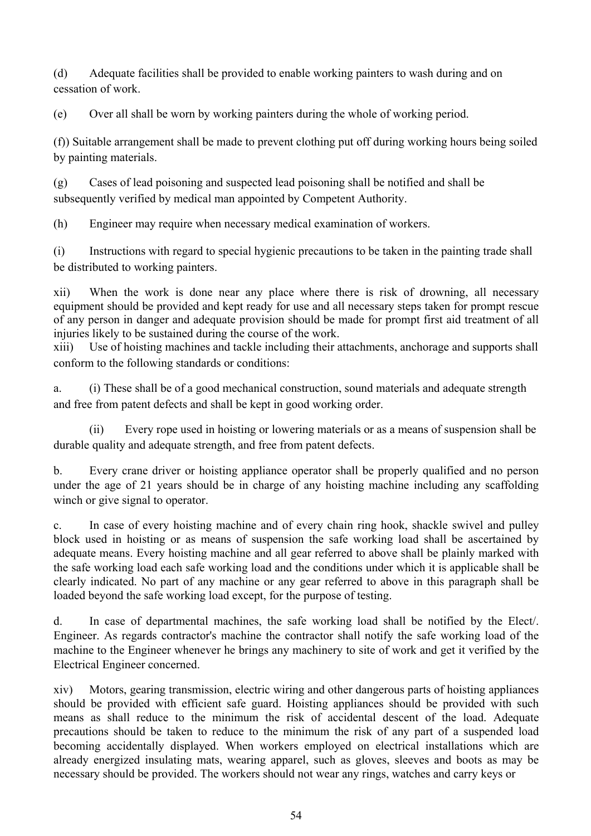(d) Adequate facilities shall be provided to enable working painters to wash during and on cessation of work.

(e) Over all shall be worn by working painters during the whole of working period.

(f)) Suitable arrangement shall be made to prevent clothing put off during working hours being soiled by painting materials.

(g) Cases of lead poisoning and suspected lead poisoning shall be notified and shall be subsequently verified by medical man appointed by Competent Authority.

(h) Engineer may require when necessary medical examination of workers.

(i) Instructions with regard to special hygienic precautions to be taken in the painting trade shall be distributed to working painters.

xii) When the work is done near any place where there is risk of drowning, all necessary equipment should be provided and kept ready for use and all necessary steps taken for prompt rescue of any person in danger and adequate provision should be made for prompt first aid treatment of all injuries likely to be sustained during the course of the work.

xiii) Use of hoisting machines and tackle including their attachments, anchorage and supports shall conform to the following standards or conditions:

a. (i) These shall be of a good mechanical construction, sound materials and adequate strength and free from patent defects and shall be kept in good working order.

(ii) Every rope used in hoisting or lowering materials or as a means of suspension shall be durable quality and adequate strength, and free from patent defects.

b. Every crane driver or hoisting appliance operator shall be properly qualified and no person under the age of 21 years should be in charge of any hoisting machine including any scaffolding winch or give signal to operator.

c. In case of every hoisting machine and of every chain ring hook, shackle swivel and pulley block used in hoisting or as means of suspension the safe working load shall be ascertained by adequate means. Every hoisting machine and all gear referred to above shall be plainly marked with the safe working load each safe working load and the conditions under which it is applicable shall be clearly indicated. No part of any machine or any gear referred to above in this paragraph shall be loaded beyond the safe working load except, for the purpose of testing.

d. In case of departmental machines, the safe working load shall be notified by the Elect/. Engineer. As regards contractor's machine the contractor shall notify the safe working load of the machine to the Engineer whenever he brings any machinery to site of work and get it verified by the Electrical Engineer concerned.

xiv) Motors, gearing transmission, electric wiring and other dangerous parts of hoisting appliances should be provided with efficient safe guard. Hoisting appliances should be provided with such means as shall reduce to the minimum the risk of accidental descent of the load. Adequate precautions should be taken to reduce to the minimum the risk of any part of a suspended load becoming accidentally displayed. When workers employed on electrical installations which are already energized insulating mats, wearing apparel, such as gloves, sleeves and boots as may be necessary should be provided. The workers should not wear any rings, watches and carry keys or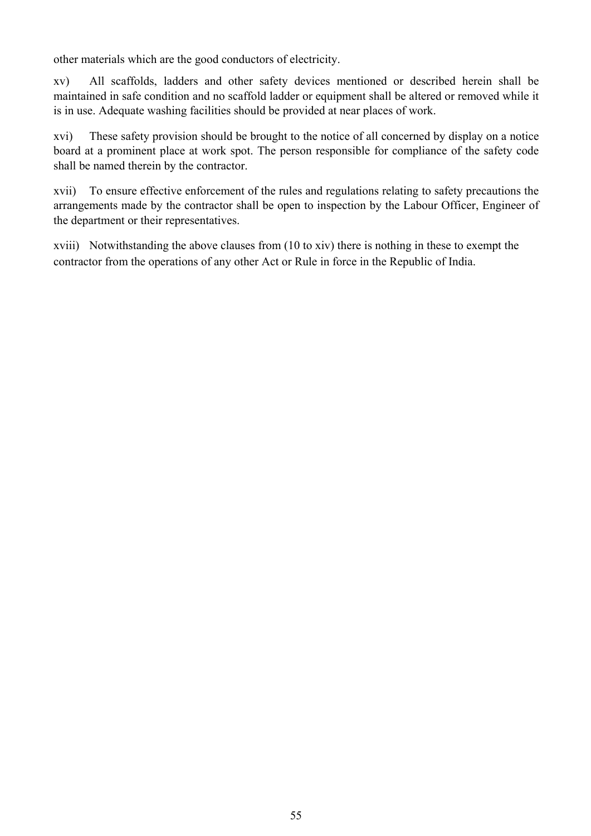other materials which are the good conductors of electricity.

xv) All scaffolds, ladders and other safety devices mentioned or described herein shall be maintained in safe condition and no scaffold ladder or equipment shall be altered or removed while it is in use. Adequate washing facilities should be provided at near places of work.

xvi) These safety provision should be brought to the notice of all concerned by display on a notice board at a prominent place at work spot. The person responsible for compliance of the safety code shall be named therein by the contractor.

xvii) To ensure effective enforcement of the rules and regulations relating to safety precautions the arrangements made by the contractor shall be open to inspection by the Labour Officer, Engineer of the department or their representatives.

xviii) Notwithstanding the above clauses from (10 to xiv) there is nothing in these to exempt the contractor from the operations of any other Act or Rule in force in the Republic of India.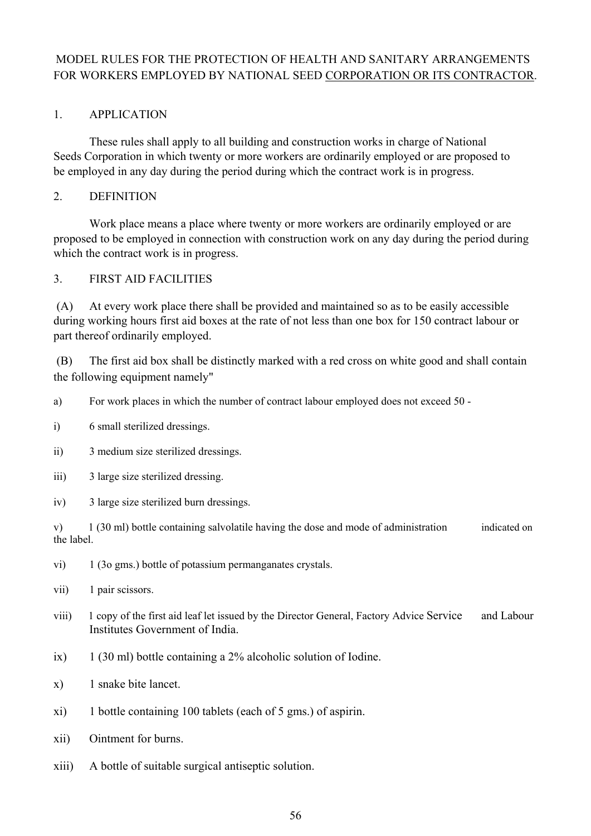# MODEL RULES FOR THE PROTECTION OF HEALTH AND SANITARY ARRANGEMENTS FOR WORKERS EMPLOYED BY NATIONAL SEED CORPORATION OR ITS CONTRACTOR.

# 1. APPLICATION

These rules shall apply to all building and construction works in charge of National Seeds Corporation in which twenty or more workers are ordinarily employed or are proposed to be employed in any day during the period during which the contract work is in progress.

#### 2. DEFINITION

Work place means a place where twenty or more workers are ordinarily employed or are proposed to be employed in connection with construction work on any day during the period during which the contract work is in progress.

#### 3. FIRST AID FACILITIES

(A) At every work place there shall be provided and maintained so as to be easily accessible during working hours first aid boxes at the rate of not less than one box for 150 contract labour or part thereof ordinarily employed.

(B) The first aid box shall be distinctly marked with a red cross on white good and shall contain the following equipment namely"

a) For work places in which the number of contract labour employed does not exceed 50 -

i) 6 small sterilized dressings.

- ii) 3 medium size sterilized dressings.
- iii) 3 large size sterilized dressing.
- iv) 3 large size sterilized burn dressings.

v) 1 (30 ml) bottle containing salvolatile having the dose and mode of administration indicated on the label.

- vi) 1 (3o gms.) bottle of potassium permanganates crystals.
- vii) 1 pair scissors.
- viii) 1 copy of the first aid leaf let issued by the Director General, Factory Advice Service and Labour Institutes Government of India.
- ix)  $1 (30 \text{ ml})$  bottle containing a 2% alcoholic solution of Iodine.
- x) 1 snake bite lancet.
- xi) 1 bottle containing 100 tablets (each of 5 gms.) of aspirin.
- xii) Ointment for burns.
- xiii) A bottle of suitable surgical antiseptic solution.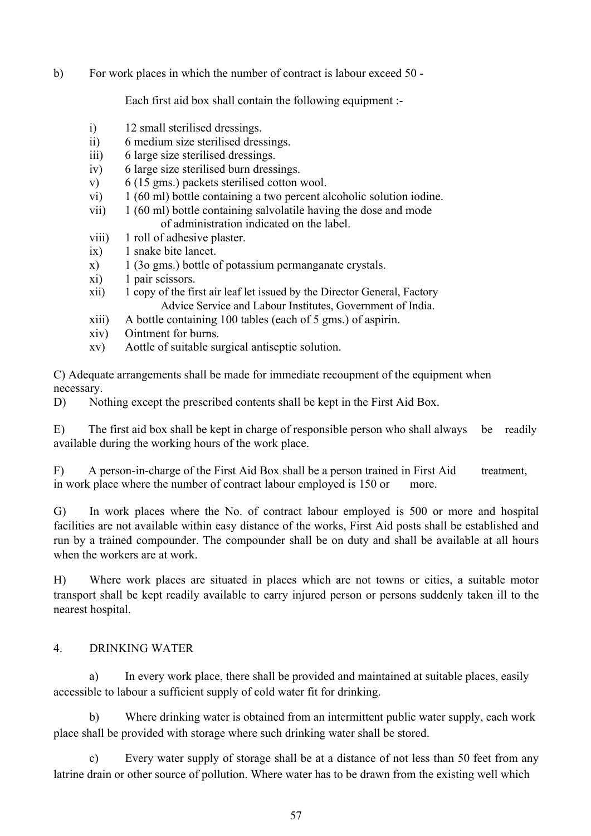b) For work places in which the number of contract is labour exceed 50 -

Each first aid box shall contain the following equipment :-

- i) 12 small sterilised dressings.
- ii) 6 medium size sterilised dressings.
- iii) 6 large size sterilised dressings.
- iv) 6 large size sterilised burn dressings.
- v) 6 (15 gms.) packets sterilised cotton wool.
- vi) 1 (60 ml) bottle containing a two percent alcoholic solution iodine.
- vii) 1 (60 ml) bottle containing salvolatile having the dose and mode of administration indicated on the label.
- viii) 1 roll of adhesive plaster.
- ix) 1 snake bite lancet.
- x) 1 (3o gms.) bottle of potassium permanganate crystals.
- xi) 1 pair scissors.
- xii) 1 copy of the first air leaf let issued by the Director General, Factory Advice Service and Labour Institutes, Government of India.
- xiii) A bottle containing 100 tables (each of 5 gms.) of aspirin.
- xiv) Ointment for burns.
- xv) Aottle of suitable surgical antiseptic solution.

C) Adequate arrangements shall be made for immediate recoupment of the equipment when necessary.

D) Nothing except the prescribed contents shall be kept in the First Aid Box.

E) The first aid box shall be kept in charge of responsible person who shall always be readily available during the working hours of the work place.

F) A person-in-charge of the First Aid Box shall be a person trained in First Aid treatment, in work place where the number of contract labour employed is 150 or more.

G) In work places where the No. of contract labour employed is 500 or more and hospital facilities are not available within easy distance of the works, First Aid posts shall be established and run by a trained compounder. The compounder shall be on duty and shall be available at all hours when the workers are at work.

H) Where work places are situated in places which are not towns or cities, a suitable motor transport shall be kept readily available to carry injured person or persons suddenly taken ill to the nearest hospital.

## 4. DRINKING WATER

a) In every work place, there shall be provided and maintained at suitable places, easily accessible to labour a sufficient supply of cold water fit for drinking.

b) Where drinking water is obtained from an intermittent public water supply, each work place shall be provided with storage where such drinking water shall be stored.

c) Every water supply of storage shall be at a distance of not less than 50 feet from any latrine drain or other source of pollution. Where water has to be drawn from the existing well which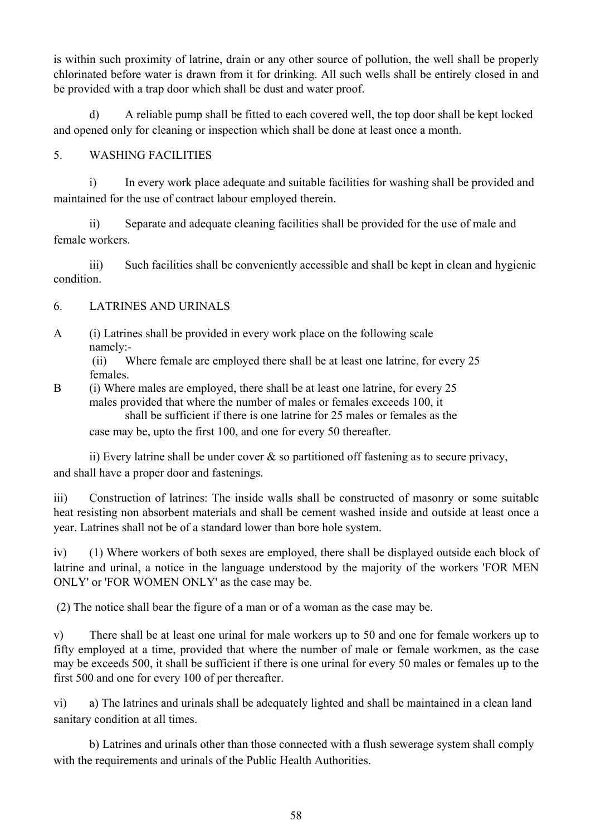is within such proximity of latrine, drain or any other source of pollution, the well shall be properly chlorinated before water is drawn from it for drinking. All such wells shall be entirely closed in and be provided with a trap door which shall be dust and water proof.

d) A reliable pump shall be fitted to each covered well, the top door shall be kept locked and opened only for cleaning or inspection which shall be done at least once a month.

# 5. WASHING FACILITIES

i) In every work place adequate and suitable facilities for washing shall be provided and maintained for the use of contract labour employed therein.

ii) Separate and adequate cleaning facilities shall be provided for the use of male and female workers.

iii) Such facilities shall be conveniently accessible and shall be kept in clean and hygienic condition.

# 6. LATRINES AND URINALS

A (i) Latrines shall be provided in every work place on the following scale namely:-

(ii) Where female are employed there shall be at least one latrine, for every 25 females.

B (i) Where males are employed, there shall be at least one latrine, for every 25 males provided that where the number of males or females exceeds 100, it shall be sufficient if there is one latrine for 25 males or females as the case may be, upto the first 100, and one for every 50 thereafter.

ii) Every latrine shall be under cover  $\&$  so partitioned off fastening as to secure privacy, and shall have a proper door and fastenings.

iii) Construction of latrines: The inside walls shall be constructed of masonry or some suitable heat resisting non absorbent materials and shall be cement washed inside and outside at least once a year. Latrines shall not be of a standard lower than bore hole system.

iv) (1) Where workers of both sexes are employed, there shall be displayed outside each block of latrine and urinal, a notice in the language understood by the majority of the workers 'FOR MEN ONLY' or 'FOR WOMEN ONLY' as the case may be.

(2) The notice shall bear the figure of a man or of a woman as the case may be.

v) There shall be at least one urinal for male workers up to 50 and one for female workers up to fifty employed at a time, provided that where the number of male or female workmen, as the case may be exceeds 500, it shall be sufficient if there is one urinal for every 50 males or females up to the first 500 and one for every 100 of per thereafter.

vi) a) The latrines and urinals shall be adequately lighted and shall be maintained in a clean land sanitary condition at all times.

b) Latrines and urinals other than those connected with a flush sewerage system shall comply with the requirements and urinals of the Public Health Authorities.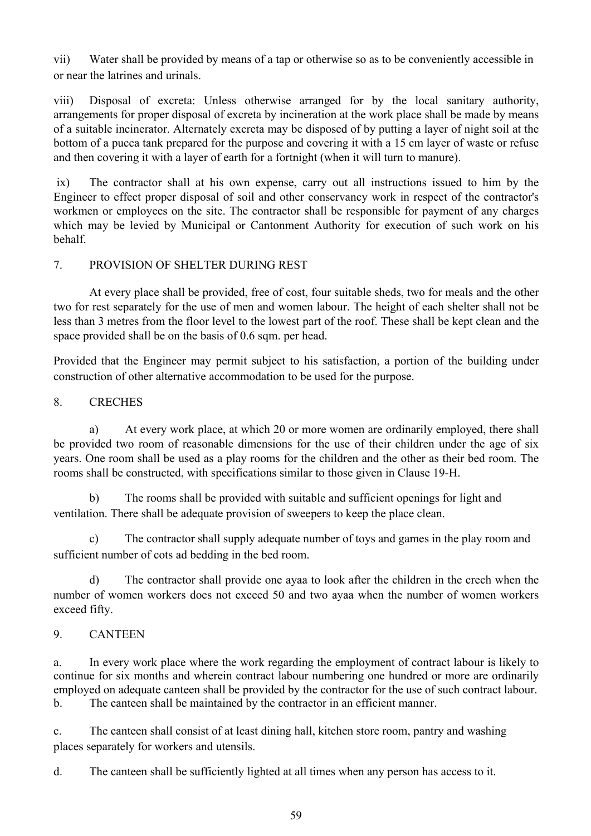vii) Water shall be provided by means of a tap or otherwise so as to be conveniently accessible in or near the latrines and urinals.

viii) Disposal of excreta: Unless otherwise arranged for by the local sanitary authority, arrangements for proper disposal of excreta by incineration at the work place shall be made by means of a suitable incinerator. Alternately excreta may be disposed of by putting a layer of night soil at the bottom of a pucca tank prepared for the purpose and covering it with a 15 cm layer of waste or refuse and then covering it with a layer of earth for a fortnight (when it will turn to manure).

ix) The contractor shall at his own expense, carry out all instructions issued to him by the Engineer to effect proper disposal of soil and other conservancy work in respect of the contractor's workmen or employees on the site. The contractor shall be responsible for payment of any charges which may be levied by Municipal or Cantonment Authority for execution of such work on his behalf.

# 7. PROVISION OF SHELTER DURING REST

At every place shall be provided, free of cost, four suitable sheds, two for meals and the other two for rest separately for the use of men and women labour. The height of each shelter shall not be less than 3 metres from the floor level to the lowest part of the roof. These shall be kept clean and the space provided shall be on the basis of 0.6 sqm. per head.

Provided that the Engineer may permit subject to his satisfaction, a portion of the building under construction of other alternative accommodation to be used for the purpose.

## 8. CRECHES

a) At every work place, at which 20 or more women are ordinarily employed, there shall be provided two room of reasonable dimensions for the use of their children under the age of six years. One room shall be used as a play rooms for the children and the other as their bed room. The rooms shall be constructed, with specifications similar to those given in Clause 19-H.

b) The rooms shall be provided with suitable and sufficient openings for light and ventilation. There shall be adequate provision of sweepers to keep the place clean.

c) The contractor shall supply adequate number of toys and games in the play room and sufficient number of cots ad bedding in the bed room.

d) The contractor shall provide one ayaa to look after the children in the crech when the number of women workers does not exceed 50 and two ayaa when the number of women workers exceed fifty.

# 9. CANTEEN

a. In every work place where the work regarding the employment of contract labour is likely to continue for six months and wherein contract labour numbering one hundred or more are ordinarily employed on adequate canteen shall be provided by the contractor for the use of such contract labour. b. The canteen shall be maintained by the contractor in an efficient manner.

c. The canteen shall consist of at least dining hall, kitchen store room, pantry and washing places separately for workers and utensils.

d. The canteen shall be sufficiently lighted at all times when any person has access to it.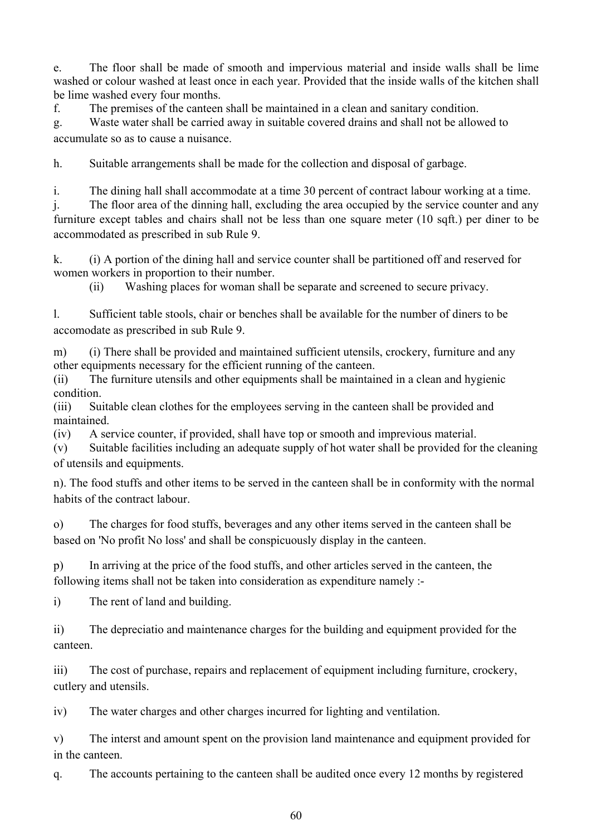e. The floor shall be made of smooth and impervious material and inside walls shall be lime washed or colour washed at least once in each year. Provided that the inside walls of the kitchen shall be lime washed every four months.

f. The premises of the canteen shall be maintained in a clean and sanitary condition.

g. Waste water shall be carried away in suitable covered drains and shall not be allowed to accumulate so as to cause a nuisance.

h. Suitable arrangements shall be made for the collection and disposal of garbage.

i. The dining hall shall accommodate at a time 30 percent of contract labour working at a time.

j. The floor area of the dinning hall, excluding the area occupied by the service counter and any furniture except tables and chairs shall not be less than one square meter (10 sqft.) per diner to be accommodated as prescribed in sub Rule 9.

k. (i) A portion of the dining hall and service counter shall be partitioned off and reserved for women workers in proportion to their number.

(ii) Washing places for woman shall be separate and screened to secure privacy.

l. Sufficient table stools, chair or benches shall be available for the number of diners to be accomodate as prescribed in sub Rule 9.

m) (i) There shall be provided and maintained sufficient utensils, crockery, furniture and any other equipments necessary for the efficient running of the canteen.

(ii) The furniture utensils and other equipments shall be maintained in a clean and hygienic condition.

(iii) Suitable clean clothes for the employees serving in the canteen shall be provided and maintained.

(iv) A service counter, if provided, shall have top or smooth and imprevious material.

(v) Suitable facilities including an adequate supply of hot water shall be provided for the cleaning of utensils and equipments.

n). The food stuffs and other items to be served in the canteen shall be in conformity with the normal habits of the contract labour.

o) The charges for food stuffs, beverages and any other items served in the canteen shall be based on 'No profit No loss' and shall be conspicuously display in the canteen.

p) In arriving at the price of the food stuffs, and other articles served in the canteen, the following items shall not be taken into consideration as expenditure namely :-

i) The rent of land and building.

ii) The depreciatio and maintenance charges for the building and equipment provided for the canteen.

iii) The cost of purchase, repairs and replacement of equipment including furniture, crockery, cutlery and utensils.

iv) The water charges and other charges incurred for lighting and ventilation.

v) The interst and amount spent on the provision land maintenance and equipment provided for in the canteen.

q. The accounts pertaining to the canteen shall be audited once every 12 months by registered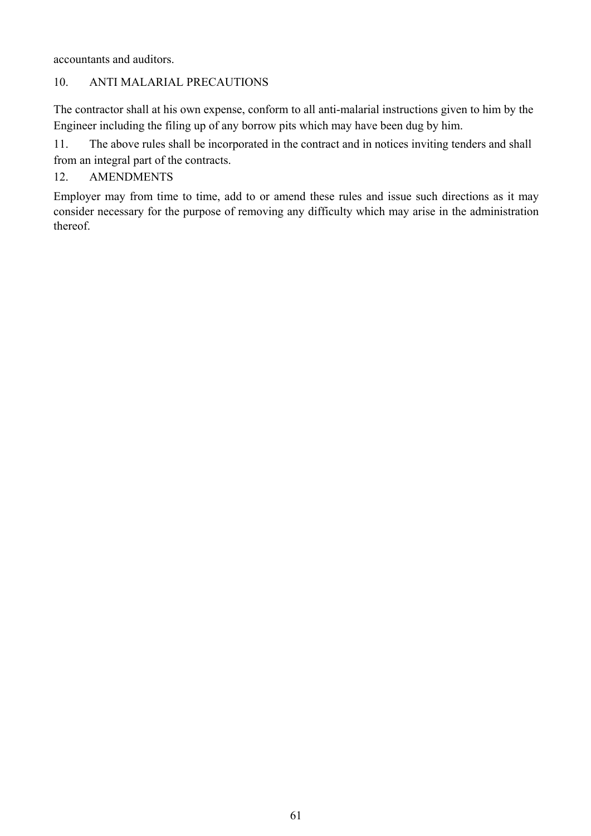accountants and auditors.

# 10. ANTI MALARIAL PRECAUTIONS

The contractor shall at his own expense, conform to all anti-malarial instructions given to him by the Engineer including the filing up of any borrow pits which may have been dug by him.

11. The above rules shall be incorporated in the contract and in notices inviting tenders and shall from an integral part of the contracts.

# 12. AMENDMENTS

Employer may from time to time, add to or amend these rules and issue such directions as it may consider necessary for the purpose of removing any difficulty which may arise in the administration thereof.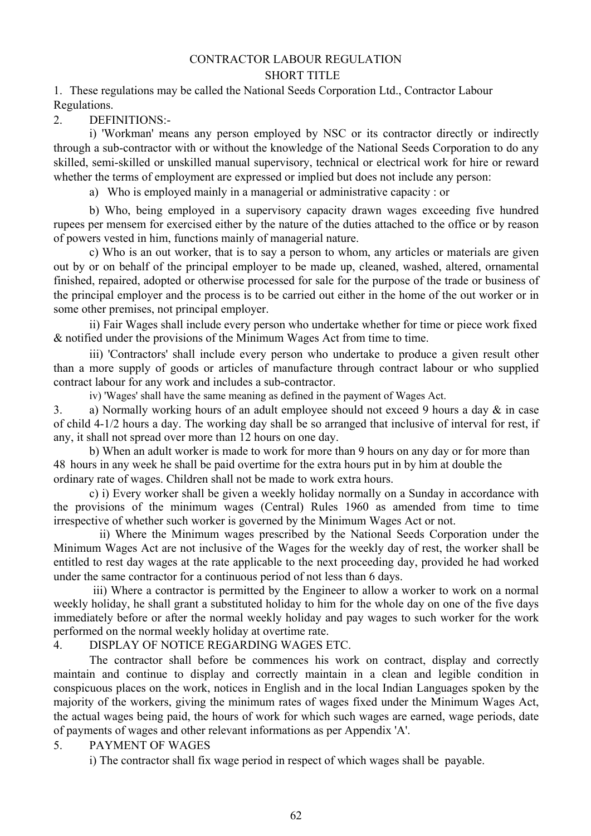# CONTRACTOR LABOUR REGULATION

#### SHORT TITLE

1. These regulations may be called the National Seeds Corporation Ltd., Contractor Labour Regulations.

2. DEFINITIONS:-

i) 'Workman' means any person employed by NSC or its contractor directly or indirectly through a sub-contractor with or without the knowledge of the National Seeds Corporation to do any skilled, semi-skilled or unskilled manual supervisory, technical or electrical work for hire or reward whether the terms of employment are expressed or implied but does not include any person:

a) Who is employed mainly in a managerial or administrative capacity : or

b) Who, being employed in a supervisory capacity drawn wages exceeding five hundred rupees per mensem for exercised either by the nature of the duties attached to the office or by reason of powers vested in him, functions mainly of managerial nature.

c) Who is an out worker, that is to say a person to whom, any articles or materials are given out by or on behalf of the principal employer to be made up, cleaned, washed, altered, ornamental finished, repaired, adopted or otherwise processed for sale for the purpose of the trade or business of the principal employer and the process is to be carried out either in the home of the out worker or in some other premises, not principal employer.

ii) Fair Wages shall include every person who undertake whether for time or piece work fixed & notified under the provisions of the Minimum Wages Act from time to time.

iii) 'Contractors' shall include every person who undertake to produce a given result other than a more supply of goods or articles of manufacture through contract labour or who supplied contract labour for any work and includes a sub-contractor.

iv) 'Wages' shall have the same meaning as defined in the payment of Wages Act.

3. a) Normally working hours of an adult employee should not exceed 9 hours a day & in case of child 4-1/2 hours a day. The working day shall be so arranged that inclusive of interval for rest, if any, it shall not spread over more than 12 hours on one day.

b) When an adult worker is made to work for more than 9 hours on any day or for more than 48 hours in any week he shall be paid overtime for the extra hours put in by him at double the ordinary rate of wages. Children shall not be made to work extra hours.

c) i) Every worker shall be given a weekly holiday normally on a Sunday in accordance with the provisions of the minimum wages (Central) Rules 1960 as amended from time to time irrespective of whether such worker is governed by the Minimum Wages Act or not.

ii) Where the Minimum wages prescribed by the National Seeds Corporation under the Minimum Wages Act are not inclusive of the Wages for the weekly day of rest, the worker shall be entitled to rest day wages at the rate applicable to the next proceeding day, provided he had worked under the same contractor for a continuous period of not less than 6 days.

iii) Where a contractor is permitted by the Engineer to allow a worker to work on a normal weekly holiday, he shall grant a substituted holiday to him for the whole day on one of the five days immediately before or after the normal weekly holiday and pay wages to such worker for the work performed on the normal weekly holiday at overtime rate.

#### 4. DISPLAY OF NOTICE REGARDING WAGES ETC.

The contractor shall before be commences his work on contract, display and correctly maintain and continue to display and correctly maintain in a clean and legible condition in conspicuous places on the work, notices in English and in the local Indian Languages spoken by the majority of the workers, giving the minimum rates of wages fixed under the Minimum Wages Act, the actual wages being paid, the hours of work for which such wages are earned, wage periods, date of payments of wages and other relevant informations as per Appendix 'A'.

## 5. PAYMENT OF WAGES

i) The contractor shall fix wage period in respect of which wages shall be payable.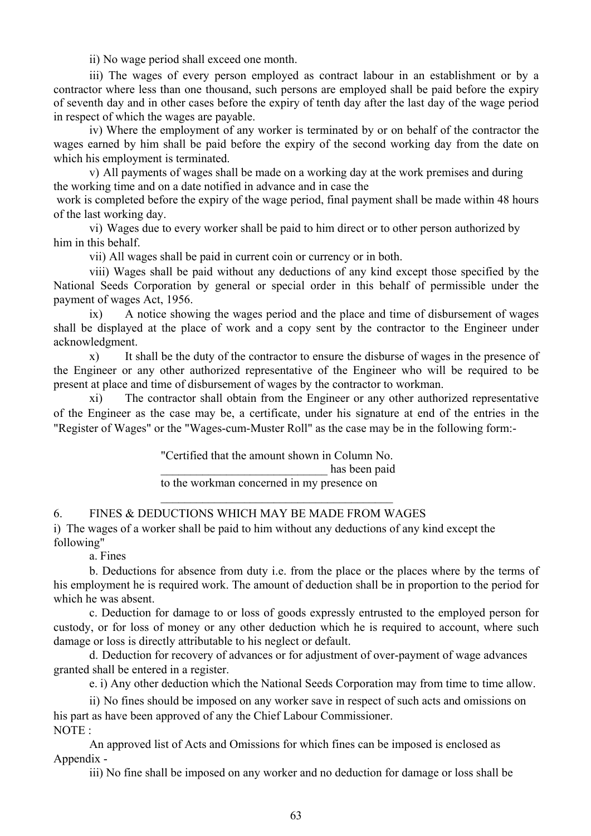ii) No wage period shall exceed one month.

iii) The wages of every person employed as contract labour in an establishment or by a contractor where less than one thousand, such persons are employed shall be paid before the expiry of seventh day and in other cases before the expiry of tenth day after the last day of the wage period in respect of which the wages are payable.

iv) Where the employment of any worker is terminated by or on behalf of the contractor the wages earned by him shall be paid before the expiry of the second working day from the date on which his employment is terminated.

v) All payments of wages shall be made on a working day at the work premises and during the working time and on a date notified in advance and in case the

work is completed before the expiry of the wage period, final payment shall be made within 48 hours of the last working day.

vi) Wages due to every worker shall be paid to him direct or to other person authorized by him in this behalf.

vii) All wages shall be paid in current coin or currency or in both.

viii) Wages shall be paid without any deductions of any kind except those specified by the National Seeds Corporation by general or special order in this behalf of permissible under the payment of wages Act, 1956.

ix) A notice showing the wages period and the place and time of disbursement of wages shall be displayed at the place of work and a copy sent by the contractor to the Engineer under acknowledgment.

x) It shall be the duty of the contractor to ensure the disburse of wages in the presence of the Engineer or any other authorized representative of the Engineer who will be required to be present at place and time of disbursement of wages by the contractor to workman.

xi) The contractor shall obtain from the Engineer or any other authorized representative of the Engineer as the case may be, a certificate, under his signature at end of the entries in the "Register of Wages" or the "Wages-cum-Muster Roll" as the case may be in the following form:-

> "Certified that the amount shown in Column No. has been paid to the workman concerned in my presence on

\_\_\_\_\_\_\_\_\_\_\_\_\_\_\_\_\_\_\_\_\_\_\_\_\_\_\_\_\_\_\_\_\_\_\_\_\_\_\_

#### 6. FINES & DEDUCTIONS WHICH MAY BE MADE FROM WAGES

i) The wages of a worker shall be paid to him without any deductions of any kind except the following"

a. Fines

b. Deductions for absence from duty i.e. from the place or the places where by the terms of his employment he is required work. The amount of deduction shall be in proportion to the period for which he was absent.

c. Deduction for damage to or loss of goods expressly entrusted to the employed person for custody, or for loss of money or any other deduction which he is required to account, where such damage or loss is directly attributable to his neglect or default.

d. Deduction for recovery of advances or for adjustment of over-payment of wage advances granted shall be entered in a register.

e. i) Any other deduction which the National Seeds Corporation may from time to time allow.

ii) No fines should be imposed on any worker save in respect of such acts and omissions on his part as have been approved of any the Chief Labour Commissioner. NOTE :

An approved list of Acts and Omissions for which fines can be imposed is enclosed as Appendix -

iii) No fine shall be imposed on any worker and no deduction for damage or loss shall be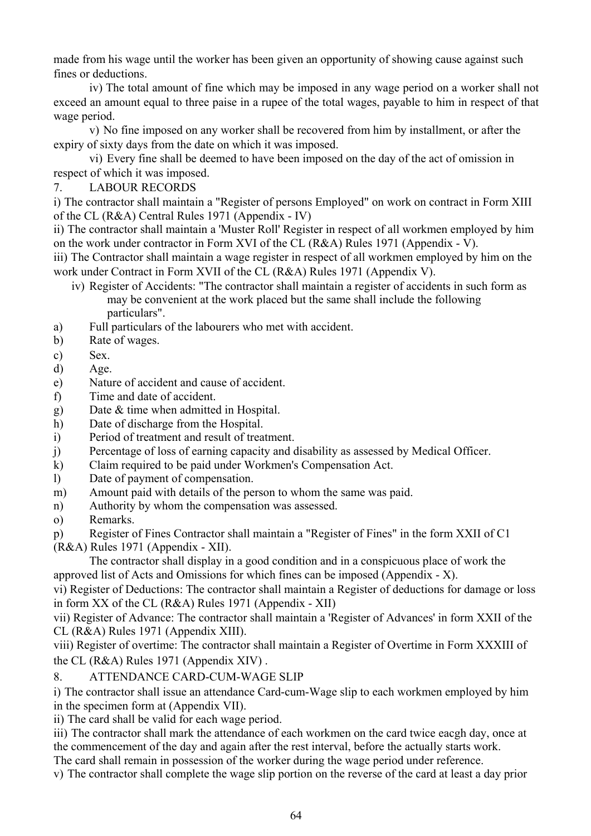made from his wage until the worker has been given an opportunity of showing cause against such fines or deductions.

iv) The total amount of fine which may be imposed in any wage period on a worker shall not exceed an amount equal to three paise in a rupee of the total wages, payable to him in respect of that wage period.

v) No fine imposed on any worker shall be recovered from him by installment, or after the expiry of sixty days from the date on which it was imposed.

vi) Every fine shall be deemed to have been imposed on the day of the act of omission in respect of which it was imposed.

7. LABOUR RECORDS

i) The contractor shall maintain a "Register of persons Employed" on work on contract in Form XIII of the CL (R&A) Central Rules 1971 (Appendix - IV)

ii) The contractor shall maintain a 'Muster Roll' Register in respect of all workmen employed by him on the work under contractor in Form XVI of the CL (R&A) Rules 1971 (Appendix - V).

iii) The Contractor shall maintain a wage register in respect of all workmen employed by him on the work under Contract in Form XVII of the CL (R&A) Rules 1971 (Appendix V).

- iv) Register of Accidents: "The contractor shall maintain a register of accidents in such form as may be convenient at the work placed but the same shall include the following particulars".
- a) Full particulars of the labourers who met with accident.
- b) Rate of wages.
- c) Sex.
- d) Age.
- e) Nature of accident and cause of accident.
- f) Time and date of accident.
- g) Date & time when admitted in Hospital.
- h) Date of discharge from the Hospital.
- i) Period of treatment and result of treatment.
- j) Percentage of loss of earning capacity and disability as assessed by Medical Officer.
- k) Claim required to be paid under Workmen's Compensation Act.
- l) Date of payment of compensation.
- m) Amount paid with details of the person to whom the same was paid.
- n) Authority by whom the compensation was assessed.
- o) Remarks.
- p) Register of Fines Contractor shall maintain a "Register of Fines" in the form XXII of C1
- (R&A) Rules 1971 (Appendix XII).

The contractor shall display in a good condition and in a conspicuous place of work the approved list of Acts and Omissions for which fines can be imposed (Appendix - X).

vi) Register of Deductions: The contractor shall maintain a Register of deductions for damage or loss in form XX of the CL (R&A) Rules 1971 (Appendix - XII)

vii) Register of Advance: The contractor shall maintain a 'Register of Advances' in form XXII of the CL (R&A) Rules 1971 (Appendix XIII).

viii) Register of overtime: The contractor shall maintain a Register of Overtime in Form XXXIII of the CL (R&A) Rules 1971 (Appendix XIV) .

8. ATTENDANCE CARD-CUM-WAGE SLIP

i) The contractor shall issue an attendance Card-cum-Wage slip to each workmen employed by him in the specimen form at (Appendix VII).

ii) The card shall be valid for each wage period.

iii) The contractor shall mark the attendance of each workmen on the card twice eacgh day, once at the commencement of the day and again after the rest interval, before the actually starts work.

The card shall remain in possession of the worker during the wage period under reference.

v) The contractor shall complete the wage slip portion on the reverse of the card at least a day prior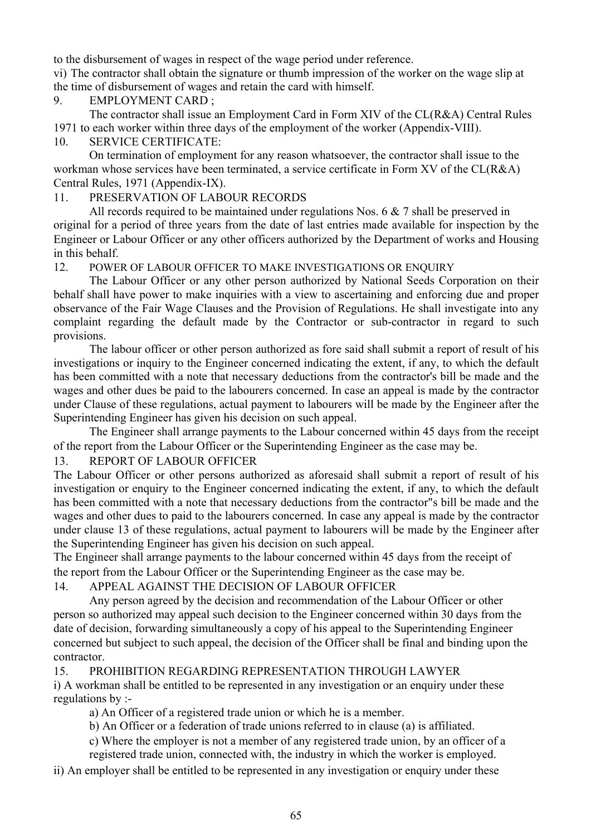to the disbursement of wages in respect of the wage period under reference.

vi) The contractor shall obtain the signature or thumb impression of the worker on the wage slip at the time of disbursement of wages and retain the card with himself.

#### 9. EMPLOYMENT CARD ;

The contractor shall issue an Employment Card in Form XIV of the CL(R&A) Central Rules 1971 to each worker within three days of the employment of the worker (Appendix-VIII).

#### 10. SERVICE CERTIFICATE:

On termination of employment for any reason whatsoever, the contractor shall issue to the workman whose services have been terminated, a service certificate in Form XV of the CL(R&A) Central Rules, 1971 (Appendix-IX).

#### 11. PRESERVATION OF LABOUR RECORDS

All records required to be maintained under regulations Nos. 6 & 7 shall be preserved in original for a period of three years from the date of last entries made available for inspection by the Engineer or Labour Officer or any other officers authorized by the Department of works and Housing in this behalf.

#### 12. POWER OF LABOUR OFFICER TO MAKE INVESTIGATIONS OR ENQUIRY

The Labour Officer or any other person authorized by National Seeds Corporation on their behalf shall have power to make inquiries with a view to ascertaining and enforcing due and proper observance of the Fair Wage Clauses and the Provision of Regulations. He shall investigate into any complaint regarding the default made by the Contractor or sub-contractor in regard to such provisions.

The labour officer or other person authorized as fore said shall submit a report of result of his investigations or inquiry to the Engineer concerned indicating the extent, if any, to which the default has been committed with a note that necessary deductions from the contractor's bill be made and the wages and other dues be paid to the labourers concerned. In case an appeal is made by the contractor under Clause of these regulations, actual payment to labourers will be made by the Engineer after the Superintending Engineer has given his decision on such appeal.

The Engineer shall arrange payments to the Labour concerned within 45 days from the receipt of the report from the Labour Officer or the Superintending Engineer as the case may be.

## 13. REPORT OF LABOUR OFFICER

The Labour Officer or other persons authorized as aforesaid shall submit a report of result of his investigation or enquiry to the Engineer concerned indicating the extent, if any, to which the default has been committed with a note that necessary deductions from the contractor"s bill be made and the wages and other dues to paid to the labourers concerned. In case any appeal is made by the contractor under clause 13 of these regulations, actual payment to labourers will be made by the Engineer after the Superintending Engineer has given his decision on such appeal.

The Engineer shall arrange payments to the labour concerned within 45 days from the receipt of the report from the Labour Officer or the Superintending Engineer as the case may be.

#### 14. APPEAL AGAINST THE DECISION OF LABOUR OFFICER

Any person agreed by the decision and recommendation of the Labour Officer or other person so authorized may appeal such decision to the Engineer concerned within 30 days from the date of decision, forwarding simultaneously a copy of his appeal to the Superintending Engineer concerned but subject to such appeal, the decision of the Officer shall be final and binding upon the contractor.

15. PROHIBITION REGARDING REPRESENTATION THROUGH LAWYER i) A workman shall be entitled to be represented in any investigation or an enquiry under these regulations by :-

a) An Officer of a registered trade union or which he is a member.

b) An Officer or a federation of trade unions referred to in clause (a) is affiliated.

c) Where the employer is not a member of any registered trade union, by an officer of a

registered trade union, connected with, the industry in which the worker is employed.

ii) An employer shall be entitled to be represented in any investigation or enquiry under these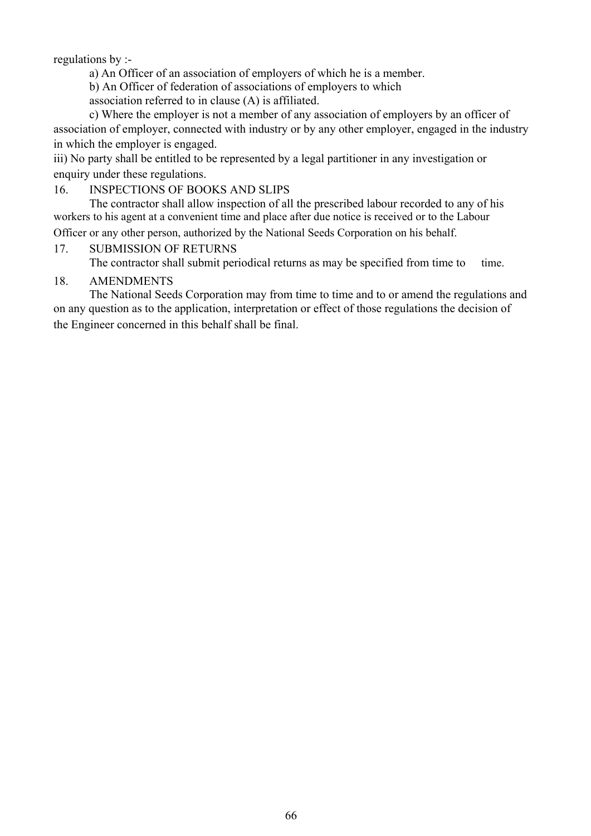regulations by :-

a) An Officer of an association of employers of which he is a member.

b) An Officer of federation of associations of employers to which

association referred to in clause (A) is affiliated.

c) Where the employer is not a member of any association of employers by an officer of association of employer, connected with industry or by any other employer, engaged in the industry in which the employer is engaged.

iii) No party shall be entitled to be represented by a legal partitioner in any investigation or enquiry under these regulations.

#### 16. INSPECTIONS OF BOOKS AND SLIPS

The contractor shall allow inspection of all the prescribed labour recorded to any of his workers to his agent at a convenient time and place after due notice is received or to the Labour Officer or any other person, authorized by the National Seeds Corporation on his behalf.

# 17. SUBMISSION OF RETURNS

The contractor shall submit periodical returns as may be specified from time to time.

#### 18. AMENDMENTS

The National Seeds Corporation may from time to time and to or amend the regulations and on any question as to the application, interpretation or effect of those regulations the decision of the Engineer concerned in this behalf shall be final.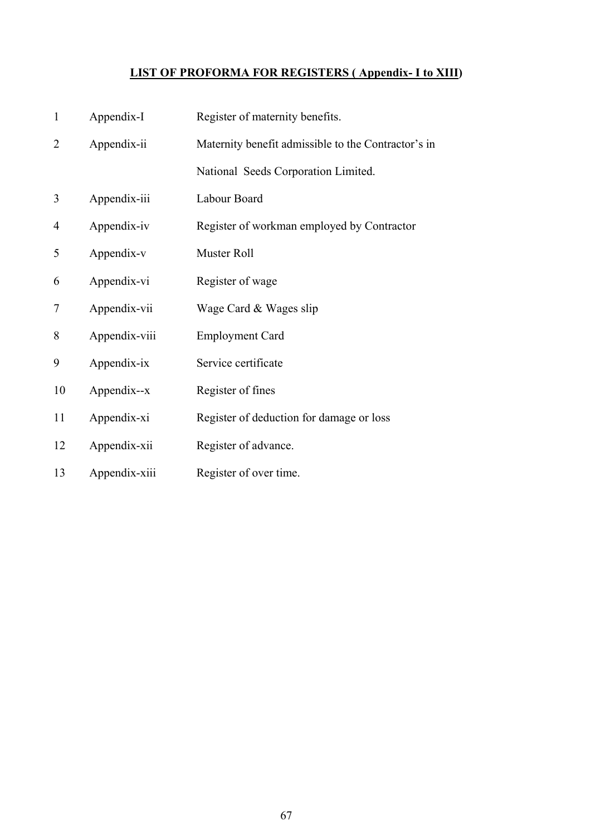# **LIST OF PROFORMA FOR REGISTERS ( Appendix- I to XIII)**

| $\mathbf{1}$   | Appendix-I    | Register of maternity benefits.                     |
|----------------|---------------|-----------------------------------------------------|
| $\overline{2}$ | Appendix-ii   | Maternity benefit admissible to the Contractor's in |
|                |               | National Seeds Corporation Limited.                 |
| 3              | Appendix-iii  | Labour Board                                        |
| $\overline{4}$ | Appendix-iv   | Register of workman employed by Contractor          |
| 5              | Appendix-v    | Muster Roll                                         |
| 6              | Appendix-vi   | Register of wage                                    |
| 7              | Appendix-vii  | Wage Card & Wages slip                              |
| 8              | Appendix-viii | <b>Employment Card</b>                              |
| 9              | Appendix-ix   | Service certificate                                 |
| 10             | Appendix--x   | Register of fines                                   |
| 11             | Appendix-xi   | Register of deduction for damage or loss            |
| 12             | Appendix-xii  | Register of advance.                                |
| 13             | Appendix-xiii | Register of over time.                              |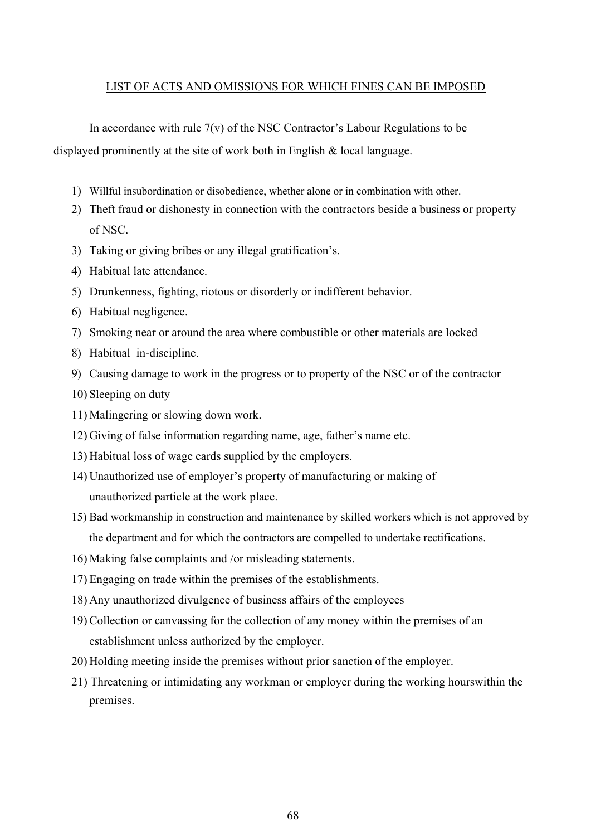#### LIST OF ACTS AND OMISSIONS FOR WHICH FINES CAN BE IMPOSED

In accordance with rule  $7(v)$  of the NSC Contractor's Labour Regulations to be displayed prominently at the site of work both in English & local language.

- 1) Willful insubordination or disobedience, whether alone or in combination with other.
- 2) Theft fraud or dishonesty in connection with the contractors beside a business or property of NSC.
- 3) Taking or giving bribes or any illegal gratification's.
- 4) Habitual late attendance.
- 5) Drunkenness, fighting, riotous or disorderly or indifferent behavior.
- 6) Habitual negligence.
- 7) Smoking near or around the area where combustible or other materials are locked
- 8) Habitual in-discipline.
- 9) Causing damage to work in the progress or to property of the NSC or of the contractor
- 10) Sleeping on duty
- 11) Malingering or slowing down work.
- 12) Giving of false information regarding name, age, father's name etc.
- 13) Habitual loss of wage cards supplied by the employers.
- 14) Unauthorized use of employer's property of manufacturing or making of unauthorized particle at the work place.
- 15) Bad workmanship in construction and maintenance by skilled workers which is not approved by the department and for which the contractors are compelled to undertake rectifications.
- 16) Making false complaints and /or misleading statements.
- 17) Engaging on trade within the premises of the establishments.
- 18) Any unauthorized divulgence of business affairs of the employees
- 19) Collection or canvassing for the collection of any money within the premises of an establishment unless authorized by the employer.
- 20) Holding meeting inside the premises without prior sanction of the employer.
- 21) Threatening or intimidating any workman or employer during the working hourswithin the premises.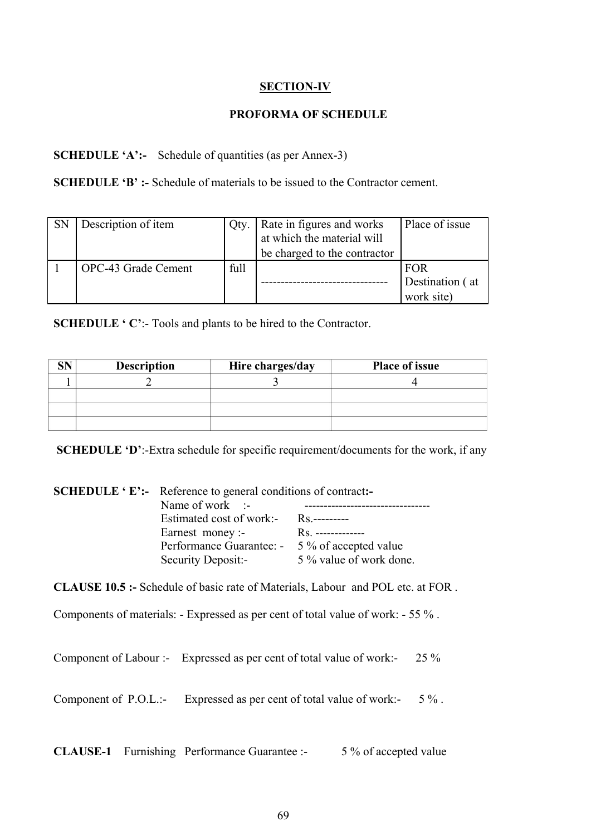# **SECTION-IV**

#### **PROFORMA OF SCHEDULE**

# **SCHEDULE 'A':-** Schedule of quantities (as per Annex-3)

**SCHEDULE 'B' :-** Schedule of materials to be issued to the Contractor cement.

| <b>SN</b> | Description of item | Qty. | Rate in figures and works    | Place of issue  |
|-----------|---------------------|------|------------------------------|-----------------|
|           |                     |      | at which the material will   |                 |
|           |                     |      | be charged to the contractor |                 |
|           | OPC-43 Grade Cement | full |                              | <b>FOR</b>      |
|           |                     |      |                              | Destination (at |
|           |                     |      |                              | work site)      |

**SCHEDULE 'C':-** Tools and plants to be hired to the Contractor.

| <b>Description</b> | Hire charges/day | <b>Place of issue</b> |
|--------------------|------------------|-----------------------|
|                    |                  |                       |
|                    |                  |                       |
|                    |                  |                       |
|                    |                  |                       |

**SCHEDULE 'D':-Extra schedule for specific requirement/documents for the work, if any** 

| <b>SCHEDULE</b> 'E':- Reference to general conditions of contract:-<br>Name of work $\therefore$<br>Estimated cost of work:-<br>Earnest money :-<br>Performance Guarantee: - 5 % of accepted value<br>Security Deposit:- | Rs.---------<br>Rs. --------------<br>5 % value of work done.                          |
|--------------------------------------------------------------------------------------------------------------------------------------------------------------------------------------------------------------------------|----------------------------------------------------------------------------------------|
|                                                                                                                                                                                                                          | <b>CLAUSE 10.5 :-</b> Schedule of basic rate of Materials, Labour and POL etc. at FOR. |
|                                                                                                                                                                                                                          | Components of materials: - Expressed as per cent of total value of work: - 55 %.       |
| Component of Labour :- Expressed as per cent of total value of work:-                                                                                                                                                    | 25 %                                                                                   |
| Component of P.O.L.:- Expressed as per cent of total value of work:-                                                                                                                                                     | $5\%$ .                                                                                |
|                                                                                                                                                                                                                          |                                                                                        |

**CLAUSE-1** Furnishing Performance Guarantee :- 5 % of accepted value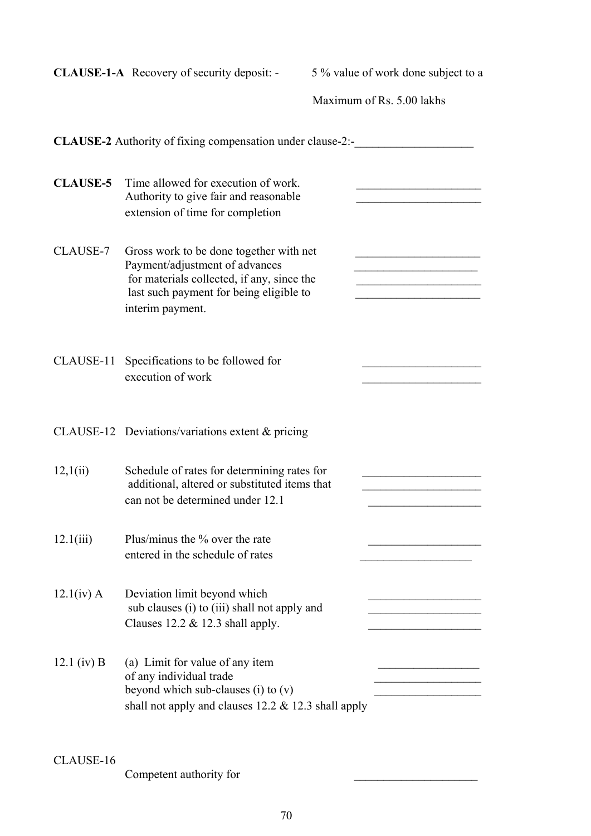|                 | <b>CLAUSE-1-A</b> Recovery of security deposit: -                                                                                                                                      | 5 % value of work done subject to a |  |  |  |
|-----------------|----------------------------------------------------------------------------------------------------------------------------------------------------------------------------------------|-------------------------------------|--|--|--|
|                 |                                                                                                                                                                                        | Maximum of Rs. 5.00 lakhs           |  |  |  |
|                 | CLAUSE-2 Authority of fixing compensation under clause-2:-                                                                                                                             |                                     |  |  |  |
| <b>CLAUSE-5</b> | Time allowed for execution of work.<br>Authority to give fair and reasonable<br>extension of time for completion                                                                       |                                     |  |  |  |
| CLAUSE-7        | Gross work to be done together with net<br>Payment/adjustment of advances<br>for materials collected, if any, since the<br>last such payment for being eligible to<br>interim payment. |                                     |  |  |  |
|                 | CLAUSE-11 Specifications to be followed for<br>execution of work                                                                                                                       |                                     |  |  |  |
|                 | CLAUSE-12 Deviations/variations extent $&$ pricing                                                                                                                                     |                                     |  |  |  |
| 12,1(ii)        | Schedule of rates for determining rates for<br>additional, altered or substituted items that<br>can not be determined under 12.1                                                       |                                     |  |  |  |
| 12.1(iii)       | Plus/minus the % over the rate<br>entered in the schedule of rates                                                                                                                     |                                     |  |  |  |
| $12.1(iv)$ A    | Deviation limit beyond which<br>sub clauses (i) to (iii) shall not apply and<br>Clauses $12.2 \& 12.3$ shall apply.                                                                    |                                     |  |  |  |
| 12.1 (iv) B     | (a) Limit for value of any item<br>of any individual trade<br>beyond which sub-clauses $(i)$ to $(v)$<br>shall not apply and clauses 12.2 & 12.3 shall apply                           |                                     |  |  |  |

CLAUSE-16

Competent authority for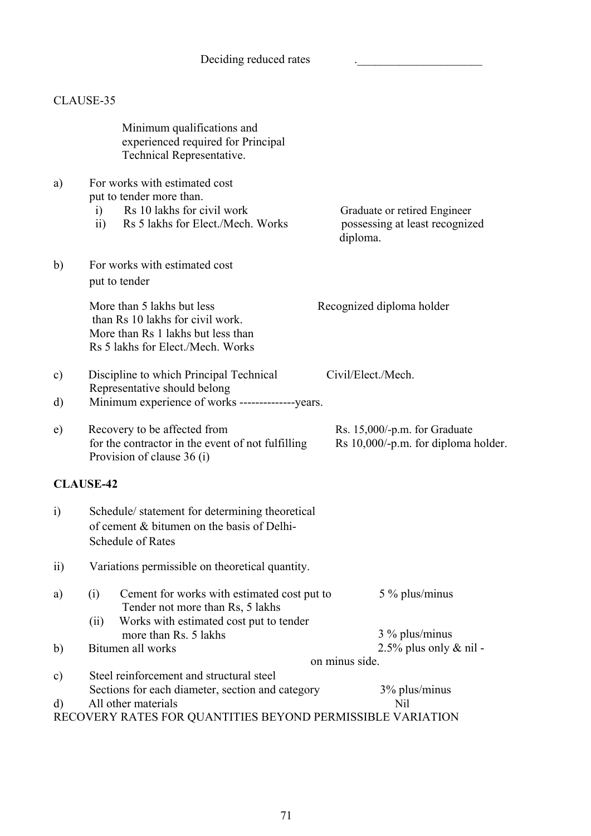# CLAUSE-35

|               | Minimum qualifications and<br>experienced required for Principal<br>Technical Representative.                                                             |                                                                            |
|---------------|-----------------------------------------------------------------------------------------------------------------------------------------------------------|----------------------------------------------------------------------------|
| a)            | For works with estimated cost<br>put to tender more than.<br>Rs 10 lakhs for civil work<br>i)<br>Rs 5 lakhs for Elect./Mech. Works<br>$\ddot{\mathbf{i}}$ | Graduate or retired Engineer<br>possessing at least recognized<br>diploma. |
| b)            | For works with estimated cost<br>put to tender                                                                                                            |                                                                            |
|               | More than 5 lakhs but less<br>than Rs 10 lakhs for civil work.<br>More than Rs 1 lakhs but less than<br>Rs 5 lakhs for Elect./Mech. Works                 | Recognized diploma holder                                                  |
| $\mathbf{c})$ | Discipline to which Principal Technical                                                                                                                   | Civil/Elect./Mech.                                                         |
| d)            | Representative should belong<br>Minimum experience of works --------------years.                                                                          |                                                                            |
| e)            | Recovery to be affected from<br>for the contractor in the event of not fulfilling<br>Provision of clause 36 (i)                                           | Rs. 15,000/-p.m. for Graduate<br>Rs 10,000/-p.m. for diploma holder.       |
|               | <b>CLAUSE-42</b>                                                                                                                                          |                                                                            |
| $\ddot{i}$    | Schedule/statement for determining theoretical<br>of cement & bitumen on the basis of Delhi-<br><b>Schedule of Rates</b>                                  |                                                                            |
| $\rm ii)$     | Variations permissible on theoretical quantity.                                                                                                           |                                                                            |
| a)            | Cement for works with estimated cost put to<br>(i)<br>Tender not more than Rs, 5 lakhs<br>Works with estimated cost put to tender<br>(ii)                 | 5 % plus/minus                                                             |
|               | more than Rs. 5 lakhs                                                                                                                                     | 3 % plus/minus                                                             |
| $\mathbf{b}$  | Bitumen all works                                                                                                                                         | $2.5\%$ plus only & nil -                                                  |
| $\mathbf{c})$ | Steel reinforcement and structural steel                                                                                                                  | on minus side.                                                             |
|               | Sections for each diameter, section and category                                                                                                          | 3% plus/minus                                                              |
| d)            | All other materials                                                                                                                                       | Nil                                                                        |
|               | RECOVERY RATES FOR QUANTITIES BEYOND PERMISSIBLE VARIATION                                                                                                |                                                                            |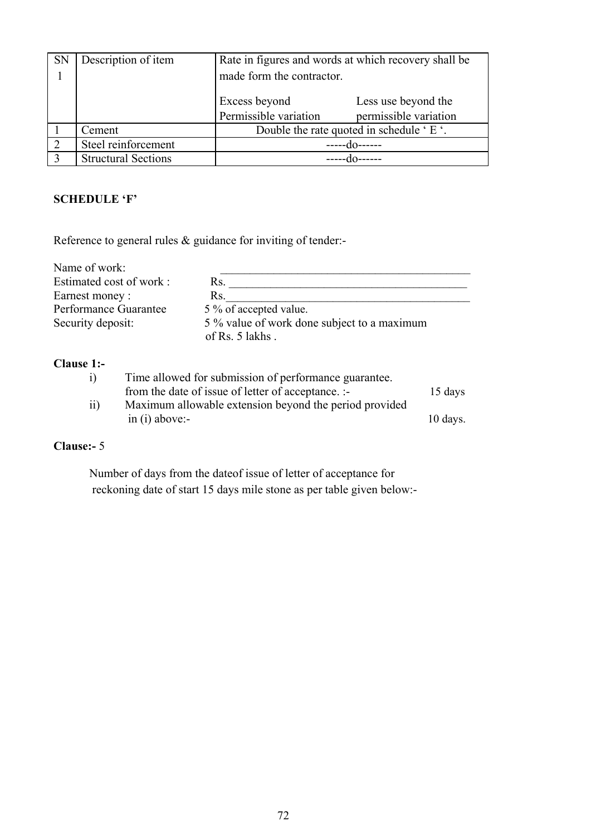| <b>SN</b> | Description of item        | Rate in figures and words at which recovery shall be |                       |  |
|-----------|----------------------------|------------------------------------------------------|-----------------------|--|
|           |                            | made form the contractor.                            |                       |  |
|           |                            |                                                      |                       |  |
|           |                            | Excess beyond                                        | Less use beyond the   |  |
|           |                            | Permissible variation                                | permissible variation |  |
|           | Cement                     | Double the rate quoted in schedule 'E'.              |                       |  |
|           | Steel reinforcement        |                                                      |                       |  |
|           | <b>Structural Sections</b> |                                                      |                       |  |

## **SCHEDULE 'F'**

Reference to general rules & guidance for inviting of tender:-

| Name of work:           |                                                                |
|-------------------------|----------------------------------------------------------------|
| Estimated cost of work: | Rs.                                                            |
| Earnest money:          | Rs.                                                            |
| Performance Guarantee   | 5 % of accepted value.                                         |
| Security deposit:       | 5 % value of work done subject to a maximum<br>of Rs. 5 lakhs. |
| $\sim$                  |                                                                |

#### **Clause 1:-**

| $\mathbf{i}$    | Time allowed for submission of performance guarantee.  |                     |
|-----------------|--------------------------------------------------------|---------------------|
|                 | from the date of issue of letter of acceptance. :-     | $15 \text{ days}$   |
| $\overline{11}$ | Maximum allowable extension beyond the period provided |                     |
|                 | $\sin(i)$ above:-                                      | $10 \text{ days}$ . |
|                 |                                                        |                     |

# **Clause:-** 5

Number of days from the dateof issue of letter of acceptance for reckoning date of start 15 days mile stone as per table given below:-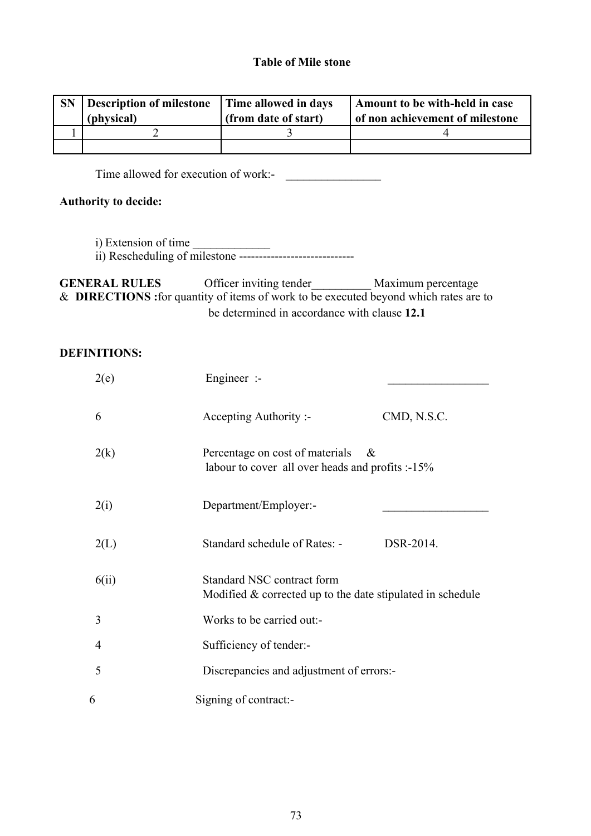# **Table of Mile stone**

| <b>SN</b> | <b>Description of milestone</b> | Time allowed in days | Amount to be with-held in case  |  |
|-----------|---------------------------------|----------------------|---------------------------------|--|
|           | (physical)                      | (from date of start) | of non achievement of milestone |  |
|           |                                 |                      |                                 |  |
|           |                                 |                      |                                 |  |

Time allowed for execution of work:-

# **Authority to decide:**

- i) Extension of time
- ii) Rescheduling of milestone -----------------------------

**GENERAL RULES** Officer inviting tender\_\_\_\_\_\_\_\_\_\_ Maximum percentage & **DIRECTIONS :**for quantity of items of work to be executed beyond which rates are to be determined in accordance with clause **12.1** 

# **DEFINITIONS:**

| 2(e)  | Engineer $:$                                                                                |             |  |
|-------|---------------------------------------------------------------------------------------------|-------------|--|
| 6     | Accepting Authority :-                                                                      | CMD, N.S.C. |  |
| 2(k)  | Percentage on cost of materials<br>$\&$<br>labour to cover all over heads and profits :-15% |             |  |
| 2(i)  | Department/Employer:-                                                                       |             |  |
| 2(L)  | Standard schedule of Rates: -                                                               | DSR-2014.   |  |
| 6(ii) | Standard NSC contract form<br>Modified $&$ corrected up to the date stipulated in schedule  |             |  |
| 3     | Works to be carried out:-                                                                   |             |  |
| 4     | Sufficiency of tender:-                                                                     |             |  |
| 5     | Discrepancies and adjustment of errors:-                                                    |             |  |
| 6     | Signing of contract:-                                                                       |             |  |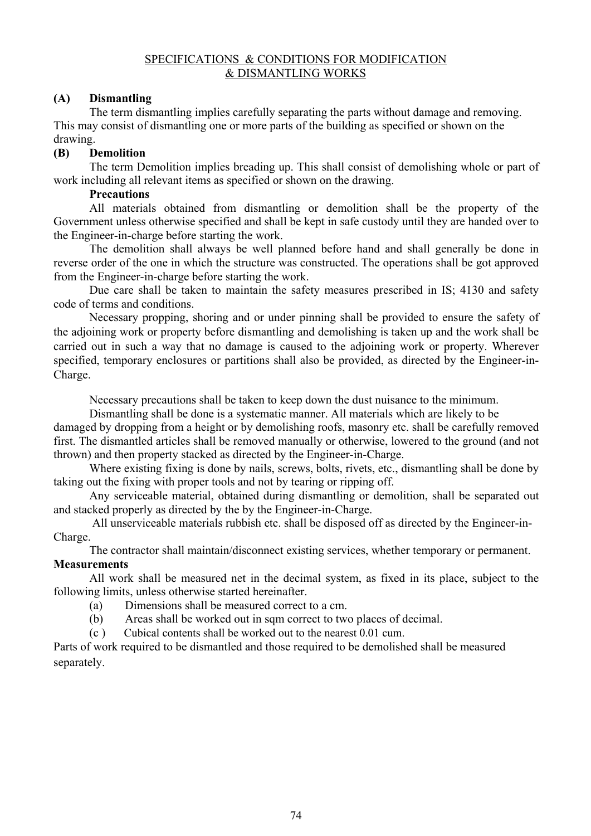### SPECIFICATIONS & CONDITIONS FOR MODIFICATION & DISMANTLING WORKS

# **(A) Dismantling**

The term dismantling implies carefully separating the parts without damage and removing. This may consist of dismantling one or more parts of the building as specified or shown on the drawing.

### **(B) Demolition**

The term Demolition implies breading up. This shall consist of demolishing whole or part of work including all relevant items as specified or shown on the drawing.

# **Precautions**

All materials obtained from dismantling or demolition shall be the property of the Government unless otherwise specified and shall be kept in safe custody until they are handed over to the Engineer-in-charge before starting the work.

The demolition shall always be well planned before hand and shall generally be done in reverse order of the one in which the structure was constructed. The operations shall be got approved from the Engineer-in-charge before starting the work.

Due care shall be taken to maintain the safety measures prescribed in IS; 4130 and safety code of terms and conditions.

Necessary propping, shoring and or under pinning shall be provided to ensure the safety of the adjoining work or property before dismantling and demolishing is taken up and the work shall be carried out in such a way that no damage is caused to the adjoining work or property. Wherever specified, temporary enclosures or partitions shall also be provided, as directed by the Engineer-in-Charge.

Necessary precautions shall be taken to keep down the dust nuisance to the minimum.

Dismantling shall be done is a systematic manner. All materials which are likely to be

damaged by dropping from a height or by demolishing roofs, masonry etc. shall be carefully removed first. The dismantled articles shall be removed manually or otherwise, lowered to the ground (and not thrown) and then property stacked as directed by the Engineer-in-Charge.

Where existing fixing is done by nails, screws, bolts, rivets, etc., dismantling shall be done by taking out the fixing with proper tools and not by tearing or ripping off.

Any serviceable material, obtained during dismantling or demolition, shall be separated out and stacked properly as directed by the by the Engineer-in-Charge.

All unserviceable materials rubbish etc. shall be disposed off as directed by the Engineer-in-Charge.

The contractor shall maintain/disconnect existing services, whether temporary or permanent.

# **Measurements**

All work shall be measured net in the decimal system, as fixed in its place, subject to the following limits, unless otherwise started hereinafter.

- (a) Dimensions shall be measured correct to a cm.
- (b) Areas shall be worked out in sqm correct to two places of decimal.
- (c ) Cubical contents shall be worked out to the nearest 0.01 cum.

Parts of work required to be dismantled and those required to be demolished shall be measured separately.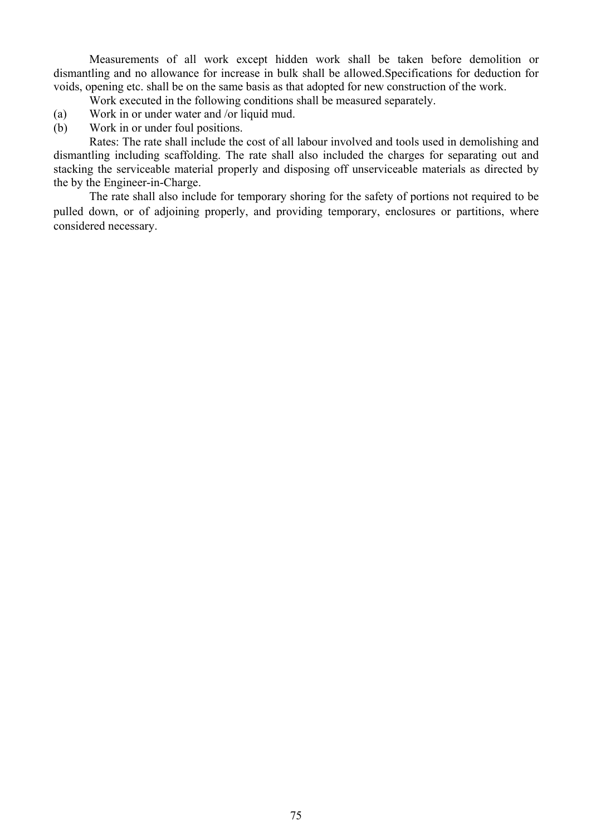Measurements of all work except hidden work shall be taken before demolition or dismantling and no allowance for increase in bulk shall be allowed.Specifications for deduction for voids, opening etc. shall be on the same basis as that adopted for new construction of the work.

Work executed in the following conditions shall be measured separately.

- (a) Work in or under water and /or liquid mud.
- (b) Work in or under foul positions.

Rates: The rate shall include the cost of all labour involved and tools used in demolishing and dismantling including scaffolding. The rate shall also included the charges for separating out and stacking the serviceable material properly and disposing off unserviceable materials as directed by the by the Engineer-in-Charge.

The rate shall also include for temporary shoring for the safety of portions not required to be pulled down, or of adjoining properly, and providing temporary, enclosures or partitions, where considered necessary.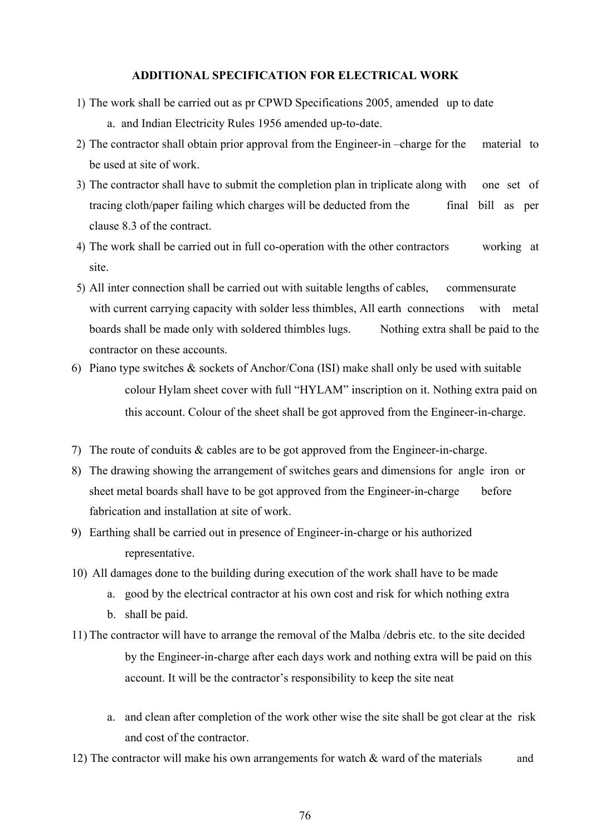#### **ADDITIONAL SPECIFICATION FOR ELECTRICAL WORK**

- 1) The work shall be carried out as pr CPWD Specifications 2005, amended up to date a. and Indian Electricity Rules 1956 amended up-to-date.
- 2) The contractor shall obtain prior approval from the Engineer-in –charge for the material to be used at site of work.
- 3) The contractor shall have to submit the completion plan in triplicate along with one set of tracing cloth/paper failing which charges will be deducted from the final bill as per clause 8.3 of the contract.
- 4) The work shall be carried out in full co-operation with the other contractors working at site.
- 5) All inter connection shall be carried out with suitable lengths of cables, commensurate with current carrying capacity with solder less thimbles, All earth connections with metal boards shall be made only with soldered thimbles lugs. Nothing extra shall be paid to the contractor on these accounts.
- 6) Piano type switches & sockets of Anchor/Cona (ISI) make shall only be used with suitable colour Hylam sheet cover with full "HYLAM" inscription on it. Nothing extra paid on this account. Colour of the sheet shall be got approved from the Engineer-in-charge.
- 7) The route of conduits & cables are to be got approved from the Engineer-in-charge.
- 8) The drawing showing the arrangement of switches gears and dimensions for angle iron or sheet metal boards shall have to be got approved from the Engineer-in-charge before fabrication and installation at site of work.
- 9) Earthing shall be carried out in presence of Engineer-in-charge or his authorized representative.
- 10) All damages done to the building during execution of the work shall have to be made
	- a. good by the electrical contractor at his own cost and risk for which nothing extra
	- b. shall be paid.
- 11) The contractor will have to arrange the removal of the Malba /debris etc. to the site decided by the Engineer-in-charge after each days work and nothing extra will be paid on this account. It will be the contractor's responsibility to keep the site neat
	- a. and clean after completion of the work other wise the site shall be got clear at the risk and cost of the contractor.
- 12) The contractor will make his own arrangements for watch  $\&$  ward of the materials and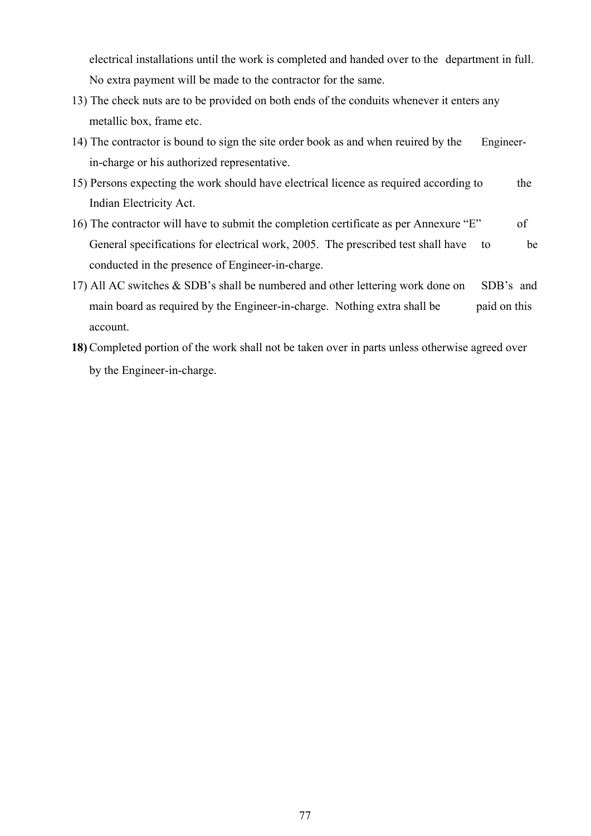electrical installations until the work is completed and handed over to the department in full. No extra payment will be made to the contractor for the same.

- 13) The check nuts are to be provided on both ends of the conduits whenever it enters any metallic box, frame etc.
- 14) The contractor is bound to sign the site order book as and when reuired by the Engineerin-charge or his authorized representative.
- 15) Persons expecting the work should have electrical licence as required according to the Indian Electricity Act.
- 16) The contractor will have to submit the completion certificate as per Annexure "E" of General specifications for electrical work, 2005. The prescribed test shall have to be conducted in the presence of Engineer-in-charge.
- 17) All AC switches & SDB's shall be numbered and other lettering work done on SDB's and main board as required by the Engineer-in-charge. Nothing extra shall be paid on this account.
- **18)** Completed portion of the work shall not be taken over in parts unless otherwise agreed over by the Engineer-in-charge.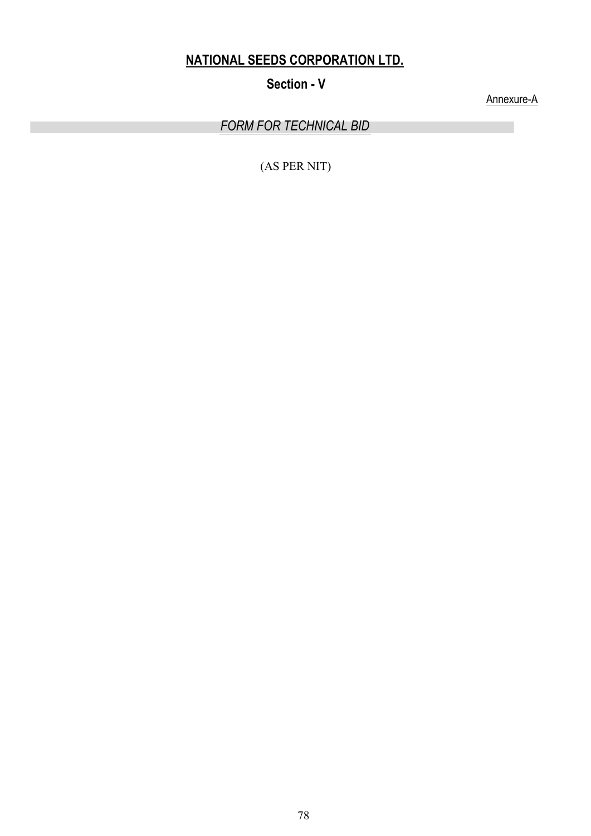# **NATIONAL SEEDS CORPORATION LTD.**

**Section - V** 

Annexure-A

*FORM FOR TECHNICAL BID*

(AS PER NIT)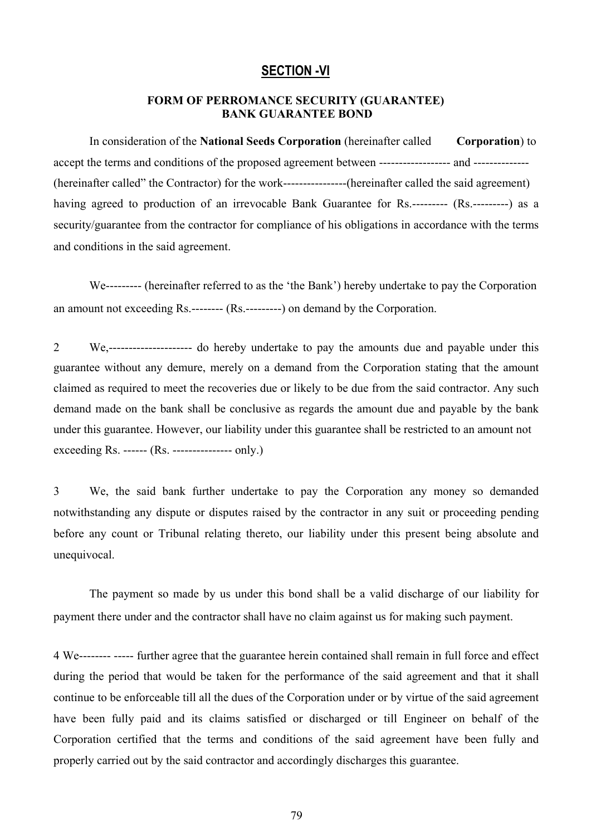## **SECTION -VI**

### **FORM OF PERROMANCE SECURITY (GUARANTEE) BANK GUARANTEE BOND**

In consideration of the **National Seeds Corporation** (hereinafter called **Corporation**) to accept the terms and conditions of the proposed agreement between ------------------ and -------------- (hereinafter called" the Contractor) for the work----------------(hereinafter called the said agreement) having agreed to production of an irrevocable Bank Guarantee for Rs.--------- (Rs.---------) as a security/guarantee from the contractor for compliance of his obligations in accordance with the terms and conditions in the said agreement.

We--------- (hereinafter referred to as the 'the Bank') hereby undertake to pay the Corporation an amount not exceeding Rs.-------- (Rs.---------) on demand by the Corporation.

2 We,--------------------- do hereby undertake to pay the amounts due and payable under this guarantee without any demure, merely on a demand from the Corporation stating that the amount claimed as required to meet the recoveries due or likely to be due from the said contractor. Any such demand made on the bank shall be conclusive as regards the amount due and payable by the bank under this guarantee. However, our liability under this guarantee shall be restricted to an amount not exceeding Rs. ------ (Rs. --------------- only.)

3 We, the said bank further undertake to pay the Corporation any money so demanded notwithstanding any dispute or disputes raised by the contractor in any suit or proceeding pending before any count or Tribunal relating thereto, our liability under this present being absolute and unequivocal.

The payment so made by us under this bond shall be a valid discharge of our liability for payment there under and the contractor shall have no claim against us for making such payment.

4 We-------- ----- further agree that the guarantee herein contained shall remain in full force and effect during the period that would be taken for the performance of the said agreement and that it shall continue to be enforceable till all the dues of the Corporation under or by virtue of the said agreement have been fully paid and its claims satisfied or discharged or till Engineer on behalf of the Corporation certified that the terms and conditions of the said agreement have been fully and properly carried out by the said contractor and accordingly discharges this guarantee.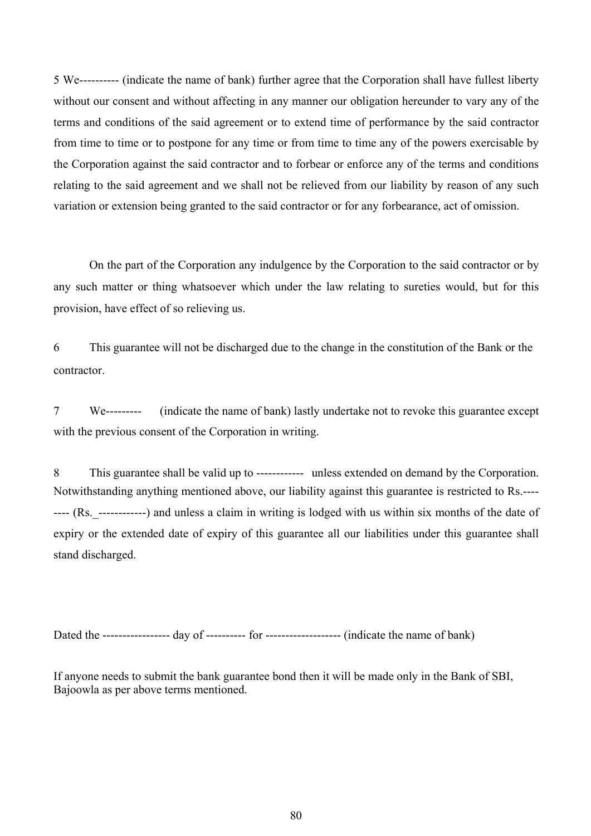5 We---------- (indicate the name of bank) further agree that the Corporation shall have fullest liberty without our consent and without affecting in any manner our obligation hereunder to vary any of the terms and conditions of the said agreement or to extend time of performance by the said contractor from time to time or to postpone for any time or from time to time any of the powers exercisable by the Corporation against the said contractor and to forbear or enforce any of the terms and conditions relating to the said agreement and we shall not be relieved from our liability by reason of any such variation or extension being granted to the said contractor or for any forbearance, act of omission.

On the part of the Corporation any indulgence by the Corporation to the said contractor or by any such matter or thing whatsoever which under the law relating to sureties would, but for this provision, have effect of so relieving us.

6 This guarantee will not be discharged due to the change in the constitution of the Bank or the contractor.

7 We--------- (indicate the name of bank) lastly undertake not to revoke this guarantee except with the previous consent of the Corporation in writing.

8 This guarantee shall be valid up to ------------ unless extended on demand by the Corporation. Notwithstanding anything mentioned above, our liability against this guarantee is restricted to Rs.---- ---- (Rs.\_------------) and unless a claim in writing is lodged with us within six months of the date of expiry or the extended date of expiry of this guarantee all our liabilities under this guarantee shall stand discharged.

Dated the ----------------- day of ---------- for ------------------- (indicate the name of bank)

If anyone needs to submit the bank guarantee bond then it will be made only in the Bank of SBI, Bajoowla as per above terms mentioned.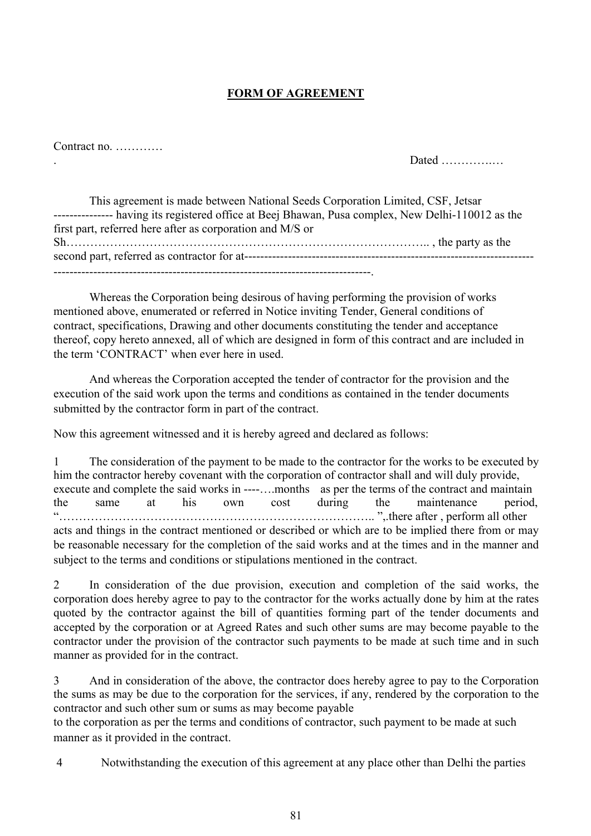# **FORM OF AGREEMENT**

# Contract no. …………

. Dated ………….…

This agreement is made between National Seeds Corporation Limited, CSF, Jetsar --------------- having its registered office at Beej Bhawan, Pusa complex, New Delhi-110012 as the first part, referred here after as corporation and M/S or Sh……………………………………………………………………………….. , the party as the second part, referred as contractor for at------------------------------------------------------------------------- --------------------------------------------------------------------------------.

Whereas the Corporation being desirous of having performing the provision of works mentioned above, enumerated or referred in Notice inviting Tender, General conditions of contract, specifications, Drawing and other documents constituting the tender and acceptance thereof, copy hereto annexed, all of which are designed in form of this contract and are included in the term 'CONTRACT' when ever here in used.

And whereas the Corporation accepted the tender of contractor for the provision and the execution of the said work upon the terms and conditions as contained in the tender documents submitted by the contractor form in part of the contract.

Now this agreement witnessed and it is hereby agreed and declared as follows:

1 The consideration of the payment to be made to the contractor for the works to be executed by him the contractor hereby covenant with the corporation of contractor shall and will duly provide, execute and complete the said works in ----....months as per the terms of the contract and maintain the same at his own cost during the maintenance period, "…………………………………………………………………….. ",.there after , perform all other acts and things in the contract mentioned or described or which are to be implied there from or may be reasonable necessary for the completion of the said works and at the times and in the manner and subject to the terms and conditions or stipulations mentioned in the contract.

2 In consideration of the due provision, execution and completion of the said works, the corporation does hereby agree to pay to the contractor for the works actually done by him at the rates quoted by the contractor against the bill of quantities forming part of the tender documents and accepted by the corporation or at Agreed Rates and such other sums are may become payable to the contractor under the provision of the contractor such payments to be made at such time and in such manner as provided for in the contract.

3 And in consideration of the above, the contractor does hereby agree to pay to the Corporation the sums as may be due to the corporation for the services, if any, rendered by the corporation to the contractor and such other sum or sums as may become payable

to the corporation as per the terms and conditions of contractor, such payment to be made at such manner as it provided in the contract.

4 Notwithstanding the execution of this agreement at any place other than Delhi the parties